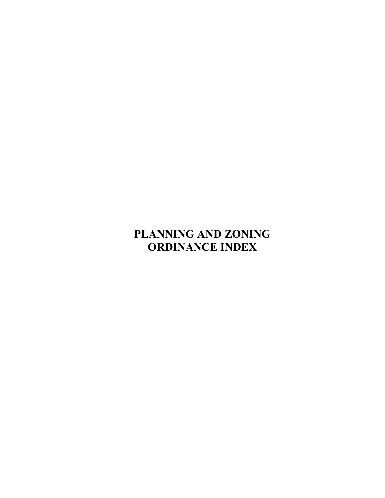## **PLANNING AND ZONING ORDINANCE INDEX**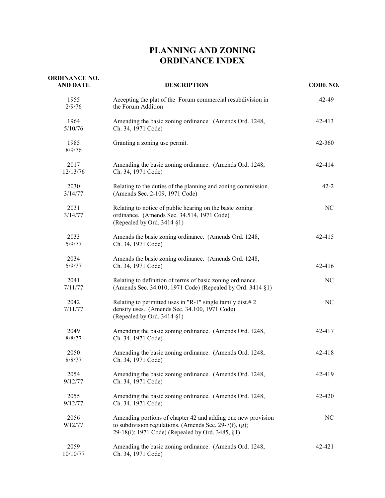## **PLANNING AND ZONING ORDINANCE INDEX**

| <b>ORDINANCE NO.</b><br><b>AND DATE</b> | <b>DESCRIPTION</b>                                                                                                                                                         | CODE NO. |
|-----------------------------------------|----------------------------------------------------------------------------------------------------------------------------------------------------------------------------|----------|
| 1955<br>2/9/76                          | Accepting the plat of the Forum commercial resubdivision in<br>the Forum Addition                                                                                          | 42-49    |
| 1964<br>5/10/76                         | Amending the basic zoning ordinance. (Amends Ord. 1248,<br>Ch. 34, 1971 Code)                                                                                              | 42-413   |
| 1985<br>8/9/76                          | Granting a zoning use permit.                                                                                                                                              | 42-360   |
| 2017<br>12/13/76                        | Amending the basic zoning ordinance. (Amends Ord. 1248,<br>Ch. 34, 1971 Code)                                                                                              | 42-414   |
| 2030<br>3/14/77                         | Relating to the duties of the planning and zoning commission.<br>(Amends Sec. 2-109, 1971 Code)                                                                            | $42 - 2$ |
| 2031<br>3/14/77                         | Relating to notice of public hearing on the basic zoning<br>ordinance. (Amends Sec. 34.514, 1971 Code)<br>(Repealed by Ord. 3414 §1)                                       | NC       |
| 2033<br>5/9/77                          | Amends the basic zoning ordinance. (Amends Ord. 1248,<br>Ch. 34, 1971 Code)                                                                                                | 42-415   |
| 2034<br>5/9/77                          | Amends the basic zoning ordinance. (Amends Ord. 1248,<br>Ch. 34, 1971 Code)                                                                                                | 42-416   |
| 2041<br>7/11/77                         | Relating to definition of terms of basic zoning ordinance.<br>(Amends Sec. 34.010, 1971 Code) (Repealed by Ord. 3414 §1)                                                   | NC       |
| 2042<br>7/11/77                         | Relating to permitted uses in "R-1" single family dist.# 2<br>density uses. (Amends Sec. 34.100, 1971 Code)<br>(Repealed by Ord. 3414 §1)                                  | NC       |
| 2049<br>8/8/77                          | Amending the basic zoning ordinance. (Amends Ord. 1248,<br>Ch. 34, 1971 Code)                                                                                              | 42-417   |
| 2050<br>8/8/77                          | Amending the basic zoning ordinance. (Amends Ord. 1248,<br>Ch. 34, 1971 Code)                                                                                              | 42-418   |
| 2054<br>9/12/77                         | Amending the basic zoning ordinance. (Amends Ord. 1248,<br>Ch. 34, 1971 Code)                                                                                              | 42-419   |
| 2055<br>9/12/77                         | Amending the basic zoning ordinance. (Amends Ord. 1248,<br>Ch. 34, 1971 Code)                                                                                              | 42-420   |
| 2056<br>9/12/77                         | Amending portions of chapter 42 and adding one new provision<br>to subdivision regulations. (Amends Sec. 29-7(f), (g);<br>29-18(i); 1971 Code) (Repealed by Ord. 3485, §1) | NC       |
| 2059<br>10/10/77                        | Amending the basic zoning ordinance. (Amends Ord. 1248,<br>Ch. 34, 1971 Code)                                                                                              | 42-421   |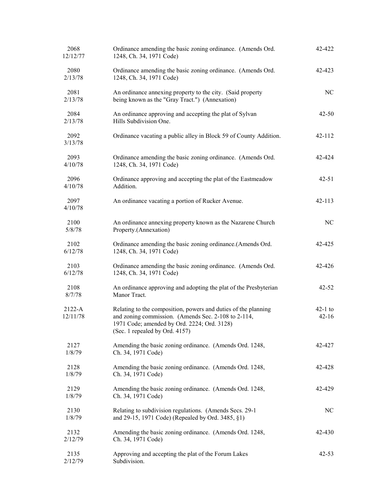| 2068<br>12/12/77       | Ordinance amending the basic zoning ordinance. (Amends Ord.<br>1248, Ch. 34, 1971 Code)                                                                                                                | 42-422                 |
|------------------------|--------------------------------------------------------------------------------------------------------------------------------------------------------------------------------------------------------|------------------------|
| 2080<br>2/13/78        | Ordinance amending the basic zoning ordinance. (Amends Ord.<br>1248, Ch. 34, 1971 Code)                                                                                                                | 42-423                 |
| 2081<br>2/13/78        | An ordinance annexing property to the city. (Said property<br>being known as the "Gray Tract.") (Annexation)                                                                                           | NC                     |
| 2084<br>2/13/78        | An ordinance approving and accepting the plat of Sylvan<br>Hills Subdivision One.                                                                                                                      | $42 - 50$              |
| 2092<br>3/13/78        | Ordinance vacating a public alley in Block 59 of County Addition.                                                                                                                                      | 42-112                 |
| 2093<br>4/10/78        | Ordinance amending the basic zoning ordinance. (Amends Ord.<br>1248, Ch. 34, 1971 Code)                                                                                                                | 42-424                 |
| 2096<br>4/10/78        | Ordinance approving and accepting the plat of the Eastmeadow<br>Addition.                                                                                                                              | $42 - 51$              |
| 2097<br>4/10/78        | An ordinance vacating a portion of Rucker Avenue.                                                                                                                                                      | $42 - 113$             |
| 2100<br>5/8/78         | An ordinance annexing property known as the Nazarene Church<br>Property.(Annexation)                                                                                                                   | NC                     |
| 2102<br>6/12/78        | Ordinance amending the basic zoning ordinance.(Amends Ord.<br>1248, Ch. 34, 1971 Code)                                                                                                                 | 42-425                 |
| 2103<br>6/12/78        | Ordinance amending the basic zoning ordinance. (Amends Ord.<br>1248, Ch. 34, 1971 Code)                                                                                                                | 42-426                 |
| 2108<br>8/7/78         | An ordinance approving and adopting the plat of the Presbyterian<br>Manor Tract.                                                                                                                       | $42 - 52$              |
| $2122 - A$<br>12/11/78 | Relating to the composition, powers and duties of the planning<br>and zoning commission. (Amends Sec. 2-108 to 2-114,<br>1971 Code; amended by Ord. 2224; Ord. 3128)<br>(Sec. 1 repealed by Ord. 4157) | $42-1$ to<br>$42 - 16$ |
| 2127<br>1/8/79         | Amending the basic zoning ordinance. (Amends Ord. 1248,<br>Ch. 34, 1971 Code)                                                                                                                          | 42-427                 |
| 2128<br>1/8/79         | Amending the basic zoning ordinance. (Amends Ord. 1248,<br>Ch. 34, 1971 Code)                                                                                                                          | 42-428                 |
| 2129<br>1/8/79         | Amending the basic zoning ordinance. (Amends Ord. 1248,<br>Ch. 34, 1971 Code)                                                                                                                          | 42-429                 |
| 2130<br>1/8/79         | Relating to subdivision regulations. (Amends Secs. 29-1)<br>and 29-15, 1971 Code) (Repealed by Ord. 3485, §1)                                                                                          | NC                     |
| 2132<br>2/12/79        | Amending the basic zoning ordinance. (Amends Ord. 1248,<br>Ch. 34, 1971 Code)                                                                                                                          | 42-430                 |
| 2135<br>2/12/79        | Approving and accepting the plat of the Forum Lakes<br>Subdivision.                                                                                                                                    | $42 - 53$              |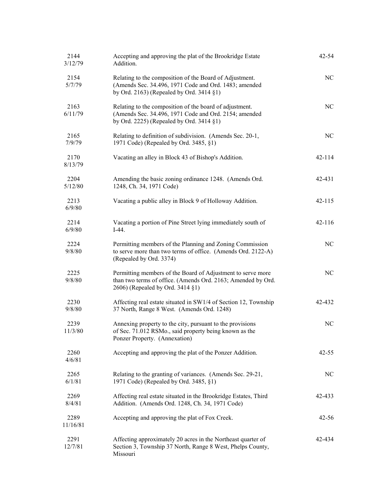| 2144<br>3/12/79  | Accepting and approving the plat of the Brookridge Estate<br>Addition.                                                                                          | $42 - 54$  |
|------------------|-----------------------------------------------------------------------------------------------------------------------------------------------------------------|------------|
| 2154<br>5/7/79   | Relating to the composition of the Board of Adjustment.<br>(Amends Sec. 34.496, 1971 Code and Ord. 1483; amended<br>by Ord. 2163) (Repealed by Ord. 3414 §1)    | NC         |
| 2163<br>6/11/79  | Relating to the composition of the board of adjustment.<br>(Amends Sec. 34.496, 1971 Code and Ord. 2154; amended<br>by Ord. 2225) (Repealed by Ord. 3414 §1)    | NC         |
| 2165<br>7/9/79   | Relating to definition of subdivision. (Amends Sec. 20-1,<br>1971 Code) (Repealed by Ord. 3485, §1)                                                             | NC         |
| 2170<br>8/13/79  | Vacating an alley in Block 43 of Bishop's Addition.                                                                                                             | 42-114     |
| 2204<br>5/12/80  | Amending the basic zoning ordinance 1248. (Amends Ord.<br>1248, Ch. 34, 1971 Code)                                                                              | 42-431     |
| 2213<br>6/9/80   | Vacating a public alley in Block 9 of Holloway Addition.                                                                                                        | $42 - 115$ |
| 2214<br>6/9/80   | Vacating a portion of Pine Street lying immediately south of<br>$I-44.$                                                                                         | 42-116     |
| 2224<br>9/8/80   | Permitting members of the Planning and Zoning Commission<br>to serve more than two terms of office. (Amends Ord. 2122-A)<br>(Repealed by Ord. 3374)             | NC         |
| 2225<br>9/8/80   | Permitting members of the Board of Adjustment to serve more<br>than two terms of office. (Amends Ord. 2163; Amended by Ord.<br>2606) (Repealed by Ord. 3414 §1) | NC         |
| 2230<br>9/8/80   | Affecting real estate situated in SW1/4 of Section 12, Township<br>37 North, Range 8 West. (Amends Ord. 1248)                                                   | 42-432     |
| 2239<br>11/3/80  | Annexing property to the city, pursuant to the provisions<br>of Sec. 71.012 RSMo., said property being known as the<br>Ponzer Property. (Annexation)            | NC         |
| 2260<br>4/6/81   | Accepting and approving the plat of the Ponzer Addition.                                                                                                        | $42 - 55$  |
| 2265<br>6/1/81   | Relating to the granting of variances. (Amends Sec. 29-21,<br>1971 Code) (Repealed by Ord. 3485, §1)                                                            | NC         |
| 2269<br>8/4/81   | Affecting real estate situated in the Brookridge Estates, Third<br>Addition. (Amends Ord. 1248, Ch. 34, 1971 Code)                                              | 42-433     |
| 2289<br>11/16/81 | Accepting and approving the plat of Fox Creek.                                                                                                                  | $42 - 56$  |
| 2291<br>12/7/81  | Affecting approximately 20 acres in the Northeast quarter of<br>Section 3, Township 37 North, Range 8 West, Phelps County,<br>Missouri                          | 42-434     |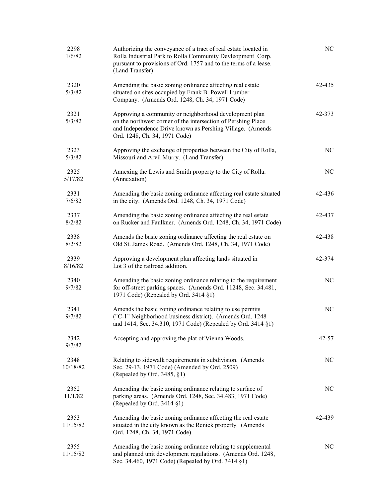| 2298<br>1/6/82   | Authorizing the conveyance of a tract of real estate located in<br>Rolla Industrial Park to Rolla Community Devleopment Corp.<br>pursuant to provisions of Ord. 1757 and to the terms of a lease.<br>(Land Transfer)  | N <sub>C</sub> |
|------------------|-----------------------------------------------------------------------------------------------------------------------------------------------------------------------------------------------------------------------|----------------|
| 2320<br>5/3/82   | Amending the basic zoning ordinance affecting real estate<br>situated on sites occupied by Frank B. Powell Lumber<br>Company. (Amends Ord. 1248, Ch. 34, 1971 Code)                                                   | 42-435         |
| 2321<br>5/3/82   | Approving a community or neighborhood development plan<br>on the northwest corner of the intersection of Pershing Place<br>and Independence Drive known as Pershing Village. (Amends<br>Ord. 1248, Ch. 34, 1971 Code) | 42-373         |
| 2323<br>5/3/82   | Approving the exchange of properties between the City of Rolla,<br>Missouri and Arvil Murry. (Land Transfer)                                                                                                          | NC             |
| 2325<br>5/17/82  | Annexing the Lewis and Smith property to the City of Rolla.<br>(Annexation)                                                                                                                                           | NC             |
| 2331<br>7/6/82   | Amending the basic zoning ordinance affecting real estate situated<br>in the city. (Amends Ord. 1248, Ch. 34, 1971 Code)                                                                                              | 42-436         |
| 2337<br>8/2/82   | Amending the basic zoning ordinance affecting the real estate<br>on Rucker and Faulkner. (Amends Ord. 1248, Ch. 34, 1971 Code)                                                                                        | 42-437         |
| 2338<br>8/2/82   | Amends the basic zoning ordinance affecting the real estate on<br>Old St. James Road. (Amends Ord. 1248, Ch. 34, 1971 Code)                                                                                           | 42-438         |
| 2339<br>8/16/82  | Approving a development plan affecting lands situated in<br>Lot 3 of the railroad addition.                                                                                                                           | 42-374         |
| 2340<br>9/7/82   | Amending the basic zoning ordinance relating to the requirement<br>for off-street parking spaces. (Amends Ord. 11248, Sec. 34.481,<br>1971 Code) (Repealed by Ord. 3414 §1)                                           | NC             |
| 2341<br>9/7/82   | Amends the basic zoning ordinance relating to use permits<br>("C-1" Neighborhood business district). (Amends Ord. 1248<br>and 1414, Sec. 34.310, 1971 Code) (Repealed by Ord. 3414 §1)                                | NC             |
| 2342<br>9/7/82   | Accepting and approving the plat of Vienna Woods.                                                                                                                                                                     | 42-57          |
| 2348<br>10/18/82 | Relating to sidewalk requirements in subdivision. (Amends<br>Sec. 29-13, 1971 Code) (Amended by Ord. 2509)<br>(Repealed by Ord. 3485, §1)                                                                             | NC             |
| 2352<br>11/1/82  | Amending the basic zoning ordinance relating to surface of<br>parking areas. (Amends Ord. 1248, Sec. 34.483, 1971 Code)<br>(Repealed by Ord. 3414 §1)                                                                 | NC             |
| 2353<br>11/15/82 | Amending the basic zoning ordinance affecting the real estate<br>situated in the city known as the Renick property. (Amends<br>Ord. 1248, Ch. 34, 1971 Code)                                                          | 42-439         |
| 2355<br>11/15/82 | Amending the basic zoning ordinance relating to supplemental<br>and planned unit development regulations. (Amends Ord. 1248,<br>Sec. 34.460, 1971 Code) (Repealed by Ord. 3414 §1)                                    | NC             |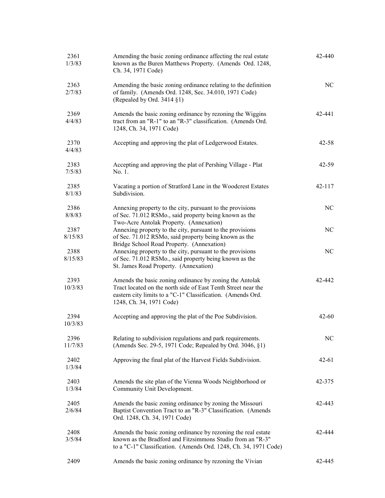| 2361<br>1/3/83  | Amending the basic zoning ordinance affecting the real estate<br>known as the Buren Matthews Property. (Amends Ord. 1248,<br>Ch. 34, 1971 Code)                                                                     | 42-440    |
|-----------------|---------------------------------------------------------------------------------------------------------------------------------------------------------------------------------------------------------------------|-----------|
| 2363<br>2/7/83  | Amending the basic zoning ordinance relating to the definition<br>of family. (Amends Ord. 1248, Sec. 34.010, 1971 Code)<br>(Repealed by Ord. 3414 §1)                                                               | NC        |
| 2369<br>4/4/83  | Amends the basic zoning ordinance by rezoning the Wiggins<br>tract from an "R-1" to an "R-3" classification. (Amends Ord.<br>1248, Ch. 34, 1971 Code)                                                               | 42-441    |
| 2370<br>4/4/83  | Accepting and approving the plat of Ledgerwood Estates.                                                                                                                                                             | $42 - 58$ |
| 2383<br>7/5/83  | Accepting and approving the plat of Pershing Village - Plat<br>No. 1.                                                                                                                                               | $42 - 59$ |
| 2385<br>8/1/83  | Vacating a portion of Stratford Lane in the Woodcrest Estates<br>Subdivision.                                                                                                                                       | 42-117    |
| 2386<br>8/8/83  | Annexing property to the city, pursuant to the provisions<br>of Sec. 71.012 RSMo., said property being known as the<br>Two-Acre Antolak Property. (Annexation)                                                      | NC        |
| 2387<br>8/15/83 | Annexing property to the city, pursuant to the provisions<br>of Sec. 71.012 RSMo, said property being known as the<br>Bridge School Road Property. (Annexation)                                                     | NC        |
| 2388<br>8/15/83 | Annexing property to the city, pursuant to the provisions<br>of Sec. 71.012 RSMo., said property being known as the<br>St. James Road Property. (Annexation)                                                        | NC        |
| 2393<br>10/3/83 | Amends the basic zoning ordinance by zoning the Antolak<br>Tract located on the north side of East Tenth Street near the<br>eastern city limits to a "C-1" Classification. (Amends Ord.<br>1248, Ch. 34, 1971 Code) | 42-442    |
| 2394<br>10/3/83 | Accepting and approving the plat of the Poe Subdivision.                                                                                                                                                            | $42 - 60$ |
| 2396<br>11/7/83 | Relating to subdivision regulations and park requirements.<br>(Amends Sec. 29-5, 1971 Code; Repealed by Ord. 3046, §1)                                                                                              | NC        |
| 2402<br>1/3/84  | Approving the final plat of the Harvest Fields Subdivision.                                                                                                                                                         | $42 - 61$ |
| 2403<br>1/3/84  | Amends the site plan of the Vienna Woods Neighborhood or<br>Community Unit Development.                                                                                                                             | 42-375    |
| 2405<br>2/6/84  | Amends the basic zoning ordinance by zoning the Missouri<br>Baptist Convention Tract to an "R-3" Classification. (Amends<br>Ord. 1248, Ch. 34, 1971 Code)                                                           | 42-443    |
| 2408<br>3/5/84  | Amends the basic zoning ordinance by rezoning the real estate<br>known as the Bradford and Fitzsimmons Studio from an "R-3"<br>to a "C-1" Classification. (Amends Ord. 1248, Ch. 34, 1971 Code)                     | 42-444    |
| 2409            | Amends the basic zoning ordinance by rezoning the Vivian                                                                                                                                                            | 42-445    |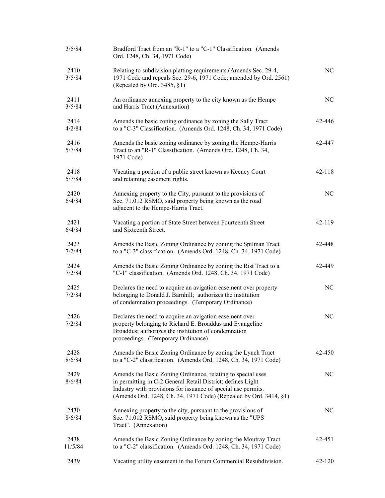| 3/5/84          | Bradford Tract from an "R-1" to a "C-1" Classification. (Amends<br>Ord. 1248, Ch. 34, 1971 Code)                                                                                                                                                                 |            |
|-----------------|------------------------------------------------------------------------------------------------------------------------------------------------------------------------------------------------------------------------------------------------------------------|------------|
| 2410<br>3/5/84  | Relating to subdivision platting requirements.(Amends Sec. 29-4,<br>1971 Code and repeals Sec. 29-6, 1971 Code; amended by Ord. 2561)<br>(Repealed by Ord. 3485, $\S1$ )                                                                                         | NC         |
| 2411<br>3/5/84  | An ordinance annexing property to the city known as the Hempe<br>and Harris Tract.(Annexation)                                                                                                                                                                   | NC         |
| 2414<br>4/2/84  | Amends the basic zoning ordinance by zoning the Sally Tract<br>to a "C-3" Classification. (Amends Ord. 1248, Ch. 34, 1971 Code)                                                                                                                                  | 42-446     |
| 2416<br>5/7/84  | Amends the basic zoning ordinance by zoning the Hempe-Harris<br>Tract to an "R-1" Classification. (Amends Ord. 1248, Ch. 34,<br>1971 Code)                                                                                                                       | 42-447     |
| 2418<br>5/7/84  | Vacating a portion of a public street known as Keeney Court<br>and retaining easement rights.                                                                                                                                                                    | 42-118     |
| 2420<br>6/4/84  | Annexing property to the City, pursuant to the provisions of<br>Sec. 71.012 RSMO, said property being known as the road<br>adjacent to the Hempe-Harris Tract.                                                                                                   | NC         |
| 2421<br>6/4/84  | Vacating a portion of State Street between Fourteenth Street<br>and Sixteenth Street.                                                                                                                                                                            | 42-119     |
| 2423<br>7/2/84  | Amends the Basic Zoning Ordinance by zoning the Spilman Tract<br>to a "C-3" classification. (Amends Ord. 1248, Ch. 34, 1971 Code)                                                                                                                                | 42-448     |
| 2424<br>7/2/84  | Amends the Basic Zoning Ordinance by zoning the Rist Tract to a<br>"C-1" classification. (Amends Ord. 1248, Ch. 34, 1971 Code)                                                                                                                                   | 42-449     |
| 2425<br>7/2/84  | Declares the need to acquire an avigation easement over property<br>belonging to Donald J. Barnhill; authorizes the institution<br>of condemnation proceedings. (Temporary Ordinance)                                                                            | NC         |
| 2426<br>7/2/84  | Declares the need to acquire an avigation easement over<br>property belonging to Richard E. Broaddus and Evangeline<br>Broaddus; authorizes the institution of condemnation<br>proceedings. (Temporary Ordinance)                                                | NC         |
| 2428<br>8/6/84  | Amends the Basic Zoning Ordinance by zoning the Lynch Tract<br>to a "C-2" classification. (Amends Ord. 1248, Ch. 34, 1971 Code)                                                                                                                                  | 42-450     |
| 2429<br>8/6/84  | Amends the Basic Zoning Ordinance, relating to special uses<br>in permitting in C-2 General Retail District; defines Light<br>Industry with provisions for issuance of special use permits.<br>(Amends Ord. 1248, Ch. 34, 1971 Code) (Repealed by Ord. 3414, §1) | NC         |
| 2430<br>8/6/84  | Annexing property to the city, pursuant to the provisions of<br>Sec. 71.012 RSMO, said property being known as the "UPS<br>Tract". (Annexation)                                                                                                                  | NC         |
| 2438<br>11/5/84 | Amends the Basic Zoning Ordinance by zoning the Moutray Tract<br>to a "C-2" classification. (Amends Ord. 1248, Ch. 34, 1971 Code)                                                                                                                                | 42-451     |
| 2439            | Vacating utility easement in the Forum Commercial Resubdivision.                                                                                                                                                                                                 | $42 - 120$ |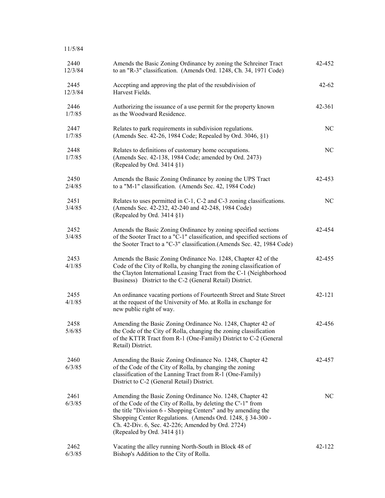| 11/5/84         |                                                                                                                                                                                                                                                                                                                                            |           |
|-----------------|--------------------------------------------------------------------------------------------------------------------------------------------------------------------------------------------------------------------------------------------------------------------------------------------------------------------------------------------|-----------|
| 2440<br>12/3/84 | Amends the Basic Zoning Ordinance by zoning the Schreiner Tract<br>to an "R-3" classification. (Amends Ord. 1248, Ch. 34, 1971 Code)                                                                                                                                                                                                       | 42-452    |
| 2445<br>12/3/84 | Accepting and approving the plat of the resubdivision of<br>Harvest Fields.                                                                                                                                                                                                                                                                | $42 - 62$ |
| 2446<br>1/7/85  | Authorizing the issuance of a use permit for the property known<br>as the Woodward Residence.                                                                                                                                                                                                                                              | 42-361    |
| 2447<br>1/7/85  | Relates to park requirements in subdivision regulations.<br>(Amends Sec. 42-26, 1984 Code; Repealed by Ord. 3046, §1)                                                                                                                                                                                                                      | NC        |
| 2448<br>1/7/85  | Relates to definitions of customary home occupations.<br>(Amends Sec. 42-138, 1984 Code; amended by Ord. 2473)<br>(Repealed by Ord. 3414 §1)                                                                                                                                                                                               | NC        |
| 2450<br>2/4/85  | Amends the Basic Zoning Ordinance by zoning the UPS Tract<br>to a "M-1" classification. (Amends Sec. 42, 1984 Code)                                                                                                                                                                                                                        | 42-453    |
| 2451<br>3/4/85  | Relates to uses permitted in C-1, C-2 and C-3 zoning classifications.<br>(Amends Sec. 42-232, 42-240 and 42-248, 1984 Code)<br>(Repealed by Ord. $3414 \$                                                                                                                                                                                  | NC        |
| 2452<br>3/4/85  | Amends the Basic Zoning Ordinance by zoning specified sections<br>of the Sooter Tract to a "C-1" classification, and specified sections of<br>the Sooter Tract to a "C-3" classification.(Amends Sec. 42, 1984 Code)                                                                                                                       | 42-454    |
| 2453<br>4/1/85  | Amends the Basic Zoning Ordinance No. 1248, Chapter 42 of the<br>Code of the City of Rolla, by changing the zoning classification of<br>the Clayton International Leasing Tract from the C-1 (Neighborhood<br>Business) District to the C-2 (General Retail) District.                                                                     | 42-455    |
| 2455<br>4/1/85  | An ordinance vacating portions of Fourteenth Street and State Street<br>at the request of the University of Mo. at Rolla in exchange for<br>new public right of way.                                                                                                                                                                       | 42-121    |
| 2458<br>5/6/85  | Amending the Basic Zoning Ordinance No. 1248, Chapter 42 of<br>the Code of the City of Rolla, changing the zoning classification<br>of the KTTR Tract from R-1 (One-Family) District to C-2 (General<br>Retail) District.                                                                                                                  | 42-456    |
| 2460<br>6/3/85  | Amending the Basic Zoning Ordinance No. 1248, Chapter 42<br>of the Code of the City of Rolla, by changing the zoning<br>classification of the Lanning Tract from R-1 (One-Family)<br>District to C-2 (General Retail) District.                                                                                                            | 42-457    |
| 2461<br>6/3/85  | Amending the Basic Zoning Ordinance No. 1248, Chapter 42<br>of the Code of the City of Rolla, by deleting the C'-1" from<br>the title "Division 6 - Shopping Centers" and by amending the<br>Shopping Center Regulations. (Amends Ord. 1248, § 34-300 -<br>Ch. 42-Div. 6, Sec. 42-226; Amended by Ord. 2724)<br>(Repealed by Ord. 3414 §1) | NC        |
| 2462<br>6/3/85  | Vacating the alley running North-South in Block 48 of<br>Bishop's Addition to the City of Rolla.                                                                                                                                                                                                                                           | 42-122    |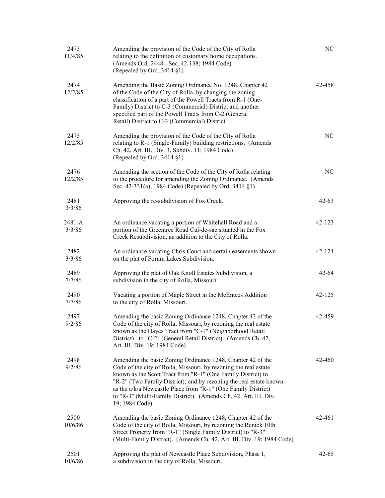| 2473<br>11/4/85  | Amending the provision of the Code of the City of Rolla<br>relating to the definition of customary home occupations.<br>(Amends Ord. 2448 - Sec. 42-138; 1984 Code)<br>(Repealed by Ord. 3414 §1)                                                                                                                                                                                                                            | NC         |
|------------------|------------------------------------------------------------------------------------------------------------------------------------------------------------------------------------------------------------------------------------------------------------------------------------------------------------------------------------------------------------------------------------------------------------------------------|------------|
| 2474<br>12/2/85  | Amending the Basic Zoning Ordinance No. 1248, Chapter 42<br>of the Code of the City of Rolla, by changing the zoning<br>classification of a part of the Powell Tracts from R-1 (One-<br>Family) District to C-3 (Commercial) District and another<br>specified part of the Powell Tracts from C-2 (General<br>Retail) District to C-3 (Commercial) District.                                                                 | 42-458     |
| 2475<br>12/2/85  | Amending the provision of the Code of the City of Rolla<br>relating to R-1 (Single-Family) building restrictions. (Amends<br>Ch. 42, Art. III, Div. 3, Subdiv. 11; 1984 Code)<br>(Repealed by Ord. 3414 §1)                                                                                                                                                                                                                  | NC         |
| 2476<br>12/2/85  | Amending the section of the Code of the City of Rolla relating<br>to the procedure for amending the Zoning Ordinance. (Amends<br>Sec. 42-331(a); 1984 Code) (Repealed by Ord. 3414 §1)                                                                                                                                                                                                                                       | NC         |
| 2481<br>3/3/86   | Approving the re-subdivision of Fox Creek.                                                                                                                                                                                                                                                                                                                                                                                   | $42 - 63$  |
| 2481-A<br>3/3/86 | An ordinance vacating a portion of Whitehall Road and a<br>portion of the Greentree Road Cul-de-sac situated in the Fox<br>Creek Resubdivision, an addition to the City of Rolla.                                                                                                                                                                                                                                            | $42 - 123$ |
| 2482<br>3/3/86   | An ordinance vacating Chris Court and certain easements shown<br>on the plat of Forum Lakes Subdivision.                                                                                                                                                                                                                                                                                                                     | 42-124     |
| 2489<br>7/7/86   | Approving the plat of Oak Knoll Estates Subdivision, a<br>subdivision in the city of Rolla, Missouri.                                                                                                                                                                                                                                                                                                                        | $42 - 64$  |
| 2490<br>7/7/86   | Vacating a portion of Maple Street in the McEntees Addition<br>to the city of Rolla, Missouri.                                                                                                                                                                                                                                                                                                                               | 42-125     |
| 2497<br>9/2/86   | Amending the basic Zoning Ordinance 1248, Chapter 42 of the<br>Code of the city of Rolla, Missouri, by rezoning the real estate<br>known as the Hayes Tract from "C-1" (Neighborhood Retail<br>District) to "C-2" (General Retail District). (Amends Ch. 42,<br>Art. III, Div. 19; 1984 Code)                                                                                                                                | 42-459     |
| 2498<br>9/2/86   | Amending the basic Zoning Ordinance 1248, Chapter 42 of the<br>Code of the city of Rolla, Missouri, by rezoning the real estate<br>known as the Scott Tract from "R-1" (One Family District) to<br>"R-2" (Two Family District); and by rezoning the real estate known<br>as the a/k/a Newcastle Place from "R-1" (One Family District)<br>to "R-3" (Multi-Family District). (Amends Ch. 42, Art. III, Div.<br>19; 1984 Code) | 42-460     |
| 2500<br>10/6/86  | Amending the basic Zoning Ordinance 1248, Chapter 42 of the<br>Code of the city of Rolla, Missouri, by rezoning the Renick 10th<br>Street Property from "R-1" (Single Family District) to "R-3"<br>(Multi-Family District). (Amends Ch. 42, Art. III, Div. 19; 1984 Code)                                                                                                                                                    | 42-461     |
| 2501<br>10/6/86  | Approving the plat of Newcastle Place Subdivision, Phase I,<br>a subdivision in the city of Rolla, Missouri.                                                                                                                                                                                                                                                                                                                 | $42 - 65$  |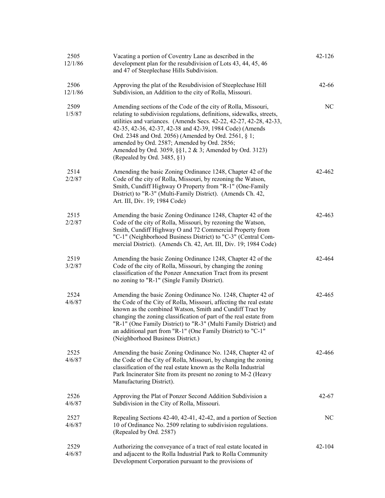| 2505<br>12/1/86 | Vacating a portion of Coventry Lane as described in the<br>development plan for the resubdivision of Lots 43, 44, 45, 46<br>and 47 of Steeplechase Hills Subdivision.                                                                                                                                                                                                                                                                                                        | 42-126     |
|-----------------|------------------------------------------------------------------------------------------------------------------------------------------------------------------------------------------------------------------------------------------------------------------------------------------------------------------------------------------------------------------------------------------------------------------------------------------------------------------------------|------------|
| 2506<br>12/1/86 | Approving the plat of the Resubdivision of Steeplechase Hill<br>Subdivision, an Addition to the city of Rolla, Missouri.                                                                                                                                                                                                                                                                                                                                                     | $42 - 66$  |
| 2509<br>1/5/87  | Amending sections of the Code of the city of Rolla, Missouri,<br>relating to subdivision regulations, definitions, sidewalks, streets,<br>utilities and variances. (Amends Secs. 42-22, 42-27, 42-28, 42-33,<br>42-35, 42-36, 42-37, 42-38 and 42-39, 1984 Code) (Amends<br>Ord. 2348 and Ord. 2056) (Amended by Ord. 2561, § 1;<br>amended by Ord. 2587; Amended by Ord. 2856;<br>Amended by Ord. 3059, §§1, 2 & 3; Amended by Ord. 3123)<br>(Repealed by Ord. $3485, §1$ ) | NC         |
| 2514<br>2/2/87  | Amending the basic Zoning Ordinance 1248, Chapter 42 of the<br>Code of the city of Rolla, Missouri, by rezoning the Watson,<br>Smith, Cundiff Highway O Property from "R-1" (One-Family<br>District) to "R-3" (Multi-Family District). (Amends Ch. 42,<br>Art. III, Div. 19; 1984 Code)                                                                                                                                                                                      | 42-462     |
| 2515<br>2/2/87  | Amending the basic Zoning Ordinance 1248, Chapter 42 of the<br>Code of the city of Rolla, Missouri, by rezoning the Watson,<br>Smith, Cundiff Highway O and 72 Commercial Property from<br>"C-1" (Neighborhood Business District) to "C-3" (Central Com-<br>mercial District). (Amends Ch. 42, Art. III, Div. 19; 1984 Code)                                                                                                                                                 | 42-463     |
| 2519<br>3/2/87  | Amending the basic Zoning Ordinance 1248, Chapter 42 of the<br>Code of the city of Rolla, Missouri, by changing the zoning<br>classification of the Ponzer Annexation Tract from its present<br>no zoning to "R-1" (Single Family District).                                                                                                                                                                                                                                 | 42-464     |
| 2524<br>4/6/87  | Amending the basic Zoning Ordinance No. 1248, Chapter 42 of<br>the Code of the City of Rolla, Missouri, affecting the real estate<br>known as the combined Watson, Smith and Cundiff Tract by<br>changing the zoning classification of part of the real estate from<br>"R-1" (One Family District) to "R-3" (Multi Family District) and<br>an additional part from "R-1" (One Family District) to "C-1"<br>(Neighborhood Business District.)                                 | 42-465     |
| 2525<br>4/6/87  | Amending the basic Zoning Ordinance No. 1248, Chapter 42 of<br>the Code of the City of Rolla, Missouri, by changing the zoning<br>classification of the real estate known as the Rolla Industrial<br>Park Incinerator Site from its present no zoning to M-2 (Heavy<br>Manufacturing District).                                                                                                                                                                              | 42-466     |
| 2526<br>4/6/87  | Approving the Plat of Ponzer Second Addition Subdivision a<br>Subdivision in the City of Rolla, Missouri.                                                                                                                                                                                                                                                                                                                                                                    | $42 - 67$  |
| 2527<br>4/6/87  | Repealing Sections 42-40, 42-41, 42-42, and a portion of Section<br>10 of Ordinance No. 2509 relating to subdivision regulations.<br>(Repealed by Ord. 2587)                                                                                                                                                                                                                                                                                                                 | NC         |
| 2529<br>4/6/87  | Authorizing the conveyance of a tract of real estate located in<br>and adjacent to the Rolla Industrial Park to Rolla Community<br>Development Corporation pursuant to the provisions of                                                                                                                                                                                                                                                                                     | $42 - 104$ |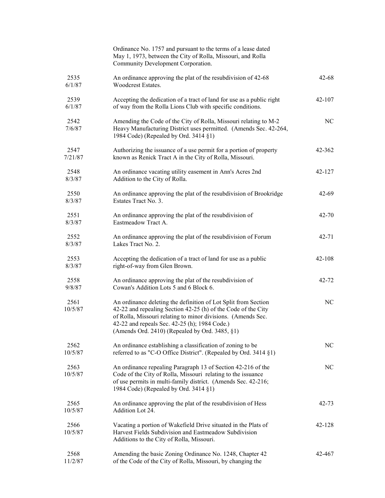|                 | Ordinance No. 1757 and pursuant to the terms of a lease dated<br>May 1, 1973, between the City of Rolla, Missouri, and Rolla<br>Community Development Corporation.                                                                                                                                 |           |
|-----------------|----------------------------------------------------------------------------------------------------------------------------------------------------------------------------------------------------------------------------------------------------------------------------------------------------|-----------|
| 2535<br>6/1/87  | An ordinance approving the plat of the resubdivision of 42-68<br>Woodcrest Estates.                                                                                                                                                                                                                | $42 - 68$ |
| 2539<br>6/1/87  | Accepting the dedication of a tract of land for use as a public right<br>of way from the Rolla Lions Club with specific conditions.                                                                                                                                                                | 42-107    |
| 2542<br>7/6/87  | Amending the Code of the City of Rolla, Missouri relating to M-2<br>Heavy Manufacturing District uses permitted. (Amends Sec. 42-264,<br>1984 Code) (Repealed by Ord. 3414 §1)                                                                                                                     | NC        |
| 2547<br>7/21/87 | Authorizing the issuance of a use permit for a portion of property<br>known as Renick Tract A in the City of Rolla, Missouri.                                                                                                                                                                      | 42-362    |
| 2548<br>8/3/87  | An ordinance vacating utility easement in Ann's Acres 2nd<br>Addition to the City of Rolla.                                                                                                                                                                                                        | 42-127    |
| 2550<br>8/3/87  | An ordinance approving the plat of the resubdivision of Brookridge<br>Estates Tract No. 3.                                                                                                                                                                                                         | $42 - 69$ |
| 2551<br>8/3/87  | An ordinance approving the plat of the resubdivision of<br>Eastmeadow Tract A.                                                                                                                                                                                                                     | $42 - 70$ |
| 2552<br>8/3/87  | An ordinance approving the plat of the resubdivision of Forum<br>Lakes Tract No. 2.                                                                                                                                                                                                                | 42-71     |
| 2553<br>8/3/87  | Accepting the dedication of a tract of land for use as a public<br>right-of-way from Glen Brown.                                                                                                                                                                                                   | 42-108    |
| 2558<br>9/8/87  | An ordinance approving the plat of the resubdivision of<br>Cowan's Addition Lots 5 and 6 Block 6.                                                                                                                                                                                                  | 42-72     |
| 2561<br>10/5/87 | An ordinance deleting the definition of Lot Split from Section<br>42-22 and repealing Section 42-25 (h) of the Code of the City<br>of Rolla, Missouri relating to minor divisions. (Amends Sec.<br>42-22 and repeals Sec. 42-25 (h); 1984 Code.)<br>(Amends Ord. 2410) (Repealed by Ord. 3485, §1) | NC        |
| 2562<br>10/5/87 | An ordinance establishing a classification of zoning to be<br>referred to as "C-O Office District". (Repealed by Ord. 3414 §1)                                                                                                                                                                     | NC        |
| 2563<br>10/5/87 | An ordinance repealing Paragraph 13 of Section 42-216 of the<br>Code of the City of Rolla, Missouri relating to the issuance<br>of use permits in multi-family district. (Amends Sec. 42-216;<br>1984 Code) (Repealed by Ord. 3414 §1)                                                             | NC        |
| 2565<br>10/5/87 | An ordinance approving the plat of the resubdivision of Hess<br>Addition Lot 24.                                                                                                                                                                                                                   | $42 - 73$ |
| 2566<br>10/5/87 | Vacating a portion of Wakefield Drive situated in the Plats of<br>Harvest Fields Subdivision and Eastmeadow Subdivision<br>Additions to the City of Rolla, Missouri.                                                                                                                               | 42-128    |
| 2568<br>11/2/87 | Amending the basic Zoning Ordinance No. 1248, Chapter 42<br>of the Code of the City of Rolla, Missouri, by changing the                                                                                                                                                                            | 42-467    |
|                 |                                                                                                                                                                                                                                                                                                    |           |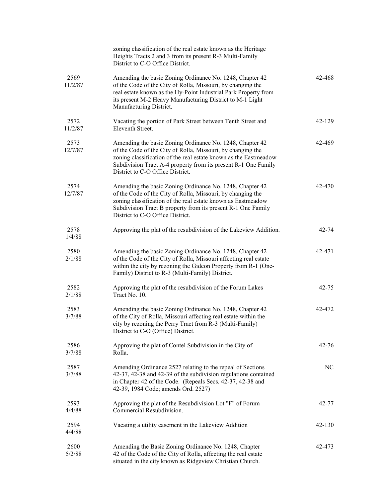|                 | zoning classification of the real estate known as the Heritage<br>Heights Tracts 2 and 3 from its present R-3 Multi-Family<br>District to C-O Office District.                                                                                                                                    |           |
|-----------------|---------------------------------------------------------------------------------------------------------------------------------------------------------------------------------------------------------------------------------------------------------------------------------------------------|-----------|
| 2569<br>11/2/87 | Amending the basic Zoning Ordinance No. 1248, Chapter 42<br>of the Code of the City of Rolla, Missouri, by changing the<br>real estate known as the Hy-Point Industrial Park Property from<br>its present M-2 Heavy Manufacturing District to M-1 Light<br>Manufacturing District.                | 42-468    |
| 2572<br>11/2/87 | Vacating the portion of Park Street between Tenth Street and<br>Eleventh Street.                                                                                                                                                                                                                  | 42-129    |
| 2573<br>12/7/87 | Amending the basic Zoning Ordinance No. 1248, Chapter 42<br>of the Code of the City of Rolla, Missouri, by changing the<br>zoning classification of the real estate known as the Eastmeadow<br>Subdivision Tract A-4 property from its present R-1 One Family<br>District to C-O Office District. | 42-469    |
| 2574<br>12/7/87 | Amending the basic Zoning Ordinance No. 1248, Chapter 42<br>of the Code of the City of Rolla, Missouri, by changing the<br>zoning classification of the real estate known as Eastmeadow<br>Subdivision Tract B property from its present R-1 One Family<br>District to C-O Office District.       | 42-470    |
| 2578<br>1/4/88  | Approving the plat of the resubdivision of the Lakeview Addition.                                                                                                                                                                                                                                 | 42-74     |
| 2580<br>2/1/88  | Amending the basic Zoning Ordinance No. 1248, Chapter 42<br>of the Code of the City of Rolla, Missouri affecting real estate<br>within the city by rezoning the Gideon Property from R-1 (One-<br>Family) District to R-3 (Multi-Family) District.                                                | 42-471    |
| 2582<br>2/1/88  | Approving the plat of the resubdivision of the Forum Lakes<br>Tract No. 10.                                                                                                                                                                                                                       | 42-75     |
| 2583<br>3/7/88  | Amending the basic Zoning Ordinance No. 1248, Chapter 42<br>of the City of Rolla, Missouri affecting real estate within the<br>city by rezoning the Perry Tract from R-3 (Multi-Family)<br>District to C-O (Office) District.                                                                     | 42-472    |
| 2586<br>3/7/88  | Approving the plat of Contel Subdivision in the City of<br>Rolla.                                                                                                                                                                                                                                 | $42 - 76$ |
| 2587<br>3/7/88  | Amending Ordinance 2527 relating to the repeal of Sections<br>42-37, 42-38 and 42-39 of the subdivision regulations contained<br>in Chapter 42 of the Code. (Repeals Secs. 42-37, 42-38 and<br>42-39, 1984 Code; amends Ord. 2527)                                                                | NC        |
| 2593<br>4/4/88  | Approving the plat of the Resubdivision Lot "F" of Forum<br>Commercial Resubdivision.                                                                                                                                                                                                             | 42-77     |
| 2594<br>4/4/88  | Vacating a utility easement in the Lakeview Addition                                                                                                                                                                                                                                              | 42-130    |
| 2600<br>5/2/88  | Amending the Basic Zoning Ordinance No. 1248, Chapter<br>42 of the Code of the City of Rolla, affecting the real estate<br>situated in the city known as Ridgeview Christian Church.                                                                                                              | 42-473    |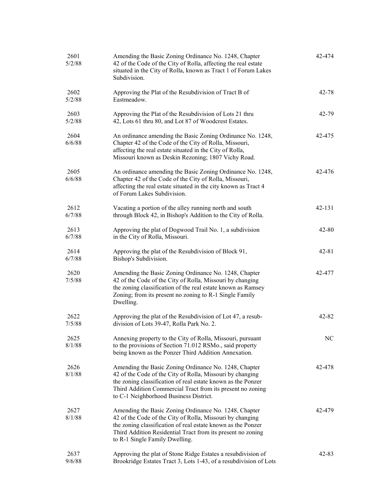| 2601<br>5/2/88 | Amending the Basic Zoning Ordinance No. 1248, Chapter<br>42 of the Code of the City of Rolla, affecting the real estate<br>situated in the City of Rolla, known as Tract 1 of Forum Lakes<br>Subdivision.                                                                                  | 42-474    |
|----------------|--------------------------------------------------------------------------------------------------------------------------------------------------------------------------------------------------------------------------------------------------------------------------------------------|-----------|
| 2602<br>5/2/88 | Approving the Plat of the Resubdivision of Tract B of<br>Eastmeadow.                                                                                                                                                                                                                       | 42-78     |
| 2603<br>5/2/88 | Approving the Plat of the Resubdivision of Lots 21 thru<br>42, Lots 61 thru 80, and Lot 87 of Woodcrest Estates.                                                                                                                                                                           | 42-79     |
| 2604<br>6/6/88 | An ordinance amending the Basic Zoning Ordinance No. 1248,<br>Chapter 42 of the Code of the City of Rolla, Missouri,<br>affecting the real estate situated in the City of Rolla,<br>Missouri known as Deskin Rezoning; 1807 Vichy Road.                                                    | 42-475    |
| 2605<br>6/6/88 | An ordinance amending the Basic Zoning Ordinance No. 1248,<br>Chapter 42 of the Code of the City of Rolla, Missouri,<br>affecting the real estate situated in the city known as Tract 4<br>of Forum Lakes Subdivision.                                                                     | 42-476    |
| 2612<br>6/7/88 | Vacating a portion of the alley running north and south<br>through Block 42, in Bishop's Addition to the City of Rolla.                                                                                                                                                                    | 42-131    |
| 2613<br>6/7/88 | Approving the plat of Dogwood Trail No. 1, a subdivision<br>in the City of Rolla, Missouri.                                                                                                                                                                                                | 42-80     |
| 2614<br>6/7/88 | Approving the plat of the Resubdivision of Block 91,<br>Bishop's Subdivision.                                                                                                                                                                                                              | 42-81     |
| 2620<br>7/5/88 | Amending the Basic Zoning Ordinance No. 1248, Chapter<br>42 of the Code of the City of Rolla, Missouri by changing<br>the zoning classification of the real estate known as Ramsey<br>Zoning; from its present no zoning to R-1 Single Family<br>Dwelling.                                 | 42-477    |
| 2622<br>7/5/88 | Approving the plat of the Resubdivision of Lot 47, a resub-<br>division of Lots 39-47, Rolla Park No. 2.                                                                                                                                                                                   | 42-82     |
| 2625<br>8/1/88 | Annexing property to the City of Rolla, Missouri, pursuant<br>to the provisions of Section 71.012 RSMo., said property<br>being known as the Ponzer Third Addition Annexation.                                                                                                             | NC        |
| 2626<br>8/1/88 | Amending the Basic Zoning Ordinance No. 1248, Chapter<br>42 of the Code of the City of Rolla, Missouri by changing<br>the zoning classification of real estate known as the Ponzer<br>Third Addition Commercial Tract from its present no zoning<br>to C-1 Neighborhood Business District. | 42-478    |
| 2627<br>8/1/88 | Amending the Basic Zoning Ordinance No. 1248, Chapter<br>42 of the Code of the City of Rolla, Missouri by changing<br>the zoning classification of real estate known as the Ponzer<br>Third Addition Residential Tract from its present no zoning<br>to R-1 Single Family Dwelling.        | 42-479    |
| 2637<br>9/6/88 | Approving the plat of Stone Ridge Estates a resubdivision of<br>Brookridge Estates Tract 3, Lots 1-43, of a resubdivision of Lots                                                                                                                                                          | $42 - 83$ |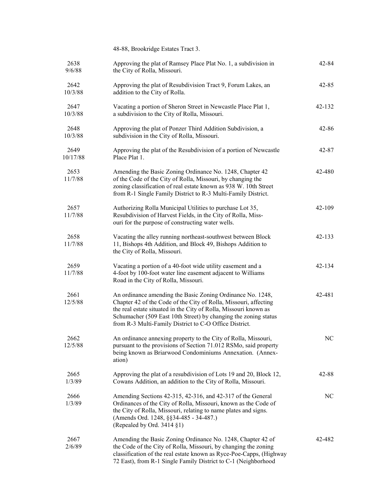|                  | 48-88, Brookridge Estates Tract 3.                                                                                                                                                                                                                                                                                              |           |
|------------------|---------------------------------------------------------------------------------------------------------------------------------------------------------------------------------------------------------------------------------------------------------------------------------------------------------------------------------|-----------|
| 2638<br>9/6/88   | Approving the plat of Ramsey Place Plat No. 1, a subdivision in<br>the City of Rolla, Missouri.                                                                                                                                                                                                                                 | $42 - 84$ |
| 2642<br>10/3/88  | Approving the plat of Resubdivision Tract 9, Forum Lakes, an<br>addition to the City of Rolla.                                                                                                                                                                                                                                  | $42 - 85$ |
| 2647<br>10/3/88  | Vacating a portion of Sheron Street in Newcastle Place Plat 1,<br>a subdivision to the City of Rolla, Missouri.                                                                                                                                                                                                                 | 42-132    |
| 2648<br>10/3/88  | Approving the plat of Ponzer Third Addition Subdivision, a<br>subdivision in the City of Rolla, Missouri.                                                                                                                                                                                                                       | $42 - 86$ |
| 2649<br>10/17/88 | Approving the plat of the Resubdivision of a portion of Newcastle<br>Place Plat 1.                                                                                                                                                                                                                                              | 42-87     |
| 2653<br>11/7/88  | Amending the Basic Zoning Ordinance No. 1248, Chapter 42<br>of the Code of the City of Rolla, Missouri, by changing the<br>zoning classification of real estate known as 938 W. 10th Street<br>from R-1 Single Family District to R-3 Multi-Family District.                                                                    | 42-480    |
| 2657<br>11/7/88  | Authorizing Rolla Municipal Utilities to purchase Lot 35,<br>Resubdivision of Harvest Fields, in the City of Rolla, Miss-<br>ouri for the purpose of constructing water wells.                                                                                                                                                  | 42-109    |
| 2658<br>11/7/88  | Vacating the alley running northeast-southwest between Block<br>11, Bishops 4th Addition, and Block 49, Bishops Addition to<br>the City of Rolla, Missouri.                                                                                                                                                                     | 42-133    |
| 2659<br>11/7/88  | Vacating a portion of a 40-foot wide utility easement and a<br>4-foot by 100-foot water line easement adjacent to Williams<br>Road in the City of Rolla, Missouri.                                                                                                                                                              | 42-134    |
| 2661<br>12/5/88  | An ordinance amending the Basic Zoning Ordinance No. 1248,<br>Chapter 42 of the Code of the City of Rolla, Missouri, affecting<br>the real estate situated in the City of Rolla, Missouri known as<br>Schumacher (509 East 10th Street) by changing the zoning status<br>from R-3 Multi-Family District to C-O Office District. | 42-481    |
| 2662<br>12/5/88  | An ordinance annexing property to the City of Rolla, Missouri,<br>pursuant to the provisions of Section 71.012 RSMo, said property<br>being known as Briarwood Condominiums Annexation. (Annex-<br>ation)                                                                                                                       | $\rm NC$  |
| 2665<br>1/3/89   | Approving the plat of a resubdivision of Lots 19 and 20, Block 12,<br>Cowans Addition, an addition to the City of Rolla, Missouri.                                                                                                                                                                                              | $42 - 88$ |
| 2666<br>1/3/89   | Amending Sections 42-315, 42-316, and 42-317 of the General<br>Ordinances of the City of Rolla, Missouri, known as the Code of<br>the City of Rolla, Missouri, relating to name plates and signs.<br>(Amends Ord. 1248, §§34-485 - 34-487.)<br>(Repealed by Ord. 3414 §1)                                                       | NC.       |
| 2667<br>2/6/89   | Amending the Basic Zoning Ordinance No. 1248, Chapter 42 of<br>the Code of the City of Rolla, Missouri, by changing the zoning<br>classification of the real estate known as Ryce-Poe-Capps, (Highway<br>72 East), from R-1 Single Family District to C-1 (Neighborhood                                                         | 42-482    |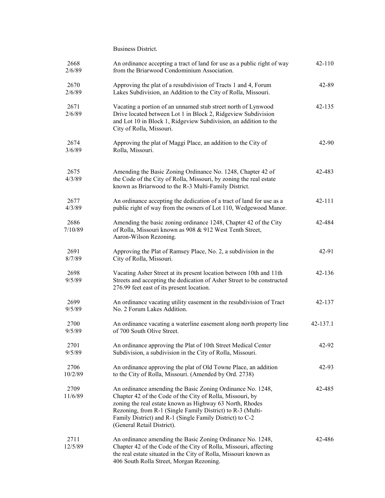Business District.

| 2668<br>2/6/89  | An ordinance accepting a tract of land for use as a public right of way<br>from the Briarwood Condominium Association.                                                                                                                                                                                                                      | 42-110     |
|-----------------|---------------------------------------------------------------------------------------------------------------------------------------------------------------------------------------------------------------------------------------------------------------------------------------------------------------------------------------------|------------|
| 2670<br>2/6/89  | Approving the plat of a resubdivision of Tracts 1 and 4, Forum<br>Lakes Subdivision, an Addition to the City of Rolla, Missouri.                                                                                                                                                                                                            | 42-89      |
| 2671<br>2/6/89  | Vacating a portion of an unnamed stub street north of Lynwood<br>Drive located between Lot 1 in Block 2, Ridgeview Subdivision<br>and Lot 10 in Block 1, Ridgeview Subdivision, an addition to the<br>City of Rolla, Missouri.                                                                                                              | $42 - 135$ |
| 2674<br>3/6/89  | Approving the plat of Maggi Place, an addition to the City of<br>Rolla, Missouri.                                                                                                                                                                                                                                                           | 42-90      |
| 2675<br>4/3/89  | Amending the Basic Zoning Ordinance No. 1248, Chapter 42 of<br>the Code of the City of Rolla, Missouri, by zoning the real estate<br>known as Briarwood to the R-3 Multi-Family District.                                                                                                                                                   | 42-483     |
| 2677<br>4/3/89  | An ordinance accepting the dedication of a tract of land for use as a<br>public right of way from the owners of Lot 110, Wedgewood Manor.                                                                                                                                                                                                   | 42-111     |
| 2686<br>7/10/89 | Amending the basic zoning ordinance 1248, Chapter 42 of the City<br>of Rolla, Missouri known as 908 & 912 West Tenth Street,<br>Aaron-Wilson Rezoning.                                                                                                                                                                                      | 42-484     |
| 2691<br>8/7/89  | Approving the Plat of Ramsey Place, No. 2, a subdivision in the<br>City of Rolla, Missouri.                                                                                                                                                                                                                                                 | 42-91      |
| 2698<br>9/5/89  | Vacating Asher Street at its present location between 10th and 11th<br>Streets and accepting the dedication of Asher Street to be constructed<br>276.99 feet east of its present location.                                                                                                                                                  | $42 - 136$ |
| 2699<br>9/5/89  | An ordinance vacating utility easement in the resubdivision of Tract<br>No. 2 Forum Lakes Addition.                                                                                                                                                                                                                                         | 42-137     |
| 2700<br>9/5/89  | An ordinance vacating a waterline easement along north property line<br>of 700 South Olive Street.                                                                                                                                                                                                                                          | 42-137.1   |
| 2701<br>9/5/89  | An ordinance approving the Plat of 10th Street Medical Center<br>Subdivision, a subdivision in the City of Rolla, Missouri.                                                                                                                                                                                                                 | 42-92      |
| 2706<br>10/2/89 | An ordinance approving the plat of Old Towne Place, an addition<br>to the City of Rolla, Missouri. (Amended by Ord. 2738)                                                                                                                                                                                                                   | 42-93      |
| 2709<br>11/6/89 | An ordinance amending the Basic Zoning Ordinance No. 1248,<br>Chapter 42 of the Code of the City of Rolla, Missouri, by<br>zoning the real estate known as Highway 63 North, Rhodes<br>Rezoning, from R-1 (Single Family District) to R-3 (Multi-<br>Family District) and R-1 (Single Family District) to C-2<br>(General Retail District). | 42-485     |
| 2711<br>12/5/89 | An ordinance amending the Basic Zoning Ordinance No. 1248,<br>Chapter 42 of the Code of the City of Rolla, Missouri, affecting<br>the real estate situated in the City of Rolla, Missouri known as<br>406 South Rolla Street, Morgan Rezoning.                                                                                              | 42-486     |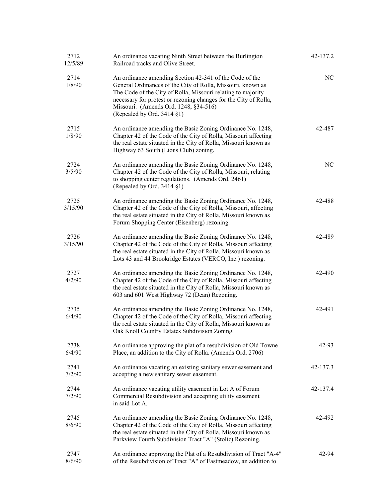| 2712<br>12/5/89 | An ordinance vacating Ninth Street between the Burlington<br>Railroad tracks and Olive Street.                                                                                                                                                                                                                                    | 42-137.2 |
|-----------------|-----------------------------------------------------------------------------------------------------------------------------------------------------------------------------------------------------------------------------------------------------------------------------------------------------------------------------------|----------|
| 2714<br>1/8/90  | An ordinance amending Section 42-341 of the Code of the<br>General Ordinances of the City of Rolla, Missouri, known as<br>The Code of the City of Rolla, Missouri relating to majority<br>necessary for protest or rezoning changes for the City of Rolla,<br>Missouri. (Amends Ord. 1248, §34-516)<br>(Repealed by Ord. 3414 §1) | NC       |
| 2715<br>1/8/90  | An ordinance amending the Basic Zoning Ordinance No. 1248,<br>Chapter 42 of the Code of the City of Rolla, Missouri affecting<br>the real estate situated in the City of Rolla, Missouri known as<br>Highway 63 South (Lions Club) zoning.                                                                                        | 42-487   |
| 2724<br>3/5/90  | An ordinance amending the Basic Zoning Ordinance No. 1248,<br>Chapter 42 of the Code of the City of Rolla, Missouri, relating<br>to shopping center regulations. (Amends Ord. 2461)<br>(Repealed by Ord. 3414 §1)                                                                                                                 | NC       |
| 2725<br>3/15/90 | An ordinance amending the Basic Zoning Ordinance No. 1248,<br>Chapter 42 of the Code of the City of Rolla, Missouri, affecting<br>the real estate situated in the City of Rolla, Missouri known as<br>Forum Shopping Center (Eisenberg) rezoning.                                                                                 | 42-488   |
| 2726<br>3/15/90 | An ordinance amending the Basic Zoning Ordinance No. 1248,<br>Chapter 42 of the Code of the City of Rolla, Missouri affecting<br>the real estate situated in the City of Rolla, Missouri known as<br>Lots 43 and 44 Brookridge Estates (VERCO, Inc.) rezoning.                                                                    | 42-489   |
| 2727<br>4/2/90  | An ordinance amending the Basic Zoning Ordinance No. 1248,<br>Chapter 42 of the Code of the City of Rolla, Missouri affecting<br>the real estate situated in the City of Rolla, Missouri known as<br>603 and 601 West Highway 72 (Dean) Rezoning.                                                                                 | 42-490   |
| 2735<br>6/4/90  | An ordinance amending the Basic Zoning Ordinance No. 1248,<br>Chapter 42 of the Code of the City of Rolla, Missouri affecting<br>the real estate situated in the City of Rolla, Missouri known as<br>Oak Knoll Country Estates Subdivision Zoning.                                                                                | 42-491   |
| 2738<br>6/4/90  | An ordinance approving the plat of a resubdivision of Old Towne<br>Place, an addition to the City of Rolla. (Amends Ord. 2706)                                                                                                                                                                                                    | 42-93    |
| 2741<br>7/2/90  | An ordinance vacating an existing sanitary sewer easement and<br>accepting a new sanitary sewer easement.                                                                                                                                                                                                                         | 42-137.3 |
| 2744<br>7/2/90  | An ordinance vacating utility easement in Lot A of Forum<br>Commercial Resubdivision and accepting utility easement<br>in said Lot A.                                                                                                                                                                                             | 42-137.4 |
| 2745<br>8/6/90  | An ordinance amending the Basic Zoning Ordinance No. 1248,<br>Chapter 42 of the Code of the City of Rolla, Missouri affecting<br>the real estate situated in the City of Rolla, Missouri known as<br>Parkview Fourth Subdivision Tract "A" (Stoltz) Rezoning.                                                                     | 42-492   |
| 2747<br>8/6/90  | An ordinance approving the Plat of a Resubdivision of Tract "A-4"<br>of the Resubdivision of Tract "A" of Eastmeadow, an addition to                                                                                                                                                                                              | 42-94    |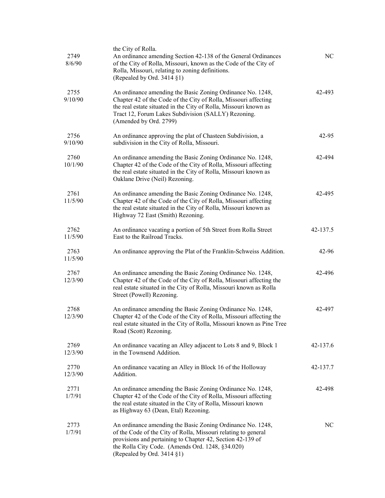| 2749<br>8/6/90  | the City of Rolla.<br>An ordinance amending Section 42-138 of the General Ordinances<br>of the City of Rolla, Missouri, known as the Code of the City of<br>Rolla, Missouri, relating to zoning definitions.<br>(Repealed by Ord. 3414 §1)                                         | NC       |
|-----------------|------------------------------------------------------------------------------------------------------------------------------------------------------------------------------------------------------------------------------------------------------------------------------------|----------|
| 2755<br>9/10/90 | An ordinance amending the Basic Zoning Ordinance No. 1248,<br>Chapter 42 of the Code of the City of Rolla, Missouri affecting<br>the real estate situated in the City of Rolla, Missouri known as<br>Tract 12, Forum Lakes Subdivision (SALLY) Rezoning.<br>(Amended by Ord. 2799) | 42-493   |
| 2756<br>9/10/90 | An ordinance approving the plat of Chasteen Subdivision, a<br>subdivision in the City of Rolla, Missouri.                                                                                                                                                                          | 42-95    |
| 2760<br>10/1/90 | An ordinance amending the Basic Zoning Ordinance No. 1248,<br>Chapter 42 of the Code of the City of Rolla, Missouri affecting<br>the real estate situated in the City of Rolla, Missouri known as<br>Oaklane Drive (Neil) Rezoning.                                                | 42-494   |
| 2761<br>11/5/90 | An ordinance amending the Basic Zoning Ordinance No. 1248,<br>Chapter 42 of the Code of the City of Rolla, Missouri affecting<br>the real estate situated in the City of Rolla, Missouri known as<br>Highway 72 East (Smith) Rezoning.                                             | 42-495   |
| 2762<br>11/5/90 | An ordinance vacating a portion of 5th Street from Rolla Street<br>East to the Railroad Tracks.                                                                                                                                                                                    | 42-137.5 |
| 2763<br>11/5/90 | An ordinance approving the Plat of the Franklin-Schweiss Addition.                                                                                                                                                                                                                 | 42-96    |
| 2767<br>12/3/90 | An ordinance amending the Basic Zoning Ordinance No. 1248,<br>Chapter 42 of the Code of the City of Rolla, Missouri affecting the<br>real estate situated in the City of Rolla, Missouri known as Rolla<br>Street (Powell) Rezoning.                                               | 42-496   |
| 2768<br>12/3/90 | An ordinance amending the Basic Zoning Ordinance No. 1248,<br>Chapter 42 of the Code of the City of Rolla, Missouri affecting the<br>real estate situated in the City of Rolla, Missouri known as Pine Tree<br>Road (Scott) Rezoning.                                              | 42-497   |
| 2769<br>12/3/90 | An ordinance vacating an Alley adjacent to Lots 8 and 9, Block 1<br>in the Townsend Addition.                                                                                                                                                                                      | 42-137.6 |
| 2770<br>12/3/90 | An ordinance vacating an Alley in Block 16 of the Holloway<br>Addition.                                                                                                                                                                                                            | 42-137.7 |
| 2771<br>1/7/91  | An ordinance amending the Basic Zoning Ordinance No. 1248,<br>Chapter 42 of the Code of the City of Rolla, Missouri affecting<br>the real estate situated in the City of Rolla, Missouri known<br>as Highway 63 (Dean, Etal) Rezoning.                                             | 42-498   |
| 2773<br>1/7/91  | An ordinance amending the Basic Zoning Ordinance No. 1248,<br>of the Code of the City of Rolla, Missouri relating to general<br>provisions and pertaining to Chapter 42, Section 42-139 of<br>the Rolla City Code. (Amends Ord. 1248, §34.020)<br>(Repealed by Ord. 3414 §1)       | NC       |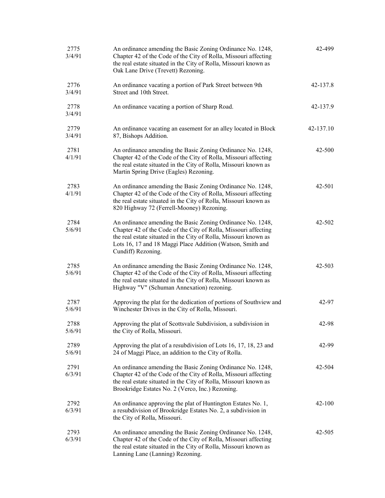| 2775<br>3/4/91 | An ordinance amending the Basic Zoning Ordinance No. 1248,<br>Chapter 42 of the Code of the City of Rolla, Missouri affecting<br>the real estate situated in the City of Rolla, Missouri known as<br>Oak Lane Drive (Trevett) Rezoning.                                               | 42-499     |
|----------------|---------------------------------------------------------------------------------------------------------------------------------------------------------------------------------------------------------------------------------------------------------------------------------------|------------|
| 2776<br>3/4/91 | An ordinance vacating a portion of Park Street between 9th<br>Street and 10th Street.                                                                                                                                                                                                 | 42-137.8   |
| 2778<br>3/4/91 | An ordinance vacating a portion of Sharp Road.                                                                                                                                                                                                                                        | 42-137.9   |
| 2779<br>3/4/91 | An ordinance vacating an easement for an alley located in Block<br>87, Bishops Addition.                                                                                                                                                                                              | 42-137.10  |
| 2781<br>4/1/91 | An ordinance amending the Basic Zoning Ordinance No. 1248,<br>Chapter 42 of the Code of the City of Rolla, Missouri affecting<br>the real estate situated in the City of Rolla, Missouri known as<br>Martin Spring Drive (Eagles) Rezoning.                                           | 42-500     |
| 2783<br>4/1/91 | An ordinance amending the Basic Zoning Ordinance No. 1248,<br>Chapter 42 of the Code of the City of Rolla, Missouri affecting<br>the real estate situated in the City of Rolla, Missouri known as<br>820 Highway 72 (Ferrell-Mooney) Rezoning.                                        | 42-501     |
| 2784<br>5/6/91 | An ordinance amending the Basic Zoning Ordinance No. 1248,<br>Chapter 42 of the Code of the City of Rolla, Missouri affecting<br>the real estate situated in the City of Rolla, Missouri known as<br>Lots 16, 17 and 18 Maggi Place Addition (Watson, Smith and<br>Cundiff) Rezoning. | 42-502     |
| 2785<br>5/6/91 | An ordinance amending the Basic Zoning Ordinance No. 1248,<br>Chapter 42 of the Code of the City of Rolla, Missouri affecting<br>the real estate situated in the City of Rolla, Missouri known as<br>Highway "V" (Schuman Annexation) rezoning.                                       | $42 - 503$ |
| 2787<br>5/6/91 | Approving the plat for the dedication of portions of Southview and<br>Winchester Drives in the City of Rolla, Missouri.                                                                                                                                                               | 42-97      |
| 2788<br>5/6/91 | Approving the plat of Scottsvale Subdivision, a subdivision in<br>the City of Rolla, Missouri.                                                                                                                                                                                        | 42-98      |
| 2789<br>5/6/91 | Approving the plat of a resubdivision of Lots 16, 17, 18, 23 and<br>24 of Maggi Place, an addition to the City of Rolla.                                                                                                                                                              | 42-99      |
| 2791<br>6/3/91 | An ordinance amending the Basic Zoning Ordinance No. 1248,<br>Chapter 42 of the Code of the City of Rolla, Missouri affecting<br>the real estate situated in the City of Rolla, Missouri known as<br>Brookridge Estates No. 2 (Verco, Inc.) Rezoning.                                 | 42-504     |
| 2792<br>6/3/91 | An ordinance approving the plat of Huntington Estates No. 1,<br>a resubdivision of Brookridge Estates No. 2, a subdivision in<br>the City of Rolla, Missouri.                                                                                                                         | 42-100     |
| 2793<br>6/3/91 | An ordinance amending the Basic Zoning Ordinance No. 1248,<br>Chapter 42 of the Code of the City of Rolla, Missouri affecting<br>the real estate situated in the City of Rolla, Missouri known as<br>Lanning Lane (Lanning) Rezoning.                                                 | 42-505     |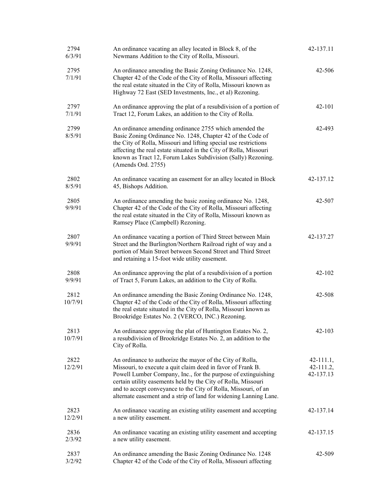| 2794<br>6/3/91  | An ordinance vacating an alley located in Block 8, of the<br>Newmans Addition to the City of Rolla, Missouri.                                                                                                                                                                                                                                                                                     | 42-137.11                                   |
|-----------------|---------------------------------------------------------------------------------------------------------------------------------------------------------------------------------------------------------------------------------------------------------------------------------------------------------------------------------------------------------------------------------------------------|---------------------------------------------|
| 2795<br>7/1/91  | An ordinance amending the Basic Zoning Ordinance No. 1248,<br>Chapter 42 of the Code of the City of Rolla, Missouri affecting<br>the real estate situated in the City of Rolla, Missouri known as<br>Highway 72 East (SED Investments, Inc., et al) Rezoning.                                                                                                                                     | 42-506                                      |
| 2797<br>7/1/91  | An ordinance approving the plat of a resubdivision of a portion of<br>Tract 12, Forum Lakes, an addition to the City of Rolla.                                                                                                                                                                                                                                                                    | 42-101                                      |
| 2799<br>8/5/91  | An ordinance amending ordinance 2755 which amended the<br>Basic Zoning Ordinance No. 1248, Chapter 42 of the Code of<br>the City of Rolla, Missouri and lifting special use restrictions<br>affecting the real estate situated in the City of Rolla, Missouri<br>known as Tract 12, Forum Lakes Subdivision (Sally) Rezoning.<br>(Amends Ord. 2755)                                               | 42-493                                      |
| 2802<br>8/5/91  | An ordinance vacating an easement for an alley located in Block<br>45, Bishops Addition.                                                                                                                                                                                                                                                                                                          | 42-137.12                                   |
| 2805<br>9/9/91  | An ordinance amending the basic zoning ordinance No. 1248,<br>Chapter 42 of the Code of the City of Rolla, Missouri affecting<br>the real estate situated in the City of Rolla, Missouri known as<br>Ramsey Place (Campbell) Rezoning.                                                                                                                                                            | 42-507                                      |
| 2807<br>9/9/91  | An ordinance vacating a portion of Third Street between Main<br>Street and the Burlington/Northern Railroad right of way and a<br>portion of Main Street between Second Street and Third Street<br>and retaining a 15-foot wide utility easement.                                                                                                                                                 | 42-137.27                                   |
| 2808<br>9/9/91  | An ordinance approving the plat of a resubdivision of a portion<br>of Tract 5, Forum Lakes, an addition to the City of Rolla.                                                                                                                                                                                                                                                                     | 42-102                                      |
| 2812<br>10/7/91 | An ordinance amending the Basic Zoning Ordinance No. 1248,<br>Chapter 42 of the Code of the City of Rolla, Missouri affecting<br>the real estate situated in the City of Rolla, Missouri known as<br>Brookridge Estates No. 2 (VERCO, INC.) Rezoning.                                                                                                                                             | 42-508                                      |
| 2813<br>10/7/91 | An ordinance approving the plat of Huntington Estates No. 2,<br>a resubdivision of Brookridge Estates No. 2, an addition to the<br>City of Rolla.                                                                                                                                                                                                                                                 | $42 - 103$                                  |
| 2822<br>12/2/91 | An ordinance to authorize the mayor of the City of Rolla,<br>Missouri, to execute a quit claim deed in favor of Frank B.<br>Powell Lumber Company, Inc., for the purpose of extinguishing<br>certain utility easements held by the City of Rolla, Missouri<br>and to accept conveyance to the City of Rolla, Missouri, of an<br>alternate easement and a strip of land for widening Lanning Lane. | $42 - 111.1,$<br>$42 - 111.2,$<br>42-137.13 |
| 2823<br>12/2/91 | An ordinance vacating an existing utility easement and accepting<br>a new utility easement.                                                                                                                                                                                                                                                                                                       | 42-137.14                                   |
| 2836<br>2/3/92  | An ordinance vacating an existing utility easement and accepting<br>a new utility easement.                                                                                                                                                                                                                                                                                                       | 42-137.15                                   |
| 2837<br>3/2/92  | An ordinance amending the Basic Zoning Ordinance No. 1248<br>Chapter 42 of the Code of the City of Rolla, Missouri affecting                                                                                                                                                                                                                                                                      | 42-509                                      |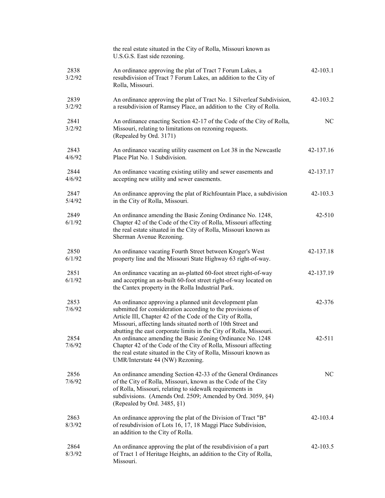|                | the real estate situated in the City of Rolla, Missouri known as<br>U.S.G.S. East side rezoning.                                                                                                                                                                                                           |              |
|----------------|------------------------------------------------------------------------------------------------------------------------------------------------------------------------------------------------------------------------------------------------------------------------------------------------------------|--------------|
| 2838<br>3/2/92 | An ordinance approving the plat of Tract 7 Forum Lakes, a<br>resubdivision of Tract 7 Forum Lakes, an addition to the City of<br>Rolla, Missouri.                                                                                                                                                          | $42 - 103.1$ |
| 2839<br>3/2/92 | An ordinance approving the plat of Tract No. 1 Silverleaf Subdivision,<br>a resubdivision of Ramsey Place, an addition to the City of Rolla.                                                                                                                                                               | 42-103.2     |
| 2841<br>3/2/92 | An ordinance enacting Section 42-17 of the Code of the City of Rolla,<br>Missouri, relating to limitations on rezoning requests.<br>(Repealed by Ord. 3171)                                                                                                                                                | NC           |
| 2843<br>4/6/92 | An ordinance vacating utility easement on Lot 38 in the Newcastle<br>Place Plat No. 1 Subdivision.                                                                                                                                                                                                         | 42-137.16    |
| 2844<br>4/6/92 | An ordinance vacating existing utility and sewer easements and<br>accepting new utility and sewer easements.                                                                                                                                                                                               | 42-137.17    |
| 2847<br>5/4/92 | An ordinance approving the plat of Richfountain Place, a subdivision<br>in the City of Rolla, Missouri.                                                                                                                                                                                                    | 42-103.3     |
| 2849<br>6/1/92 | An ordinance amending the Basic Zoning Ordinance No. 1248,<br>Chapter 42 of the Code of the City of Rolla, Missouri affecting<br>the real estate situated in the City of Rolla, Missouri known as<br>Sherman Avenue Rezoning.                                                                              | $42 - 510$   |
| 2850<br>6/1/92 | An ordinance vacating Fourth Street between Kroger's West<br>property line and the Missouri State Highway 63 right-of-way.                                                                                                                                                                                 | 42-137.18    |
| 2851<br>6/1/92 | An ordinance vacating an as-platted 60-foot street right-of-way<br>and accepting an as-built 60-foot street right-of-way located on<br>the Cantex property in the Rolla Industrial Park.                                                                                                                   | 42-137.19    |
| 2853<br>7/6/92 | An ordinance approving a planned unit development plan<br>submitted for consideration according to the provisions of<br>Article III, Chapter 42 of the Code of the City of Rolla,<br>Missouri, affecting lands situated north of 10th Street and                                                           | 42-376       |
| 2854<br>7/6/92 | abutting the east corporate limits in the City of Rolla, Missouri.<br>An ordinance amending the Basic Zoning Ordinance No. 1248<br>Chapter 42 of the Code of the City of Rolla, Missouri affecting<br>the real estate situated in the City of Rolla, Missouri known as<br>UMR/Interstate 44 (NW) Rezoning. | 42-511       |
| 2856<br>7/6/92 | An ordinance amending Section 42-33 of the General Ordinances<br>of the City of Rolla, Missouri, known as the Code of the City<br>of Rolla, Missouri, relating to sidewalk requirements in<br>subdivisions. (Amends Ord. 2509; Amended by Ord. 3059, §4)<br>(Repealed by Ord. 3485, §1)                    | NC           |
| 2863<br>8/3/92 | An ordinance approving the plat of the Division of Tract "B"<br>of resubdivision of Lots 16, 17, 18 Maggi Place Subdivision,<br>an addition to the City of Rolla.                                                                                                                                          | 42-103.4     |
| 2864<br>8/3/92 | An ordinance approving the plat of the resubdivision of a part<br>of Tract 1 of Heritage Heights, an addition to the City of Rolla,<br>Missouri.                                                                                                                                                           | 42-103.5     |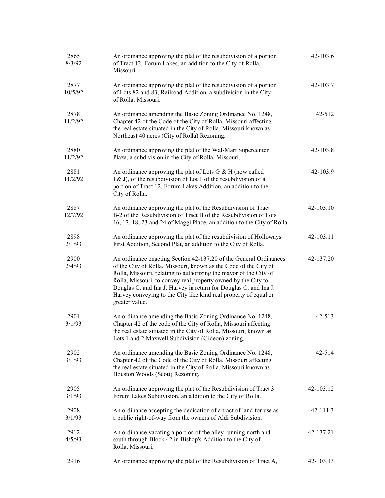| 2865<br>8/3/92  | An ordinance approving the plat of the resubdivision of a portion<br>of Tract 12, Forum Lakes, an addition to the City of Rolla,<br>Missouri.                                                                                                                                                                                                                                                                                         | 42-103.6   |
|-----------------|---------------------------------------------------------------------------------------------------------------------------------------------------------------------------------------------------------------------------------------------------------------------------------------------------------------------------------------------------------------------------------------------------------------------------------------|------------|
| 2877<br>10/5/92 | An ordinance approving the plat of the resubdivision of a portion<br>of Lots 82 and 83, Railroad Addition, a subdivision in the City<br>of Rolla, Missouri.                                                                                                                                                                                                                                                                           | 42-103.7   |
| 2878<br>11/2/92 | An ordinance amending the Basic Zoning Ordinance No. 1248,<br>Chapter 42 of the Code of the City of Rolla, Missouri affecting<br>the real estate situated in the City of Rolla, Missouri known as<br>Northeast 40 acres (City of Rolla) Rezoning.                                                                                                                                                                                     | 42-512     |
| 2880<br>11/2/92 | An ordinance approving the plat of the Wal-Mart Supercenter<br>Plaza, a subdivision in the City of Rolla, Missouri.                                                                                                                                                                                                                                                                                                                   | 42-103.8   |
| 2881<br>11/2/92 | An ordinance approving the plat of Lots G $&$ H (now called<br>I & J), of the resubdivision of Lot 1 of the resubdivision of a<br>portion of Tract 12, Forum Lakes Addition, an addition to the<br>City of Rolla.                                                                                                                                                                                                                     | 42-103.9   |
| 2887<br>12/7/92 | An ordinance approving the plat of the Resubdivision of Tract<br>B-2 of the Resubdivision of Tract B of the Resubdivision of Lots<br>16, 17, 18, 23 and 24 of Maggi Place, an addition to the City of Rolla.                                                                                                                                                                                                                          | 42-103.10  |
| 2898<br>2/1/93  | An ordinance approving the plat of the resubdivision of Holloways<br>First Addition, Second Plat, an addition to the City of Rolla.                                                                                                                                                                                                                                                                                                   | 42-103.11  |
| 2900<br>2/4/93  | An ordinance enacting Section 42-137.20 of the General Ordinances<br>of the City of Rolla, Missouri, known as the Code of the City of<br>Rolla, Missouri, relating to authorizing the mayor of the City of<br>Rolla, Missouri, to convey real property owned by the City to<br>Douglas C. and Ina J. Harvey in return for Douglas C. and Ina J.<br>Harvey conveying to the City like kind real property of equal or<br>greater value. | 42-137.20  |
| 2901<br>3/1/93  | An ordinance amending the Basic Zoning Ordinance No. 1248,<br>Chapter 42 of the code of the City of Rolla, Missouri affecting<br>the real estate situated in the City of Rolla, Missouri, known as<br>Lots 1 and 2 Maxwell Subdivision (Gideon) zoning.                                                                                                                                                                               | $42 - 513$ |
| 2902<br>3/1/93  | An ordinance amending the Basic Zoning Ordinance No. 1248,<br>Chapter 42 of the Code of the City of Rolla, Missouri affecting<br>the real estate situated in the City of Rolla, Missouri known as<br>Houston Woods (Scott) Rezoning.                                                                                                                                                                                                  | 42-514     |
| 2905<br>3/1/93  | An ordinance approving the plat of the Resubdivision of Tract 3<br>Forum Lakes Subdivision, an addition to the City of Rolla.                                                                                                                                                                                                                                                                                                         | 42-103.12  |
| 2908<br>3/1/93  | An ordinance accepting the dedication of a tract of land for use as<br>a public right-of-way from the owners of Aldi Subdivision.                                                                                                                                                                                                                                                                                                     | 42-111.3   |
| 2912<br>4/5/93  | An ordinance vacating a portion of the alley running north and<br>south through Block 42 in Bishop's Addition to the City of<br>Rolla, Missouri.                                                                                                                                                                                                                                                                                      | 42-137.21  |
| 2916            | An ordinance approving the plat of the Resubdivision of Tract A,                                                                                                                                                                                                                                                                                                                                                                      | 42-103.13  |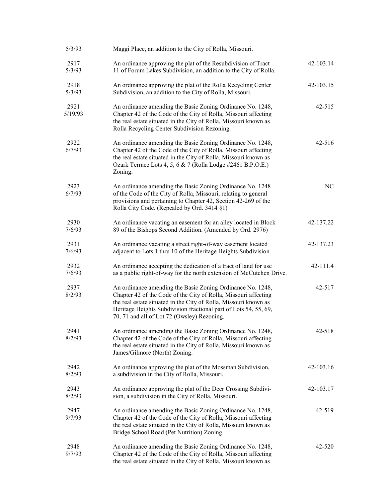| 5/3/93          | Maggi Place, an addition to the City of Rolla, Missouri.                                                                                                                                                                                                                                                             |            |
|-----------------|----------------------------------------------------------------------------------------------------------------------------------------------------------------------------------------------------------------------------------------------------------------------------------------------------------------------|------------|
| 2917<br>5/3/93  | An ordinance approving the plat of the Resubdivision of Tract<br>11 of Forum Lakes Subdivision, an addition to the City of Rolla.                                                                                                                                                                                    | 42-103.14  |
| 2918<br>5/3/93  | An ordinance approving the plat of the Rolla Recycling Center<br>Subdivision, an addition to the City of Rolla, Missouri.                                                                                                                                                                                            | 42-103.15  |
| 2921<br>5/19/93 | An ordinance amending the Basic Zoning Ordinance No. 1248,<br>Chapter 42 of the Code of the City of Rolla, Missouri affecting<br>the real estate situated in the City of Rolla, Missouri known as<br>Rolla Recycling Center Subdivision Rezoning.                                                                    | $42 - 515$ |
| 2922<br>6/7/93  | An ordinance amending the Basic Zoning Ordinance No. 1248,<br>Chapter 42 of the Code of the City of Rolla, Missouri affecting<br>the real estate situated in the City of Rolla, Missouri known as<br>Ozark Terrace Lots 4, 5, 6 & 7 (Rolla Lodge #2461 B.P.O.E.)<br>Zoning.                                          | $42 - 516$ |
| 2923<br>6/7/93  | An ordinance amending the Basic Zoning Ordinance No. 1248<br>of the Code of the City of Rolla, Missouri, relating to general<br>provisions and pertaining to Chapter 42, Section 42-269 of the<br>Rolla City Code. (Repealed by Ord. 3414 §1)                                                                        | NC         |
| 2930<br>7/6/93  | An ordinance vacating an easement for an alley located in Block<br>89 of the Bishops Second Addition. (Amended by Ord. 2976)                                                                                                                                                                                         | 42-137.22  |
| 2931<br>7/6/93  | An ordinance vacating a street right-of-way easement located<br>adjacent to Lots 1 thru 10 of the Heritage Heights Subdivision.                                                                                                                                                                                      | 42-137.23  |
| 2932<br>7/6/93  | An ordinance accepting the dedication of a tract of land for use<br>as a public right-of-way for the north extension of McCutchen Drive.                                                                                                                                                                             | 42-111.4   |
| 2937<br>8/2/93  | An ordinance amending the Basic Zoning Ordinance No. 1248,<br>Chapter 42 of the Code of the City of Rolla, Missouri affecting<br>the real estate situated in the City of Rolla, Missouri known as<br>Heritage Heights Subdivision fractional part of Lots 54, 55, 69,<br>70, 71 and all of Lot 72 (Owsley) Rezoning. | 42-517     |
| 2941<br>8/2/93  | An ordinance amending the Basic Zoning Ordinance No. 1248,<br>Chapter 42 of the Code of the City of Rolla, Missouri affecting<br>the real estate situated in the City of Rolla, Missouri known as<br>James/Gilmore (North) Zoning.                                                                                   | 42-518     |
| 2942<br>8/2/93  | An ordinance approving the plat of the Mossman Subdivision,<br>a subdivision in the City of Rolla, Missouri.                                                                                                                                                                                                         | 42-103.16  |
| 2943<br>8/2/93  | An ordinance approving the plat of the Deer Crossing Subdivi-<br>sion, a subdivision in the City of Rolla, Missouri.                                                                                                                                                                                                 | 42-103.17  |
| 2947<br>9/7/93  | An ordinance amending the Basic Zoning Ordinance No. 1248,<br>Chapter 42 of the Code of the City of Rolla, Missouri affecting<br>the real estate situated in the City of Rolla, Missouri known as<br>Bridge School Road (Pet Nutrition) Zoning.                                                                      | 42-519     |
| 2948<br>9/7/93  | An ordinance amending the Basic Zoning Ordinance No. 1248,<br>Chapter 42 of the Code of the City of Rolla, Missouri affecting<br>the real estate situated in the City of Rolla, Missouri known as                                                                                                                    | 42-520     |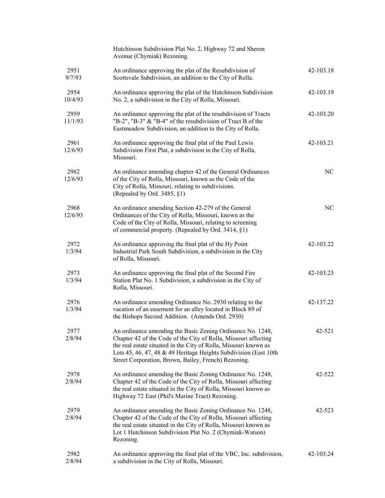|                 | Hutchinson Subdivision Plat No. 2, Highway 72 and Sheron<br>Avenue (Chymiak) Rezoning.                                                                                                                                                                                                                                        |           |
|-----------------|-------------------------------------------------------------------------------------------------------------------------------------------------------------------------------------------------------------------------------------------------------------------------------------------------------------------------------|-----------|
| 2951<br>9/7/93  | An ordinance approving the plat of the Resubdivision of<br>Scottsvale Subdivision, an addition to the City of Rolla.                                                                                                                                                                                                          | 42-103.18 |
| 2954<br>10/4/93 | An ordinance approving the plat of the Hutchinson Subdivision<br>No. 2, a subdivision in the City of Rolla, Missouri.                                                                                                                                                                                                         | 42-103.19 |
| 2959<br>11/1/93 | An ordinance approving the plat of the resubdivision of Tracts<br>"B-2", "B-3" & "B-4" of the resubdivision of Tract B of the<br>Eastmeadow Subdivision, an addition to the City of Rolla.                                                                                                                                    | 42-103.20 |
| 2961<br>12/6/93 | An ordinance approving the final plat of the Paul Lewis<br>Subdivision First Plat, a subdivision in the City of Rolla,<br>Missouri.                                                                                                                                                                                           | 42-103.21 |
| 2962<br>12/6/93 | An ordinance amending chapter 42 of the General Ordinances<br>of the City of Rolla, Missouri, known as the Code of the<br>City of Rolla, Missouri, relating to subdivisions.<br>(Repealed by Ord. 3485, §1)                                                                                                                   | NC        |
| 2968<br>12/6/93 | An ordinance amending Section 42-279 of the General<br>Ordinances of the City of Rolla, Missouri, known as the<br>Code of the City of Rolla, Missouri, relating to screening<br>of commercial property. (Repealed by Ord. 3414, §1)                                                                                           | NC        |
| 2972<br>1/3/94  | An ordinance approving the final plat of the Hy Point<br>Industrial Park South Subdivision, a subdivision in the City<br>of Rolla, Missouri.                                                                                                                                                                                  | 42-103.22 |
| 2973<br>1/3/94  | An ordinance approving the final plat of the Second Fire<br>Station Plat No. 1 Subdivision, a subdivision in the City of<br>Rolla, Missouri.                                                                                                                                                                                  | 42-103.23 |
| 2976<br>1/3/94  | An ordinance amending Ordinance No. 2930 relating to the<br>vacation of an easement for an alley located in Block 89 of<br>the Bishops Second Addition. (Amends Ord. 2930)                                                                                                                                                    | 42-137.22 |
| 2977<br>2/8/94  | An ordinance amending the Basic Zoning Ordinance No. 1248,<br>Chapter 42 of the Code of the City of Rolla, Missouri affecting<br>the real estate situated in the City of Rolla, Missouri known as<br>Lots 45, 46, 47, 48 & 49 Heritage Heights Subdivision (East 10th<br>Street Corporation, Brown, Bailey, French) Rezoning. | 42-521    |
| 2978<br>2/8/94  | An ordinance amending the Basic Zoning Ordinance No. 1248,<br>Chapter 42 of the Code of the City of Rolla, Missouri affecting<br>the real estate situated in the City of Rolla, Missouri known as<br>Highway 72 East (Phil's Marine Tract) Rezoning.                                                                          | 42-522    |
| 2979<br>2/8/94  | An ordinance amending the Basic Zoning Ordinance No. 1248,<br>Chapter 42 of the Code of the City of Rolla, Missouri affecting<br>the real estate situated in the City of Rolla, Missouri known as<br>Lot 1 Hutchinson Subdivision Plat No. 2 (Chymiak-Watson)<br>Rezoning.                                                    | 42-523    |
| 2982<br>2/8/94  | An ordinance approving the final plat of the VBC, Inc. subdivision,<br>a subdivision in the City of Rolla, Missouri.                                                                                                                                                                                                          | 42-103.24 |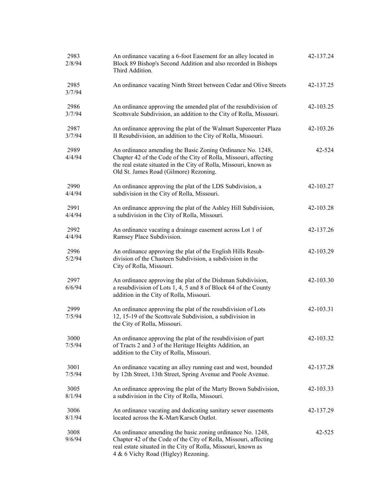| 2983<br>2/8/94 | An ordinance vacating a 6-foot Easement for an alley located in<br>Block 89 Bishop's Second Addition and also recorded in Bishops<br>Third Addition.                                                                                          | 42-137.24 |
|----------------|-----------------------------------------------------------------------------------------------------------------------------------------------------------------------------------------------------------------------------------------------|-----------|
| 2985<br>3/7/94 | An ordinance vacating Ninth Street between Cedar and Olive Streets                                                                                                                                                                            | 42-137.25 |
| 2986<br>3/7/94 | An ordinance approving the amended plat of the resubdivision of<br>Scottsvale Subdivision, an addition to the City of Rolla, Missouri.                                                                                                        | 42-103.25 |
| 2987<br>3/7/94 | An ordinance approving the plat of the Walmart Supercenter Plaza<br>II Resubdivision, an addition to the City of Rolla, Missouri.                                                                                                             | 42-103.26 |
| 2989<br>4/4/94 | An ordinance amending the Basic Zoning Ordinance No. 1248,<br>Chapter 42 of the Code of the City of Rolla, Missouri, affecting<br>the real estate situated in the City of Rolla, Missouri, known as<br>Old St. James Road (Gilmore) Rezoning. | 42-524    |
| 2990<br>4/4/94 | An ordinance approving the plat of the LDS Subdivision, a<br>subdivision in the City of Rolla, Missouri.                                                                                                                                      | 42-103.27 |
| 2991<br>4/4/94 | An ordinance approving the plat of the Ashley Hill Subdivision,<br>a subdivision in the City of Rolla, Missouri.                                                                                                                              | 42-103.28 |
| 2992<br>4/4/94 | An ordinance vacating a drainage easement across Lot 1 of<br>Ramsey Place Subdivision.                                                                                                                                                        | 42-137.26 |
| 2996<br>5/2/94 | An ordinance approving the plat of the English Hills Resub-<br>division of the Chasteen Subdivision, a subdivision in the<br>City of Rolla, Missouri.                                                                                         | 42-103.29 |
| 2997<br>6/6/94 | An ordinance approving the plat of the Dishman Subdivision,<br>a resubdivision of Lots 1, 4, 5 and 8 of Block 64 of the County<br>addition in the City of Rolla, Missouri.                                                                    | 42-103.30 |
| 2999<br>7/5/94 | An ordinance approving the plat of the resubdivision of Lots<br>12, 15-19 of the Scottsvale Subdivision, a subdivision in<br>the City of Rolla, Missouri.                                                                                     | 42-103.31 |
| 3000<br>7/5/94 | An ordinance approving the plat of the resubdivision of part<br>of Tracts 2 and 3 of the Heritage Heights Addition, an<br>addition to the City of Rolla, Missouri.                                                                            | 42-103.32 |
| 3001<br>7/5/94 | An ordinance vacating an alley running east and west, bounded<br>by 12th Street, 13th Street, Spring Avenue and Poole Avenue.                                                                                                                 | 42-137.28 |
| 3005<br>8/1/94 | An ordinance approving the plat of the Marty Brown Subdivision,<br>a subdivision in the City of Rolla, Missouri.                                                                                                                              | 42-103.33 |
| 3006<br>8/1/94 | An ordinance vacating and dedicating sanitary sewer easements<br>located across the K-Mart/Karsch Outlot.                                                                                                                                     | 42-137.29 |
| 3008<br>9/6/94 | An ordinance amending the basic zoning ordinance No. 1248,<br>Chapter 42 of the Code of the City of Rolla, Missouri, affecting<br>real estate situated in the City of Rolla, Missouri, known as<br>4 & 6 Vichy Road (Higley) Rezoning.        | 42-525    |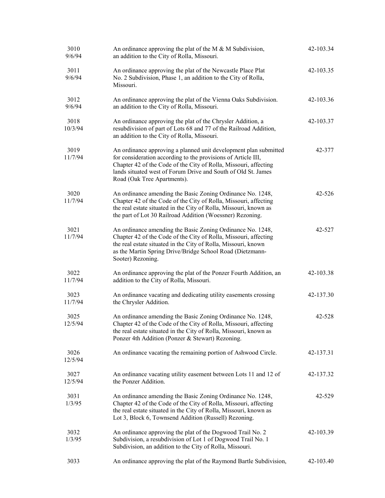| 3010<br>9/6/94  | An ordinance approving the plat of the M $\&$ M Subdivision,<br>an addition to the City of Rolla, Missouri.                                                                                                                                                                                           | 42-103.34  |
|-----------------|-------------------------------------------------------------------------------------------------------------------------------------------------------------------------------------------------------------------------------------------------------------------------------------------------------|------------|
| 3011<br>9/6/94  | An ordinance approving the plat of the Newcastle Place Plat<br>No. 2 Subdivision, Phase 1, an addition to the City of Rolla,<br>Missouri.                                                                                                                                                             | 42-103.35  |
| 3012<br>9/6/94  | An ordinance approving the plat of the Vienna Oaks Subdivision.<br>an addition to the City of Rolla, Missouri.                                                                                                                                                                                        | 42-103.36  |
| 3018<br>10/3/94 | An ordinance approving the plat of the Chrysler Addition, a<br>resubdivision of part of Lots 68 and 77 of the Railroad Addition,<br>an addition to the City of Rolla, Missouri.                                                                                                                       | 42-103.37  |
| 3019<br>11/7/94 | An ordinance approving a planned unit development plan submitted<br>for consideration according to the provisions of Article III,<br>Chapter 42 of the Code of the City of Rolla, Missouri, affecting<br>lands situated west of Forum Drive and South of Old St. James<br>Road (Oak Tree Apartments). | 42-377     |
| 3020<br>11/7/94 | An ordinance amending the Basic Zoning Ordinance No. 1248,<br>Chapter 42 of the Code of the City of Rolla, Missouri, affecting<br>the real estate situated in the City of Rolla, Missouri, known as<br>the part of Lot 30 Railroad Addition (Woessner) Rezoning.                                      | $42 - 526$ |
| 3021<br>11/7/94 | An ordinance amending the Basic Zoning Ordinance No. 1248,<br>Chapter 42 of the Code of the City of Rolla, Missouri, affecting<br>the real estate situated in the City of Rolla, Missouri, known<br>as the Martin Spring Drive/Bridge School Road (Dietzmann-<br>Sooter) Rezoning.                    | 42-527     |
| 3022<br>11/7/94 | An ordinance approving the plat of the Ponzer Fourth Addition, an<br>addition to the City of Rolla, Missouri.                                                                                                                                                                                         | 42-103.38  |
| 3023<br>11/7/94 | An ordinance vacating and dedicating utility easements crossing<br>the Chrysler Addition.                                                                                                                                                                                                             | 42-137.30  |
| 3025<br>12/5/94 | An ordinance amending the Basic Zoning Ordinance No. 1248,<br>Chapter 42 of the Code of the City of Rolla, Missouri, affecting<br>the real estate situated in the City of Rolla, Missouri, known as<br>Ponzer 4th Addition (Ponzer & Stewart) Rezoning.                                               | 42-528     |
| 3026<br>12/5/94 | An ordinance vacating the remaining portion of Ashwood Circle.                                                                                                                                                                                                                                        | 42-137.31  |
| 3027<br>12/5/94 | An ordinance vacating utility easement between Lots 11 and 12 of<br>the Ponzer Addition.                                                                                                                                                                                                              | 42-137.32  |
| 3031<br>1/3/95  | An ordinance amending the Basic Zoning Ordinance No. 1248,<br>Chapter 42 of the Code of the City of Rolla, Missouri, affecting<br>the real estate situated in the City of Rolla, Missouri, known as<br>Lot 3, Block 6, Townsend Addition (Russell) Rezoning.                                          | 42-529     |
| 3032<br>1/3/95  | An ordinance approving the plat of the Dogwood Trail No. 2<br>Subdivision, a resubdivision of Lot 1 of Dogwood Trail No. 1<br>Subdivision, an addition to the City of Rolla, Missouri.                                                                                                                | 42-103.39  |
| 3033            | An ordinance approving the plat of the Raymond Bartle Subdivision,                                                                                                                                                                                                                                    | 42-103.40  |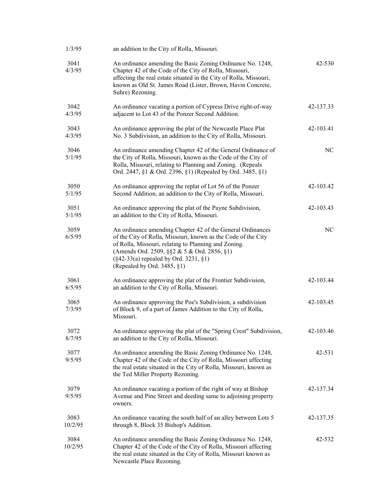| 1/3/95          | an addition to the City of Rolla, Missouri.                                                                                                                                                                                                                                                                          |           |
|-----------------|----------------------------------------------------------------------------------------------------------------------------------------------------------------------------------------------------------------------------------------------------------------------------------------------------------------------|-----------|
| 3041<br>4/3/95  | An ordinance amending the Basic Zoning Ordinance No. 1248,<br>Chapter 42 of the Code of the City of Rolla, Missouri,<br>affecting the real estate situated in the City of Rolla, Missouri,<br>known as Old St. James Road (Lister, Brown, Havin Concrete,<br>Suhre) Rezoning.                                        | 42-530    |
| 3042<br>4/3/95  | An ordinance vacating a portion of Cypress Drive right-of-way<br>adjacent to Lot 43 of the Ponzer Second Addition.                                                                                                                                                                                                   | 42-137.33 |
| 3043<br>4/3/95  | An ordinance approving the plat of the Newcastle Place Plat<br>No. 3 Subdivision, an addition to the City of Rolla, Missouri.                                                                                                                                                                                        | 42-103.41 |
| 3046<br>5/1/95  | An ordinance amending Chapter 42 of the General Ordinance of<br>the City of Rolla, Missouri, known as the Code of the City of<br>Rolla, Missouri, relating to Planning and Zoning. (Repeals<br>Ord. 2447, §1 & Ord. 2396, §1) (Repealed by Ord. 3485, §1)                                                            | $\rm NC$  |
| 3050<br>5/1/95  | An ordinance approving the replat of Lot 56 of the Ponzer<br>Second Addition, an addition to the City of Rolla, Missouri.                                                                                                                                                                                            | 42-103.42 |
| 3051<br>5/1/95  | An ordinance approving the plat of the Payne Subdivision,<br>an addition to the City of Rolla, Missouri.                                                                                                                                                                                                             | 42-103.43 |
| 3059<br>6/5/95  | An ordinance amending Chapter 42 of the General Ordinances<br>of the City of Rolla, Missouri, known as the Code of the City<br>of Rolla, Missouri, relating to Planning and Zoning.<br>(Amends Ord. 2509, §§2 & 5 & Ord. 2856, §1)<br>$(\S 42 - 33(a)$ repealed by Ord. 3231, $\S 1)$<br>(Repealed by Ord. 3485, §1) | NC        |
| 3061<br>6/5/95  | An ordinance approving the plat of the Frontier Subdivision,<br>an addition to the City of Rolla, Missouri.                                                                                                                                                                                                          | 42-103.44 |
| 3065<br>7/3/95  | An ordinance approving the Poe's Subdivision, a subdivision<br>of Block 9, of a part of James Addition to the City of Rolla,<br>Missouri.                                                                                                                                                                            | 42-103.45 |
| 3072<br>8/7/95  | An ordinance approving the plat of the "Spring Crest" Subdivision,<br>an addition to the City of Rolla, Missouri.                                                                                                                                                                                                    | 42-103.46 |
| 3077<br>9/5/95  | An ordinance amending the Basic Zoning Ordinance No. 1248,<br>Chapter 42 of the Code of the City of Rolla, Missouri affecting<br>the real estate situated in the City of Rolla, Missouri, known as<br>the Ted Miller Property Rezoning.                                                                              | 42-531    |
| 3079<br>9/5/95  | An ordinance vacating a portion of the right of way at Bishop<br>Avenue and Pine Street and deeding same to adjoining property<br>owners.                                                                                                                                                                            | 42-137.34 |
| 3083<br>10/2/95 | An ordinance vacating the south half of an alley between Lots 5<br>through 8, Block 35 Bishop's Addition.                                                                                                                                                                                                            | 42-137.35 |
| 3084<br>10/2/95 | An ordinance amending the Basic Zoning Ordinance No. 1248,<br>Chapter 42 of the Code of the City of Rolla, Missouri affecting<br>the real estate situated in the City of Rolla, Missouri known as<br>Newcastle Place Rezoning.                                                                                       | 42-532    |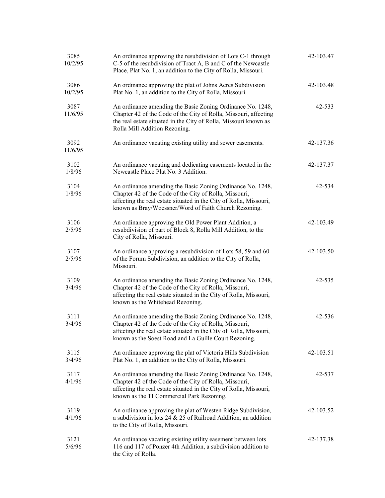| 3085<br>10/2/95 | An ordinance approving the resubdivision of Lots C-1 through<br>C-5 of the resubdivision of Tract A, B and C of the Newcastle<br>Place, Plat No. 1, an addition to the City of Rolla, Missouri.                                                     | 42-103.47 |
|-----------------|-----------------------------------------------------------------------------------------------------------------------------------------------------------------------------------------------------------------------------------------------------|-----------|
| 3086<br>10/2/95 | An ordinance approving the plat of Johns Acres Subdivision<br>Plat No. 1, an addition to the City of Rolla, Missouri.                                                                                                                               | 42-103.48 |
| 3087<br>11/6/95 | An ordinance amending the Basic Zoning Ordinance No. 1248,<br>Chapter 42 of the Code of the City of Rolla, Missouri, affecting<br>the real estate situated in the City of Rolla, Missouri known as<br>Rolla Mill Addition Rezoning.                 | 42-533    |
| 3092<br>11/6/95 | An ordinance vacating existing utility and sewer easements.                                                                                                                                                                                         | 42-137.36 |
| 3102<br>1/8/96  | An ordinance vacating and dedicating easements located in the<br>Newcastle Place Plat No. 3 Addition.                                                                                                                                               | 42-137.37 |
| 3104<br>1/8/96  | An ordinance amending the Basic Zoning Ordinance No. 1248,<br>Chapter 42 of the Code of the City of Rolla, Missouri,<br>affecting the real estate situated in the City of Rolla, Missouri,<br>known as Bray/Woessner/Word of Faith Church Rezoning. | 42-534    |
| 3106<br>2/5/96  | An ordinance approving the Old Power Plant Addition, a<br>resubdivision of part of Block 8, Rolla Mill Addition, to the<br>City of Rolla, Missouri.                                                                                                 | 42-103.49 |
| 3107<br>2/5/96  | An ordinance approving a resubdivision of Lots 58, 59 and 60<br>of the Forum Subdivision, an addition to the City of Rolla,<br>Missouri.                                                                                                            | 42-103.50 |
| 3109<br>3/4/96  | An ordinance amending the Basic Zoning Ordinance No. 1248,<br>Chapter 42 of the Code of the City of Rolla, Missouri,<br>affecting the real estate situated in the City of Rolla, Missouri,<br>known as the Whitehead Rezoning.                      | 42-535    |
| 3111<br>3/4/96  | An ordinance amending the Basic Zoning Ordinance No. 1248,<br>Chapter 42 of the Code of the City of Rolla, Missouri,<br>affecting the real estate situated in the City of Rolla, Missouri,<br>known as the Soest Road and La Guille Court Rezoning. | 42-536    |
| 3115<br>3/4/96  | An ordinance approving the plat of Victoria Hills Subdivision<br>Plat No. 1, an addition to the City of Rolla, Missouri.                                                                                                                            | 42-103.51 |
| 3117<br>4/1/96  | An ordinance amending the Basic Zoning Ordinance No. 1248,<br>Chapter 42 of the Code of the City of Rolla, Missouri,<br>affecting the real estate situated in the City of Rolla, Missouri,<br>known as the TI Commercial Park Rezoning.             | 42-537    |
| 3119<br>4/1/96  | An ordinance approving the plat of Westen Ridge Subdivision,<br>a subdivision in lots $24 & 25$ of Railroad Addition, an addition<br>to the City of Rolla, Missouri.                                                                                | 42-103.52 |
| 3121<br>5/6/96  | An ordinance vacating existing utility easement between lots<br>116 and 117 of Ponzer 4th Addition, a subdivision addition to<br>the City of Rolla.                                                                                                 | 42-137.38 |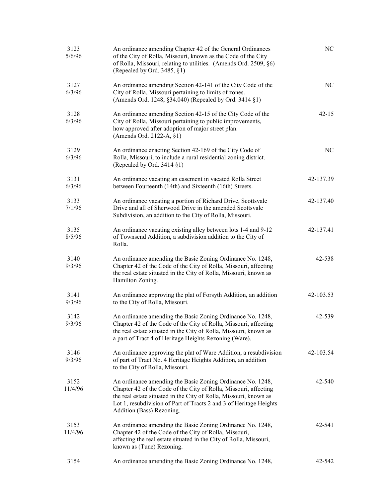| 3123<br>5/6/96  | An ordinance amending Chapter 42 of the General Ordinances<br>of the City of Rolla, Missouri, known as the Code of the City<br>of Rolla, Missouri, relating to utilities. (Amends Ord. 2509, §6)<br>(Repealed by Ord. 3485, $\S1$ )                                                                    | NC        |
|-----------------|--------------------------------------------------------------------------------------------------------------------------------------------------------------------------------------------------------------------------------------------------------------------------------------------------------|-----------|
| 3127<br>6/3/96  | An ordinance amending Section 42-141 of the City Code of the<br>City of Rolla, Missouri pertaining to limits of zones.<br>(Amends Ord. 1248, §34.040) (Repealed by Ord. 3414 §1)                                                                                                                       | NC        |
| 3128<br>6/3/96  | An ordinance amending Section 42-15 of the City Code of the<br>City of Rolla, Missouri pertaining to public improvements,<br>how approved after adoption of major street plan.<br>(Amends Ord. 2122-A, §1)                                                                                             | $42 - 15$ |
| 3129<br>6/3/96  | An ordinance enacting Section 42-169 of the City Code of<br>Rolla, Missouri, to include a rural residential zoning district.<br>(Repealed by Ord. 3414 §1)                                                                                                                                             | NC        |
| 3131<br>6/3/96  | An ordinance vacating an easement in vacated Rolla Street<br>between Fourteenth (14th) and Sixteenth (16th) Streets.                                                                                                                                                                                   | 42-137.39 |
| 3133<br>7/1/96  | An ordinance vacating a portion of Richard Drive, Scottsvale<br>Drive and all of Sherwood Drive in the amended Scottsvale<br>Subdivision, an addition to the City of Rolla, Missouri.                                                                                                                  | 42-137.40 |
| 3135<br>8/5/96  | An ordinance vacating existing alley between lots 1-4 and 9-12<br>of Townsend Addition, a subdivision addition to the City of<br>Rolla.                                                                                                                                                                | 42-137.41 |
| 3140<br>9/3/96  | An ordinance amending the Basic Zoning Ordinance No. 1248,<br>Chapter 42 of the Code of the City of Rolla, Missouri, affecting<br>the real estate situated in the City of Rolla, Missouri, known as<br>Hamilton Zoning.                                                                                | 42-538    |
| 3141<br>9/3/96  | An ordinance approving the plat of Forsyth Addition, an addition<br>to the City of Rolla, Missouri.                                                                                                                                                                                                    | 42-103.53 |
| 3142<br>9/3/96  | An ordinance amending the Basic Zoning Ordinance No. 1248,<br>Chapter 42 of the Code of the City of Rolla, Missouri, affecting<br>the real estate situated in the City of Rolla, Missouri, known as<br>a part of Tract 4 of Heritage Heights Rezoning (Ware).                                          | 42-539    |
| 3146<br>9/3/96  | An ordinance approving the plat of Ware Addition, a resubdivision<br>of part of Tract No. 4 Heritage Heights Addition, an addition<br>to the City of Rolla, Missouri.                                                                                                                                  | 42-103.54 |
| 3152<br>11/4/96 | An ordinance amending the Basic Zoning Ordinance No. 1248,<br>Chapter 42 of the Code of the City of Rolla, Missouri, affecting<br>the real estate situated in the City of Rolla, Missouri, known as<br>Lot 1, resubdivision of Part of Tracts 2 and 3 of Heritage Heights<br>Addition (Bass) Rezoning. | 42-540    |
| 3153<br>11/4/96 | An ordinance amending the Basic Zoning Ordinance No. 1248,<br>Chapter 42 of the Code of the City of Rolla, Missouri,<br>affecting the real estate situated in the City of Rolla, Missouri,<br>known as (Tune) Rezoning.                                                                                | 42-541    |
| 3154            | An ordinance amending the Basic Zoning Ordinance No. 1248,                                                                                                                                                                                                                                             | 42-542    |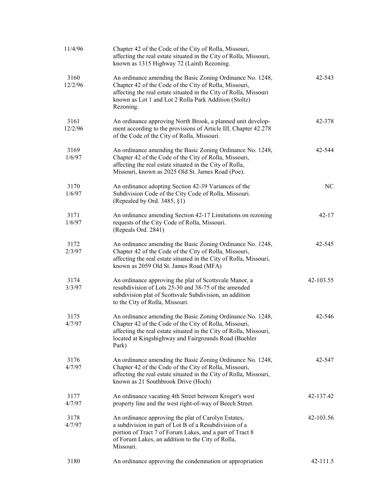| 11/4/96         | Chapter 42 of the Code of the City of Rolla, Missouri,<br>affecting the real estate situated in the City of Rolla, Missouri,<br>known as 1315 Highway 72 (Laird) Rezoning.                                                                                      |           |
|-----------------|-----------------------------------------------------------------------------------------------------------------------------------------------------------------------------------------------------------------------------------------------------------------|-----------|
| 3160<br>12/2/96 | An ordinance amending the Basic Zoning Ordinance No. 1248,<br>Chapter 42 of the Code of the City of Rolla, Missouri,<br>affecting the real estate situated in the City of Rolla, Missouri<br>known as Lot 1 and Lot 2 Rolla Park Addition (Stoltz)<br>Rezoning. | 42-543    |
| 3161<br>12/2/96 | An ordinance approving North Brook, a planned unit develop-<br>ment according to the provisions of Article III, Chapter 42.278<br>of the Code of the City of Rolla, Missouri.                                                                                   | 42-378    |
| 3169<br>1/6/97  | An ordinance amending the Basic Zoning Ordinance No. 1248,<br>Chapter 42 of the Code of the City of Rolla, Missouri,<br>affecting the real estate situated in the City of Rolla,<br>Missouri, known as 2025 Old St. James Road (Poe).                           | 42-544    |
| 3170<br>1/6/97  | An ordinance adopting Section 42-39 Variances of the<br>Subdivision Code of the City Code of Rolla, Missouri.<br>(Repealed by Ord. 3485, §1)                                                                                                                    | NC        |
| 3171<br>1/6/97  | An ordinance amending Section 42-17 Limitations on rezoning<br>requests of the City Code of Rolla, Missouri.<br>(Repeals Ord. 2841)                                                                                                                             | $42 - 17$ |
| 3172<br>2/3/97  | An ordinance amending the Basic Zoning Ordinance No. 1248,<br>Chapter 42 of the Code of the City of Rolla, Missouri,<br>affecting the real estate situated in the City of Rolla, Missouri,<br>known as 2059 Old St. James Road (MFA)                            | 42-545    |
| 3174<br>3/3/97  | An ordinance approving the plat of Scottsvale Manor, a<br>resubdivision of Lots 25-30 and 38-75 of the amended<br>subdivision plat of Scottsvale Subdivision, an addition<br>to the City of Rolla, Missouri.                                                    | 42-103.55 |
| 3175<br>4/7/97  | An ordinance amending the Basic Zoning Ordinance No. 1248,<br>Chapter 42 of the Code of the City of Rolla, Missouri,<br>affecting the real estate situated in the City of Rolla, Missouri,<br>located at Kingshighway and Fairgrounds Road (Buehler<br>Park)    | 42-546    |
| 3176<br>4/7/97  | An ordinance amending the Basic Zoning Ordinance No. 1248,<br>Chapter 42 of the Code of the City of Rolla, Missouri,<br>affecting the real estate situated in the City of Rolla, Missouri,<br>known as 21 Southbrook Drive (Hoch)                               | 42-547    |
| 3177<br>4/7/97  | An ordinance vacating 4th Street between Kroger's west<br>property line and the west right-of-way of Beech Street.                                                                                                                                              | 42-137.42 |
| 3178<br>4/7/97  | An ordinance approving the plat of Carolyn Estates,<br>a subdivision in part of Lot B of a Resubdivision of a<br>portion of Tract 7 of Forum Lakes, and a part of Tract 8<br>of Forum Lakes, an addition to the City of Rolla,<br>Missouri.                     | 42-103.56 |
| 3180            | An ordinance approving the condemnation or appropriation                                                                                                                                                                                                        | 42-111.5  |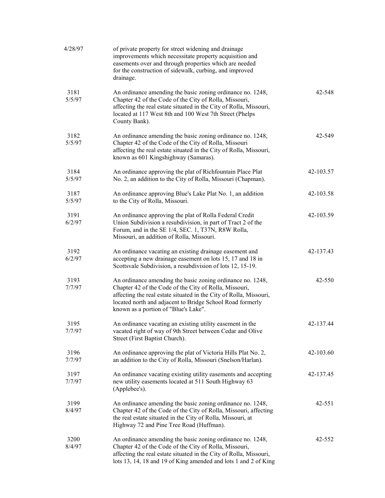| 4/28/97        | of private property for street widening and drainage<br>improvements which necessitate property acquisition and<br>easements over and through properties which are needed<br>for the construction of sidewalk, curbing, and improved<br>drainage.                                               |           |
|----------------|-------------------------------------------------------------------------------------------------------------------------------------------------------------------------------------------------------------------------------------------------------------------------------------------------|-----------|
| 3181<br>5/5/97 | An ordinance amending the basic zoning ordinance no. 1248,<br>Chapter 42 of the Code of the City of Rolla, Missouri,<br>affecting the real estate situated in the City of Rolla, Missouri,<br>located at 117 West 8th and 100 West 7th Street (Phelps<br>County Bank).                          | 42-548    |
| 3182<br>5/5/97 | An ordinance amending the basic zoning ordinance no. 1248,<br>Chapter 42 of the Code of the City of Rolla, Missouri<br>affecting the real estate situated in the City of Rolla, Missouri,<br>known as 601 Kingshighway (Samaras).                                                               | 42-549    |
| 3184<br>5/5/97 | An ordinance approving the plat of Richfountain Place Plat<br>No. 2, an addition to the City of Rolla, Missouri (Chapman).                                                                                                                                                                      | 42-103.57 |
| 3187<br>5/5/97 | An ordinance approving Blue's Lake Plat No. 1, an addition<br>to the City of Rolla, Missouri.                                                                                                                                                                                                   | 42-103.58 |
| 3191<br>6/2/97 | An ordinance approving the plat of Rolla Federal Credit<br>Union Subdivision a resubdivision, in part of Tract 2 of the<br>Forum, and in the SE 1/4, SEC. 1, T37N, R8W Rolla,<br>Missouri, an addition of Rolla, Missouri.                                                                      | 42-103.59 |
| 3192<br>6/2/97 | An ordinance vacating an existing drainage easement and<br>accepting a new drainage easement on lots 15, 17 and 18 in<br>Scottsvale Subdivision, a resubdivision of lots 12, 15-19.                                                                                                             | 42-137.43 |
| 3193<br>7/7/97 | An ordinance amending the basic zoning ordinance no. 1248,<br>Chapter 42 of the Code of the City of Rolla, Missouri,<br>affecting the real estate situated in the City of Rolla, Missouri,<br>located north and adjacent to Bridge School Road formerly<br>known as a portion of "Blue's Lake". | 42-550    |
| 3195<br>7/7/97 | An ordinance vacating an existing utility easement in the<br>vacated right of way of 9th Street between Cedar and Olive<br>Street (First Baptist Church).                                                                                                                                       | 42-137.44 |
| 3196<br>7/7/97 | An ordinance approving the plat of Victoria Hills Plat No. 2,<br>an addition to the City of Rolla, Missouri (Snelson/Harlan).                                                                                                                                                                   | 42-103.60 |
| 3197<br>7/7/97 | An ordinance vacating existing utility easements and accepting<br>new utility easements located at 511 South Highway 63<br>(Applebee's).                                                                                                                                                        | 42-137.45 |
| 3199<br>8/4/97 | An ordinance amending the basic zoning ordinance no. 1248,<br>Chapter 42 of the Code of the City of Rolla, Missouri, affecting<br>the real estate situated in the City of Rolla, Missouri, at<br>Highway 72 and Pine Tree Road (Huffman).                                                       | 42-551    |
| 3200<br>8/4/97 | An ordinance amending the basic zoning ordinance no. 1248,<br>Chapter 42 of the Code of the City of Rolla, Missouri,<br>affecting the real estate situated in the City of Rolla, Missouri,<br>lots 13, 14, 18 and 19 of King amended and lots 1 and 2 of King                                   | 42-552    |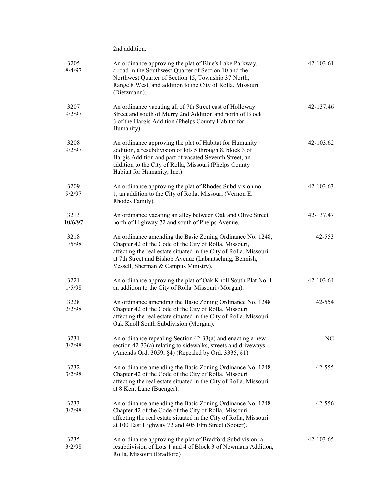| 3205<br>8/4/97  | An ordinance approving the plat of Blue's Lake Parkway,<br>a road in the Southwest Quarter of Section 10 and the<br>Northwest Quarter of Section 15, Township 37 North,<br>Range 8 West, and addition to the City of Rolla, Missouri<br>(Dietzmann).                                          | 42-103.61 |
|-----------------|-----------------------------------------------------------------------------------------------------------------------------------------------------------------------------------------------------------------------------------------------------------------------------------------------|-----------|
| 3207<br>9/2/97  | An ordinance vacating all of 7th Street east of Holloway<br>Street and south of Murry 2nd Addition and north of Block<br>3 of the Hargis Addition (Phelps County Habitat for<br>Humanity).                                                                                                    | 42-137.46 |
| 3208<br>9/2/97  | An ordinance approving the plat of Habitat for Humanity<br>addition, a resubdivision of lots 5 through 8, block 3 of<br>Hargis Addition and part of vacated Seventh Street, an<br>addition to the City of Rolla, Missouri (Phelps County<br>Habitat for Humanity, Inc.).                      | 42-103.62 |
| 3209<br>9/2/97  | An ordinance approving the plat of Rhodes Subdivision no.<br>1, an addition to the City of Rolla, Missouri (Vernon E.<br>Rhodes Family).                                                                                                                                                      | 42-103.63 |
| 3213<br>10/6/97 | An ordinance vacating an alley between Oak and Olive Street,<br>north of Highway 72 and south of Phelps Avenue.                                                                                                                                                                               | 42-137.47 |
| 3218<br>1/5/98  | An ordinance amending the Basic Zoning Ordinance No. 1248,<br>Chapter 42 of the Code of the City of Rolla, Missouri,<br>affecting the real estate situated in the City of Rolla, Missouri,<br>at 7th Street and Bishop Avenue (Labantschnig, Bennish,<br>Vessell, Sherman & Campus Ministry). | 42-553    |
| 3221<br>1/5/98  | An ordinance approving the plat of Oak Knoll South Plat No. 1<br>an addition to the City of Rolla, Missouri (Morgan).                                                                                                                                                                         | 42-103.64 |
| 3228<br>2/2/98  | An ordinance amending the Basic Zoning Ordinance No. 1248<br>Chapter 42 of the Code of the City of Rolla, Missouri<br>affecting the real estate situated in the City of Rolla, Missouri,<br>Oak Knoll South Subdivision (Morgan).                                                             | 42-554    |
| 3231<br>3/2/98  | An ordinance repealing Section 42-33(a) and enacting a new<br>section 42-33(a) relating to sidewalks, streets and driveways.<br>(Amends Ord. 3059, §4) (Repealed by Ord. 3335, §1)                                                                                                            | NC        |
| 3232<br>3/2/98  | An ordinance amending the Basic Zoning Ordinance No. 1248<br>Chapter 42 of the Code of the City of Rolla, Missouri<br>affecting the real estate situated in the City of Rolla, Missouri,<br>at 8 Kent Lane (Buenger).                                                                         | 42-555    |
| 3233<br>3/2/98  | An ordinance amending the Basic Zoning Ordinance No. 1248<br>Chapter 42 of the Code of the City of Rolla, Missouri<br>affecting the real estate situated in the City of Rolla, Missouri,<br>at 100 East Highway 72 and 405 Elm Street (Sooter).                                               | 42-556    |
| 3235<br>3/2/98  | An ordinance approving the plat of Bradford Subdivision, a<br>resubdivision of Lots 1 and 4 of Block 3 of Newmans Addition,<br>Rolla, Missouri (Bradford)                                                                                                                                     | 42-103.65 |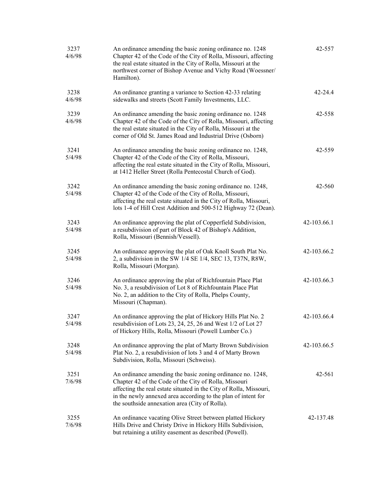| 3237<br>4/6/98 | An ordinance amending the basic zoning ordinance no. 1248<br>Chapter 42 of the Code of the City of Rolla, Missouri, affecting<br>the real estate situated in the City of Rolla, Missouri at the<br>northwest corner of Bishop Avenue and Vichy Road (Woessner/<br>Hamilton).                                 | 42-557      |
|----------------|--------------------------------------------------------------------------------------------------------------------------------------------------------------------------------------------------------------------------------------------------------------------------------------------------------------|-------------|
| 3238<br>4/6/98 | An ordinance granting a variance to Section 42-33 relating<br>sidewalks and streets (Scott Family Investments, LLC.                                                                                                                                                                                          | $42 - 24.4$ |
| 3239<br>4/6/98 | An ordinance amending the basic zoning ordinance no. 1248<br>Chapter 42 of the Code of the City of Rolla, Missouri, affecting<br>the real estate situated in the City of Rolla, Missouri at the<br>corner of Old St. James Road and Industrial Drive (Osborn)                                                | 42-558      |
| 3241<br>5/4/98 | An ordinance amending the basic zoning ordinance no. 1248,<br>Chapter 42 of the Code of the City of Rolla, Missouri,<br>affecting the real estate situated in the City of Rolla, Missouri,<br>at 1412 Heller Street (Rolla Pentecostal Church of God).                                                       | 42-559      |
| 3242<br>5/4/98 | An ordinance amending the basic zoning ordinance no. 1248,<br>Chapter 42 of the Code of the City of Rolla, Missouri,<br>affecting the real estate situated in the City of Rolla, Missouri,<br>lots 1-4 of Hill Crest Addition and 500-512 Highway 72 (Dean).                                                 | 42-560      |
| 3243<br>5/4/98 | An ordinance approving the plat of Copperfield Subdivision,<br>a resubdivision of part of Block 42 of Bishop's Addition,<br>Rolla, Missouri (Bennish/Vessell).                                                                                                                                               | 42-103.66.1 |
| 3245<br>5/4/98 | An ordinance approving the plat of Oak Knoll South Plat No.<br>2, a subdivision in the SW 1/4 SE 1/4, SEC 13, T37N, R8W,<br>Rolla, Missouri (Morgan).                                                                                                                                                        | 42-103.66.2 |
| 3246<br>5/4/98 | An ordinance approving the plat of Richfountain Place Plat<br>No. 3, a resubdivision of Lot 8 of Richfountain Place Plat<br>No. 2, an addition to the City of Rolla, Phelps County,<br>Missouri (Chapman).                                                                                                   | 42-103.66.3 |
| 3247<br>5/4/98 | An ordinance approving the plat of Hickory Hills Plat No. 2<br>resubdivision of Lots 23, 24, 25, 26 and West 1/2 of Lot 27<br>of Hickory Hills, Rolla, Missouri (Powell Lumber Co.)                                                                                                                          | 42-103.66.4 |
| 3248<br>5/4/98 | An ordinance approving the plat of Marty Brown Subdivision<br>Plat No. 2, a resubdivision of lots 3 and 4 of Marty Brown<br>Subdivision, Rolla, Missouri (Schweiss).                                                                                                                                         | 42-103.66.5 |
| 3251<br>7/6/98 | An ordinance amending the basic zoning ordinance no. 1248,<br>Chapter 42 of the Code of the City of Rolla, Missouri<br>affecting the real estate situated in the City of Rolla, Missouri,<br>in the newly annexed area according to the plan of intent for<br>the southside annexation area (City of Rolla). | 42-561      |
| 3255<br>7/6/98 | An ordinance vacating Olive Street between platted Hickory<br>Hills Drive and Christy Drive in Hickory Hills Subdivision,<br>but retaining a utility easement as described (Powell).                                                                                                                         | 42-137.48   |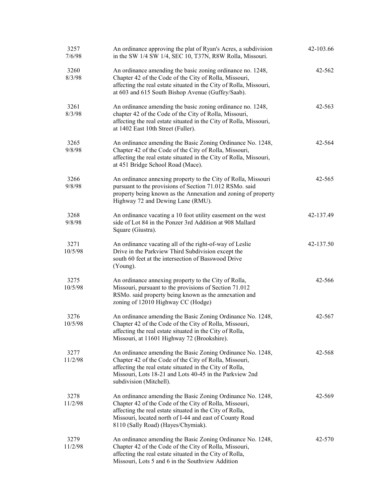| 3257<br>7/6/98  | An ordinance approving the plat of Ryan's Acres, a subdivision<br>in the SW 1/4 SW 1/4, SEC 10, T37N, R8W Rolla, Missouri.                                                                                                                                                        | 42-103.66  |
|-----------------|-----------------------------------------------------------------------------------------------------------------------------------------------------------------------------------------------------------------------------------------------------------------------------------|------------|
| 3260<br>8/3/98  | An ordinance amending the basic zoning ordinance no. 1248,<br>Chapter 42 of the Code of the City of Rolla, Missouri,<br>affecting the real estate situated in the City of Rolla, Missouri,<br>at 603 and 615 South Bishop Avenue (Guffey/Saab).                                   | 42-562     |
| 3261<br>8/3/98  | An ordinance amending the basic zoning ordinance no. 1248,<br>chapter 42 of the Code of the City of Rolla, Missouri,<br>affecting the real estate situated in the City of Rolla, Missouri,<br>at 1402 East 10th Street (Fuller).                                                  | $42 - 563$ |
| 3265<br>9/8/98  | An ordinance amending the Basic Zoning Ordinance No. 1248,<br>Chapter 42 of the Code of the City of Rolla, Missouri,<br>affecting the real estate situated in the City of Rolla, Missouri,<br>at 451 Bridge School Road (Mace).                                                   | 42-564     |
| 3266<br>9/8/98  | An ordinance annexing property to the City of Rolla, Missouri<br>pursuant to the provisions of Section 71.012 RSMo. said<br>property being known as the Annexation and zoning of property<br>Highway 72 and Dewing Lane (RMU).                                                    | 42-565     |
| 3268<br>9/8/98  | An ordinance vacating a 10 foot utility easement on the west<br>side of Lot 84 in the Ponzer 3rd Addition at 908 Mallard<br>Square (Giustra).                                                                                                                                     | 42-137.49  |
| 3271<br>10/5/98 | An ordinance vacating all of the right-of-way of Leslie<br>Drive in the Parkview Third Subdivision except the<br>south 60 feet at the intersection of Basswood Drive<br>(Young).                                                                                                  | 42-137.50  |
| 3275<br>10/5/98 | An ordinance annexing property to the City of Rolla,<br>Missouri, pursuant to the provisions of Section 71.012<br>RSMo. said property being known as the annexation and<br>zoning of 12010 Highway CC (Hodge)                                                                     | 42-566     |
| 3276<br>10/5/98 | An ordinance amending the Basic Zoning Ordinance No. 1248,<br>Chapter 42 of the Code of the City of Rolla, Missouri,<br>affecting the real estate situated in the City of Rolla,<br>Missouri, at 11601 Highway 72 (Brookshire).                                                   | 42-567     |
| 3277<br>11/2/98 | An ordinance amending the Basic Zoning Ordinance No. 1248,<br>Chapter 42 of the Code of the City of Rolla, Missouri,<br>affecting the real estate situated in the City of Rolla,<br>Missouri, Lots 18-21 and Lots 40-45 in the Parkview 2nd<br>subdivision (Mitchell).            | 42-568     |
| 3278<br>11/2/98 | An ordinance amending the Basic Zoning Ordinance No. 1248,<br>Chapter 42 of the Code of the City of Rolla, Missouri,<br>affecting the real estate situated in the City of Rolla,<br>Missouri, located north of I-44 and east of County Road<br>8110 (Sally Road) (Hayes/Chymiak). | 42-569     |
| 3279<br>11/2/98 | An ordinance amending the Basic Zoning Ordinance No. 1248,<br>Chapter 42 of the Code of the City of Rolla, Missouri,<br>affecting the real estate situated in the City of Rolla,<br>Missouri, Lots 5 and 6 in the Southview Addition                                              | 42-570     |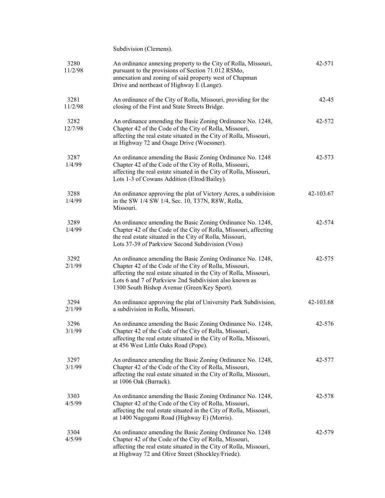Subdivision (Clemens).

| 3280<br>11/2/98 | An ordinance annexing property to the City of Rolla, Missouri,<br>pursuant to the provisions of Section 71.012 RSMo,<br>annexation and zoning of said property west of Chapman<br>Drive and northeast of Highway E (Lange).                                                                         | 42-571    |
|-----------------|-----------------------------------------------------------------------------------------------------------------------------------------------------------------------------------------------------------------------------------------------------------------------------------------------------|-----------|
| 3281<br>11/2/98 | An ordinance of the City of Rolla, Missouri, providing for the<br>closing of the First and State Streets Bridge.                                                                                                                                                                                    | $42 - 45$ |
| 3282<br>12/7/98 | An ordinance amending the Basic Zoning Ordinance No. 1248,<br>Chapter 42 of the Code of the City of Rolla, Missouri,<br>affecting the real estate situated in the City of Rolla, Missouri,<br>at Highway 72 and Osage Drive (Woessner).                                                             | 42-572    |
| 3287<br>1/4/99  | An ordinance amending the Basic Zoning Ordinance No. 1248<br>Chapter 42 of the Code of the City of Rolla, Missouri,<br>affecting the real estate situated in the City of Rolla, Missouri,<br>Lots 1-3 of Cowans Addition (Elrod/Bailey).                                                            | 42-573    |
| 3288<br>1/4/99  | An ordinance approving the plat of Victory Acres, a subdivision<br>in the SW 1/4 SW 1/4, Sec. 10, T37N, R8W, Rolla,<br>Missouri.                                                                                                                                                                    | 42-103.67 |
| 3289<br>1/4/99  | An ordinance amending the Basic Zoning Ordinance No. 1248,<br>Chapter 42 of the Code of the City of Rolla, Missouri, affecting<br>the real estate situated in the City of Rolla, Missouri,<br>Lots 37-39 of Parkview Second Subdivision (Voss)                                                      | 42-574    |
| 3292<br>2/1/99  | An ordinance amending the Basic Zoning Ordinance No. 1248,<br>Chapter 42 of the Code of the City of Rolla, Missouri,<br>affecting the real estate situated in the City of Rolla, Missouri,<br>Lots 6 and 7 of Parkview 2nd Subdivision also known as<br>1300 South Bishop Avenue (Green/Key Sport). | 42-575    |
| 3294<br>2/1/99  | An ordinance approving the plat of University Park Subdivision,<br>a subdivision in Rolla, Missouri.                                                                                                                                                                                                | 42-103.68 |
| 3296<br>3/1/99  | An ordinance amending the Basic Zoning Ordinance No. 1248,<br>Chapter 42 of the Code of the City of Rolla, Missouri,<br>affecting the real estate situated in the City of Rolla, Missouri,<br>at 456 West Little Oaks Road (Pope).                                                                  | 42-576    |
| 3297<br>3/1/99  | An ordinance amending the Basic Zoning Ordinance No. 1248,<br>Chapter 42 of the Code of the City of Rolla, Missouri,<br>affecting the real estate situated in the City of Rolla, Missouri,<br>at 1006 Oak (Barrack).                                                                                | 42-577    |
| 3303<br>4/5/99  | An ordinance amending the Basic Zoning Ordinance No. 1248,<br>Chapter 42 of the Code of the City of Rolla, Missouri,<br>affecting the real estate situated in the City of Rolla, Missouri,<br>at 1400 Nagogami Road (Highway E) (Morris).                                                           | 42-578    |
| 3304<br>4/5/99  | An ordinance amending the Basic Zoning Ordinance No. 1248<br>Chapter 42 of the Code of the City of Rolla, Missouri,<br>affecting the real estate situated in the City of Rolla, Missouri,<br>at Highway 72 and Olive Street (Shockley/Friede).                                                      | 42-579    |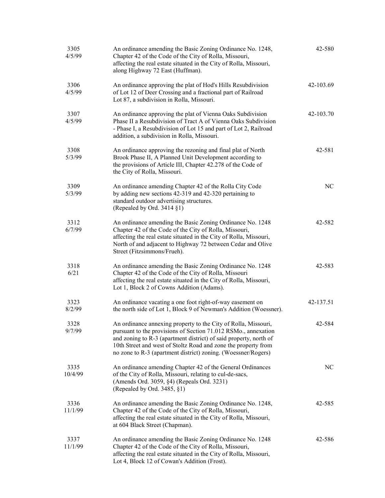| 3305<br>4/5/99  | An ordinance amending the Basic Zoning Ordinance No. 1248,<br>Chapter 42 of the Code of the City of Rolla, Missouri,<br>affecting the real estate situated in the City of Rolla, Missouri,<br>along Highway 72 East (Huffman).                                                                                                           | 42-580    |
|-----------------|------------------------------------------------------------------------------------------------------------------------------------------------------------------------------------------------------------------------------------------------------------------------------------------------------------------------------------------|-----------|
| 3306<br>4/5/99  | An ordinance approving the plat of Hod's Hills Resubdivision<br>of Lot 12 of Deer Crossing and a fractional part of Railroad<br>Lot 87, a subdivision in Rolla, Missouri.                                                                                                                                                                | 42-103.69 |
| 3307<br>4/5/99  | An ordinance approving the plat of Vienna Oaks Subdivision<br>Phase II a Resubdivision of Tract A of Vienna Oaks Subdivision<br>- Phase I, a Resubdivision of Lot 15 and part of Lot 2, Railroad<br>addition, a subdivision in Rolla, Missouri.                                                                                          | 42-103.70 |
| 3308<br>5/3/99  | An ordinance approving the rezoning and final plat of North<br>Brook Phase II, A Planned Unit Development according to<br>the provisions of Article III, Chapter 42.278 of the Code of<br>the City of Rolla, Missouri.                                                                                                                   | 42-581    |
| 3309<br>5/3/99  | An ordinance amending Chapter 42 of the Rolla City Code<br>by adding new sections 42-319 and 42-320 pertaining to<br>standard outdoor advertising structures.<br>(Repealed by Ord. 3414 §1)                                                                                                                                              | NC.       |
| 3312<br>6/7/99  | An ordinance amending the Basic Zoning Ordinance No. 1248<br>Chapter 42 of the Code of the City of Rolla, Missouri,<br>affecting the real estate situated in the City of Rolla, Missouri,<br>North of and adjacent to Highway 72 between Cedar and Olive<br>Street (Fitzsimmons/Frueh).                                                  | 42-582    |
| 3318<br>6/21    | An ordinance amending the Basic Zoning Ordinance No. 1248<br>Chapter 42 of the Code of the City of Rolla, Missouri<br>affecting the real estate situated in the City of Rolla, Missouri,<br>Lot 1, Block 2 of Cowns Addition (Adams).                                                                                                    | 42-583    |
| 3323<br>8/2/99  | An ordinance vacating a one foot right-of-way easement on<br>the north side of Lot 1, Block 9 of Newman's Addition (Woessner).                                                                                                                                                                                                           | 42-137.51 |
| 3328<br>9/7/99  | An ordinance annexing property to the City of Rolla, Missouri,<br>pursuant to the provisions of Section 71.012 RSMo., annexation<br>and zoning to R-3 (apartment district) of said property, north of<br>10th Street and west of Stoltz Road and zone the property from<br>no zone to R-3 (apartment district) zoning. (Woessner/Rogers) | 42-584    |
| 3335<br>10/4/99 | An ordinance amending Chapter 42 of the General Ordinances<br>of the City of Rolla, Missouri, relating to cul-de-sacs,<br>(Amends Ord. 3059, §4) (Repeals Ord. 3231)<br>(Repealed by Ord. $3485, §1$ )                                                                                                                                   | NC        |
| 3336<br>11/1/99 | An ordinance amending the Basic Zoning Ordinance No. 1248,<br>Chapter 42 of the Code of the City of Rolla, Missouri,<br>affecting the real estate situated in the City of Rolla, Missouri,<br>at 604 Black Street (Chapman).                                                                                                             | 42-585    |
| 3337<br>11/1/99 | An ordinance amending the Basic Zoning Ordinance No. 1248<br>Chapter 42 of the Code of the City of Rolla, Missouri,<br>affecting the real estate situated in the City of Rolla, Missouri,<br>Lot 4, Block 12 of Cowan's Addition (Frost).                                                                                                | 42-586    |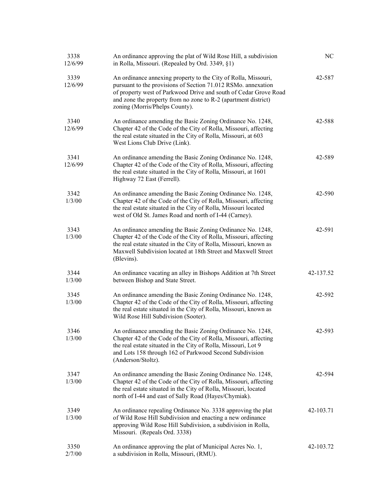| 3338<br>12/6/99 | An ordinance approving the plat of Wild Rose Hill, a subdivision<br>in Rolla, Missouri. (Repealed by Ord. 3349, §1)                                                                                                                                                                                     | NC        |
|-----------------|---------------------------------------------------------------------------------------------------------------------------------------------------------------------------------------------------------------------------------------------------------------------------------------------------------|-----------|
| 3339<br>12/6/99 | An ordinance annexing property to the City of Rolla, Missouri,<br>pursuant to the provisions of Section 71.012 RSMo. annexation<br>of property west of Parkwood Drive and south of Cedar Grove Road<br>and zone the property from no zone to R-2 (apartment district)<br>zoning (Morris/Phelps County). | 42-587    |
| 3340<br>12/6/99 | An ordinance amending the Basic Zoning Ordinance No. 1248,<br>Chapter 42 of the Code of the City of Rolla, Missouri, affecting<br>the real estate situated in the City of Rolla, Missouri, at 603<br>West Lions Club Drive (Link).                                                                      | 42-588    |
| 3341<br>12/6/99 | An ordinance amending the Basic Zoning Ordinance No. 1248,<br>Chapter 42 of the Code of the City of Rolla, Missouri, affecting<br>the real estate situated in the City of Rolla, Missouri, at 1601<br>Highway 72 East (Ferrell).                                                                        | 42-589    |
| 3342<br>1/3/00  | An ordinance amending the Basic Zoning Ordinance No. 1248,<br>Chapter 42 of the Code of the City of Rolla, Missouri, affecting<br>the real estate situated in the City of Rolla, Missouri located<br>west of Old St. James Road and north of I-44 (Carney).                                             | 42-590    |
| 3343<br>1/3/00  | An ordinance amending the Basic Zoning Ordinance No. 1248,<br>Chapter 42 of the Code of the City of Rolla, Missouri, affecting<br>the real estate situated in the City of Rolla, Missouri, known as<br>Maxwell Subdivision located at 18th Street and Maxwell Street<br>(Blevins).                      | 42-591    |
| 3344<br>1/3/00  | An ordinance vacating an alley in Bishops Addition at 7th Street<br>between Bishop and State Street.                                                                                                                                                                                                    | 42-137.52 |
| 3345<br>1/3/00  | An ordinance amending the Basic Zoning Ordinance No. 1248,<br>Chapter 42 of the Code of the City of Rolla, Missouri, affecting<br>the real estate situated in the City of Rolla, Missouri, known as<br>Wild Rose Hill Subdivision (Sooter).                                                             | 42-592    |
| 3346<br>1/3/00  | An ordinance amending the Basic Zoning Ordinance No. 1248,<br>Chapter 42 of the Code of the City of Rolla, Missouri, affecting<br>the real estate situated in the City of Rolla, Missouri, Lot 9<br>and Lots 158 through 162 of Parkwood Second Subdivision<br>(Anderson/Stoltz).                       | 42-593    |
| 3347<br>1/3/00  | An ordinance amending the Basic Zoning Ordinance No. 1248,<br>Chapter 42 of the Code of the City of Rolla, Missouri, affecting<br>the real estate situated in the City of Rolla, Missouri, located<br>north of I-44 and east of Sally Road (Hayes/Chymiak).                                             | 42-594    |
| 3349<br>1/3/00  | An ordinance repealing Ordinance No. 3338 approving the plat<br>of Wild Rose Hill Subdivision and enacting a new ordinance<br>approving Wild Rose Hill Subdivision, a subdivision in Rolla,<br>Missouri. (Repeals Ord. 3338)                                                                            | 42-103.71 |
| 3350<br>2/7/00  | An ordinance approving the plat of Municipal Acres No. 1,<br>a subdivision in Rolla, Missouri, (RMU).                                                                                                                                                                                                   | 42-103.72 |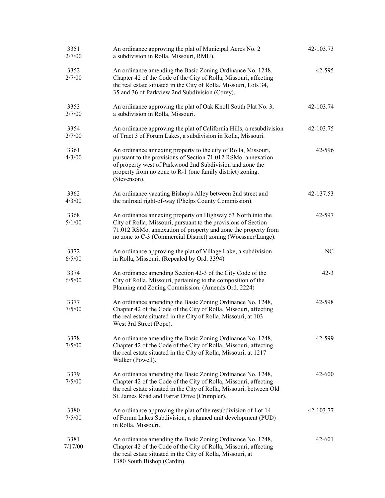| 3351<br>2/7/00  | An ordinance approving the plat of Municipal Acres No. 2<br>a subdivision in Rolla, Missouri, RMU).                                                                                                                                                                        | 42-103.73 |
|-----------------|----------------------------------------------------------------------------------------------------------------------------------------------------------------------------------------------------------------------------------------------------------------------------|-----------|
| 3352<br>2/7/00  | An ordinance amending the Basic Zoning Ordinance No. 1248,<br>Chapter 42 of the Code of the City of Rolla, Missouri, affecting<br>the real estate situated in the City of Rolla, Missouri, Lots 34,<br>35 and 36 of Parkview 2nd Subdivision (Corey).                      | 42-595    |
| 3353<br>2/7/00  | An ordinance approving the plat of Oak Knoll South Plat No. 3,<br>a subdivision in Rolla, Missouri.                                                                                                                                                                        | 42-103.74 |
| 3354<br>2/7/00  | An ordinance approving the plat of California Hills, a resubdivision<br>of Tract 3 of Forum Lakes, a subdivision in Rolla, Missouri.                                                                                                                                       | 42-103.75 |
| 3361<br>4/3/00  | An ordinance annexing property to the city of Rolla, Missouri,<br>pursuant to the provisions of Section 71.012 RSMo. annexation<br>of property west of Parkwood 2nd Subdivision and zone the<br>property from no zone to R-1 (one family district) zoning.<br>(Stevenson). | 42-596    |
| 3362<br>4/3/00  | An ordinance vacating Bishop's Alley between 2nd street and<br>the railroad right-of-way (Phelps County Commission).                                                                                                                                                       | 42-137.53 |
| 3368<br>5/1/00  | An ordinance annexing property on Highway 63 North into the<br>City of Rolla, Missouri, pursuant to the provisions of Section<br>71.012 RSMo. annexation of property and zone the property from<br>no zone to C-3 (Commercial District) zoning (Woessner/Lange).           | 42-597    |
| 3372<br>6/5/00  | An ordinance approving the plat of Village Lake, a subdivision<br>in Rolla, Missouri. (Repealed by Ord. 3394)                                                                                                                                                              | NC        |
| 3374<br>6/5/00  | An ordinance amending Section 42-3 of the City Code of the<br>City of Rolla, Missouri, pertaining to the composition of the<br>Planning and Zoning Commission. (Amends Ord. 2224)                                                                                          | $42 - 3$  |
| 3377<br>7/5/00  | An ordinance amending the Basic Zoning Ordinance No. 1248,<br>Chapter 42 of the Code of the City of Rolla, Missouri, affecting<br>the real estate situated in the City of Rolla, Missouri, at 103<br>West 3rd Street (Pope).                                               | 42-598    |
| 3378<br>7/5/00  | An ordinance amending the Basic Zoning Ordinance No. 1248,<br>Chapter 42 of the Code of the City of Rolla, Missouri, affecting<br>the real estate situated in the City of Rolla, Missouri, at 1217<br>Walker (Powell).                                                     | 42-599    |
| 3379<br>7/5/00  | An ordinance amending the Basic Zoning Ordinance No. 1248,<br>Chapter 42 of the Code of the City of Rolla, Missouri, affecting<br>the real estate situated in the City of Rolla, Missouri, between Old<br>St. James Road and Farrar Drive (Crumpler).                      | 42-600    |
| 3380<br>7/5/00  | An ordinance approving the plat of the resubdivision of Lot 14<br>of Forum Lakes Subdivision, a planned unit development (PUD)<br>in Rolla, Missouri.                                                                                                                      | 42-103.77 |
| 3381<br>7/17/00 | An ordinance amending the Basic Zoning Ordinance No. 1248,<br>Chapter 42 of the Code of the City of Rolla, Missouri, affecting<br>the real estate situated in the City of Rolla, Missouri, at<br>1380 South Bishop (Cardin).                                               | 42-601    |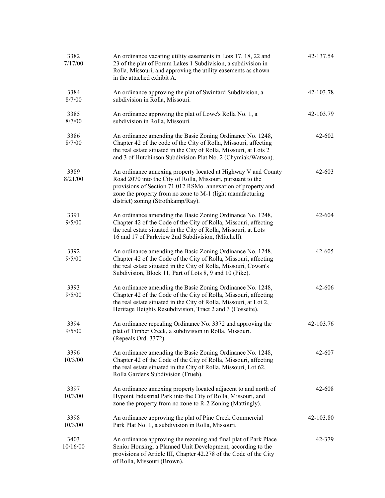| 3382<br>7/17/00  | An ordinance vacating utility easements in Lots 17, 18, 22 and<br>23 of the plat of Forum Lakes 1 Subdivision, a subdivision in<br>Rolla, Missouri, and approving the utility easements as shown<br>in the attached exhibit A.                                                                     | 42-137.54 |
|------------------|----------------------------------------------------------------------------------------------------------------------------------------------------------------------------------------------------------------------------------------------------------------------------------------------------|-----------|
| 3384<br>8/7/00   | An ordinance approving the plat of Swinfard Subdivision, a<br>subdivision in Rolla, Missouri.                                                                                                                                                                                                      | 42-103.78 |
| 3385<br>8/7/00   | An ordinance approving the plat of Lowe's Rolla No. 1, a<br>subdivision in Rolla, Missouri.                                                                                                                                                                                                        | 42-103.79 |
| 3386<br>8/7/00   | An ordinance amending the Basic Zoning Ordinance No. 1248,<br>Chapter 42 of the code of the City of Rolla, Missouri, affecting<br>the real estate situated in the City of Rolla, Missouri, at Lots 2<br>and 3 of Hutchinson Subdivision Plat No. 2 (Chymiak/Watson).                               | 42-602    |
| 3389<br>8/21/00  | An ordinance annexing property located at Highway V and County<br>Road 2070 into the City of Rolla, Missouri, pursuant to the<br>provisions of Section 71.012 RSMo. annexation of property and<br>zone the property from no zone to M-1 (light manufacturing<br>district) zoning (Strothkamp/Ray). | 42-603    |
| 3391<br>9/5/00   | An ordinance amending the Basic Zoning Ordinance No. 1248,<br>Chapter 42 of the Code of the City of Rolla, Missouri, affecting<br>the real estate situated in the City of Rolla, Missouri, at Lots<br>16 and 17 of Parkview 2nd Subdivision, (Mitchell).                                           | 42-604    |
| 3392<br>9/5/00   | An ordinance amending the Basic Zoning Ordinance No. 1248,<br>Chapter 42 of the Code of the City of Rolla, Missouri, affecting<br>the real estate situated in the City of Rolla, Missouri, Cowan's<br>Subdivision, Block 11, Part of Lots 8, 9 and 10 (Pike).                                      | 42-605    |
| 3393<br>9/5/00   | An ordinance amending the Basic Zoning Ordinance No. 1248,<br>Chapter 42 of the Code of the City of Rolla, Missouri, affecting<br>the real estate situated in the City of Rolla, Missouri, at Lot 2,<br>Heritage Heights Resubdivision, Tract 2 and 3 (Cossette).                                  | 42-606    |
| 3394<br>9/5/00   | An ordinance repealing Ordinance No. 3372 and approving the<br>plat of Timber Creek, a subdivision in Rolla, Missouri.<br>(Repeals Ord. 3372)                                                                                                                                                      | 42-103.76 |
| 3396<br>10/3/00  | An ordinance amending the Basic Zoning Ordinance No. 1248,<br>Chapter 42 of the Code of the City of Rolla, Missouri, affecting<br>the real estate situated in the City of Rolla, Missouri, Lot 62,<br>Rolla Gardens Subdivision (Frueh).                                                           | 42-607    |
| 3397<br>10/3/00  | An ordinance annexing property located adjacent to and north of<br>Hypoint Industrial Park into the City of Rolla, Missouri, and<br>zone the property from no zone to R-2 Zoning (Mattingly).                                                                                                      | 42-608    |
| 3398<br>10/3/00  | An ordinance approving the plat of Pine Creek Commercial<br>Park Plat No. 1, a subdivision in Rolla, Missouri.                                                                                                                                                                                     | 42-103.80 |
| 3403<br>10/16/00 | An ordinance approving the rezoning and final plat of Park Place<br>Senior Housing, a Planned Unit Development, according to the<br>provisions of Article III, Chapter 42.278 of the Code of the City<br>of Rolla, Missouri (Brown).                                                               | 42-379    |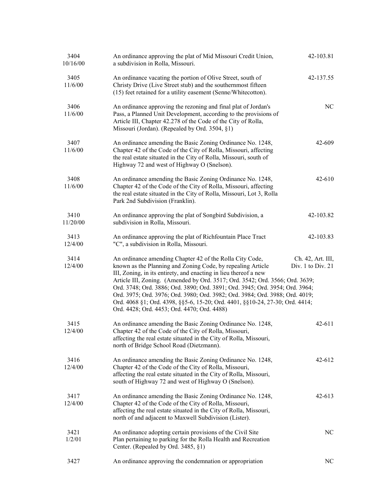| 3404<br>10/16/00 | An ordinance approving the plat of Mid Missouri Credit Union,<br>a subdivision in Rolla, Missouri.                                                                                                                                                                                                                                                                                                                                                                                                                                                                         | 42-103.81                              |
|------------------|----------------------------------------------------------------------------------------------------------------------------------------------------------------------------------------------------------------------------------------------------------------------------------------------------------------------------------------------------------------------------------------------------------------------------------------------------------------------------------------------------------------------------------------------------------------------------|----------------------------------------|
| 3405<br>11/6/00  | An ordinance vacating the portion of Olive Street, south of<br>Christy Drive (Live Street stub) and the southernmost fifteen<br>(15) feet retained for a utility easement (Senne/Whitecotton).                                                                                                                                                                                                                                                                                                                                                                             | 42-137.55                              |
| 3406<br>11/6/00  | An ordinance approving the rezoning and final plat of Jordan's<br>Pass, a Planned Unit Development, according to the provisions of<br>Article III, Chapter 42.278 of the Code of the City of Rolla,<br>Missouri (Jordan). (Repealed by Ord. 3504, §1)                                                                                                                                                                                                                                                                                                                      | NC                                     |
| 3407<br>11/6/00  | An ordinance amending the Basic Zoning Ordinance No. 1248,<br>Chapter 42 of the Code of the City of Rolla, Missouri, affecting<br>the real estate situated in the City of Rolla, Missouri, south of<br>Highway 72 and west of Highway O (Snelson).                                                                                                                                                                                                                                                                                                                         | 42-609                                 |
| 3408<br>11/6/00  | An ordinance amending the Basic Zoning Ordinance No. 1248,<br>Chapter 42 of the Code of the City of Rolla, Missouri, affecting<br>the real estate situated in the City of Rolla, Missouri, Lot 3, Rolla<br>Park 2nd Subdivision (Franklin).                                                                                                                                                                                                                                                                                                                                | $42 - 610$                             |
| 3410<br>11/20/00 | An ordinance approving the plat of Songbird Subdivision, a<br>subdivision in Rolla, Missouri.                                                                                                                                                                                                                                                                                                                                                                                                                                                                              | 42-103.82                              |
| 3413<br>12/4/00  | An ordinance approving the plat of Richfountain Place Tract<br>"C", a subdivision in Rolla, Missouri.                                                                                                                                                                                                                                                                                                                                                                                                                                                                      | 42-103.83                              |
| 3414<br>12/4/00  | An ordinance amending Chapter 42 of the Rolla City Code,<br>known as the Planning and Zoning Code, by repealing Article<br>III, Zoning, in its entirety, and enacting in lieu thereof a new<br>Article III, Zoning. (Amended by Ord. 3517; Ord. 3542; Ord. 3566; Ord. 3639;<br>Ord. 3748; Ord. 3886; Ord. 3890; Ord. 3891; Ord. 3945; Ord. 3954; Ord. 3964;<br>Ord. 3975; Ord. 3976; Ord. 3980; Ord. 3982; Ord. 3984; Ord. 3988; Ord. 4019;<br>Ord. 4068 §1; Ord. 4398, §§5-6, 15-20; Ord. 4401, §§10-24, 27-30; Ord. 4414;<br>Ord. 4428; Ord. 4453; Ord. 4470; Ord. 4488) | Ch. 42, Art. III,<br>Div. 1 to Div. 21 |
| 3415<br>12/4/00  | An ordinance amending the Basic Zoning Ordinance No. 1248,<br>Chapter 42 of the Code of the City of Rolla, Missouri,<br>affecting the real estate situated in the City of Rolla, Missouri,<br>north of Bridge School Road (Dietzmann).                                                                                                                                                                                                                                                                                                                                     | $42 - 611$                             |
| 3416<br>12/4/00  | An ordinance amending the Basic Zoning Ordinance No. 1248,<br>Chapter 42 of the Code of the City of Rolla, Missouri,<br>affecting the real estate situated in the City of Rolla, Missouri,<br>south of Highway 72 and west of Highway O (Snelson).                                                                                                                                                                                                                                                                                                                         | 42-612                                 |
| 3417<br>12/4/00  | An ordinance amending the Basic Zoning Ordinance No. 1248,<br>Chapter 42 of the Code of the City of Rolla, Missouri,<br>affecting the real estate situated in the City of Rolla, Missouri,<br>north of and adjacent to Maxwell Subdivision (Lister).                                                                                                                                                                                                                                                                                                                       | $42 - 613$                             |
| 3421<br>1/2/01   | An ordinance adopting certain provisions of the Civil Site<br>Plan pertaining to parking for the Rolla Health and Recreation<br>Center. (Repealed by Ord. 3485, §1)                                                                                                                                                                                                                                                                                                                                                                                                        | NC                                     |
| 3427             | An ordinance approving the condemnation or appropriation                                                                                                                                                                                                                                                                                                                                                                                                                                                                                                                   | NC                                     |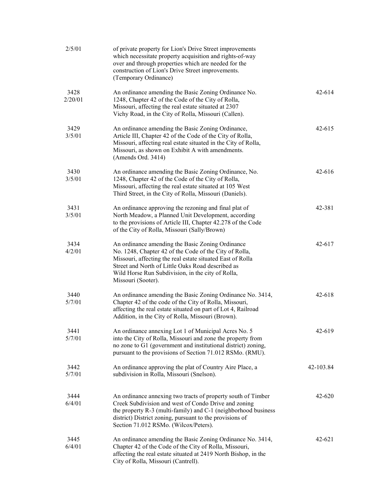| 2/5/01          | of private property for Lion's Drive Street improvements<br>which necessitate property acquisition and rights-of-way<br>over and through properties which are needed for the<br>construction of Lion's Drive Street improvements.<br>(Temporary Ordinance)                                               |            |
|-----------------|----------------------------------------------------------------------------------------------------------------------------------------------------------------------------------------------------------------------------------------------------------------------------------------------------------|------------|
| 3428<br>2/20/01 | An ordinance amending the Basic Zoning Ordinance No.<br>1248, Chapter 42 of the Code of the City of Rolla,<br>Missouri, affecting the real estate situated at 2307<br>Vichy Road, in the City of Rolla, Missouri (Callen).                                                                               | $42 - 614$ |
| 3429<br>3/5/01  | An ordinance amending the Basic Zoning Ordinance,<br>Article III, Chapter 42 of the Code of the City of Rolla,<br>Missouri, affecting real estate situated in the City of Rolla,<br>Missouri, as shown on Exhibit A with amendments.<br>(Amends Ord. 3414)                                               | $42 - 615$ |
| 3430<br>3/5/01  | An ordinance amending the Basic Zoning Ordinance, No.<br>1248, Chapter 42 of the Code of the City of Rolla,<br>Missouri, affecting the real estate situated at 105 West<br>Third Street, in the City of Rolla, Missouri (Daniels).                                                                       | $42 - 616$ |
| 3431<br>3/5/01  | An ordinance approving the rezoning and final plat of<br>North Meadow, a Planned Unit Development, according<br>to the provisions of Article III, Chapter 42.278 of the Code<br>of the City of Rolla, Missouri (Sally/Brown)                                                                             | 42-381     |
| 3434<br>4/2/01  | An ordinance amending the Basic Zoning Ordinance<br>No. 1248, Chapter 42 of the Code of the City of Rolla,<br>Missouri, affecting the real estate situated East of Rolla<br>Street and North of Little Oaks Road described as<br>Wild Horse Run Subdivision, in the city of Rolla,<br>Missouri (Sooter). | 42-617     |
| 3440<br>5/7/01  | An ordinance amending the Basic Zoning Ordinance No. 3414,<br>Chapter 42 of the code of the City of Rolla, Missouri,<br>affecting the real estate situated on part of Lot 4, Railroad<br>Addition, in the City of Rolla, Missouri (Brown).                                                               | 42-618     |
| 3441<br>5/7/01  | An ordinance annexing Lot 1 of Municipal Acres No. 5<br>into the City of Rolla, Missouri and zone the property from<br>no zone to G1 (government and institutional district) zoning,<br>pursuant to the provisions of Section 71.012 RSMo. (RMU).                                                        | 42-619     |
| 3442<br>5/7/01  | An ordinance approving the plat of Country Aire Place, a<br>subdivision in Rolla, Missouri (Snelson).                                                                                                                                                                                                    | 42-103.84  |
| 3444<br>6/4/01  | An ordinance annexing two tracts of property south of Timber<br>Creek Subdivision and west of Condo Drive and zoning<br>the property R-3 (multi-family) and C-1 (neighborhood business<br>district) District zoning, pursuant to the provisions of<br>Section 71.012 RSMo. (Wilcox/Peters).              | 42-620     |
| 3445<br>6/4/01  | An ordinance amending the Basic Zoning Ordinance No. 3414,<br>Chapter 42 of the Code of the City of Rolla, Missouri,<br>affecting the real estate situated at 2419 North Bishop, in the<br>City of Rolla, Missouri (Cantrell).                                                                           | 42-621     |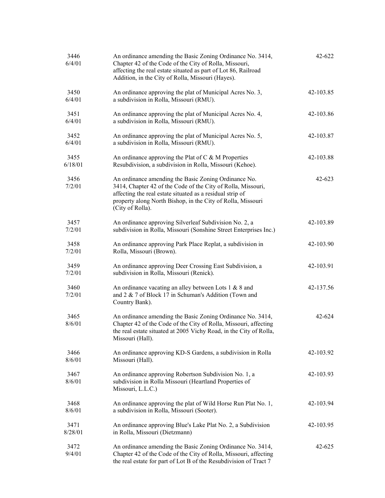| 3446<br>6/4/01  | An ordinance amending the Basic Zoning Ordinance No. 3414,<br>Chapter 42 of the Code of the City of Rolla, Missouri,<br>affecting the real estate situated as part of Lot 86, Railroad<br>Addition, in the City of Rolla, Missouri (Hayes).                          | 42-622    |
|-----------------|----------------------------------------------------------------------------------------------------------------------------------------------------------------------------------------------------------------------------------------------------------------------|-----------|
| 3450<br>6/4/01  | An ordinance approving the plat of Municipal Acres No. 3,<br>a subdivision in Rolla, Missouri (RMU).                                                                                                                                                                 | 42-103.85 |
| 3451<br>6/4/01  | An ordinance approving the plat of Municipal Acres No. 4,<br>a subdivision in Rolla, Missouri (RMU).                                                                                                                                                                 | 42-103.86 |
| 3452<br>6/4/01  | An ordinance approving the plat of Municipal Acres No. 5,<br>a subdivision in Rolla, Missouri (RMU).                                                                                                                                                                 | 42-103.87 |
| 3455<br>6/18/01 | An ordinance approving the Plat of C $& M$ Properties<br>Resubdivision, a subdivision in Rolla, Missouri (Kehoe).                                                                                                                                                    | 42-103.88 |
| 3456<br>7/2/01  | An ordinance amending the Basic Zoning Ordinance No.<br>3414, Chapter 42 of the Code of the City of Rolla, Missouri,<br>affecting the real estate situated as a residual strip of<br>property along North Bishop, in the City of Rolla, Missouri<br>(City of Rolla). | 42-623    |
| 3457<br>7/2/01  | An ordinance approving Silverleaf Subdivision No. 2, a<br>subdivision in Rolla, Missouri (Sonshine Street Enterprises Inc.)                                                                                                                                          | 42-103.89 |
| 3458<br>7/2/01  | An ordinance approving Park Place Replat, a subdivision in<br>Rolla, Missouri (Brown).                                                                                                                                                                               | 42-103.90 |
| 3459<br>7/2/01  | An ordinance approving Deer Crossing East Subdivision, a<br>subdivision in Rolla, Missouri (Renick).                                                                                                                                                                 | 42-103.91 |
| 3460<br>7/2/01  | An ordinance vacating an alley between Lots 1 & 8 and<br>and 2 & 7 of Block 17 in Schuman's Addition (Town and<br>Country Bank).                                                                                                                                     | 42-137.56 |
| 3465<br>8/6/01  | An ordinance amending the Basic Zoning Ordinance No. 3414,<br>Chapter 42 of the Code of the City of Rolla, Missouri, affecting<br>the real estate situated at 2005 Vichy Road, in the City of Rolla,<br>Missouri (Hall).                                             | 42-624    |
| 3466<br>8/6/01  | An ordinance approving KD-S Gardens, a subdivision in Rolla<br>Missouri (Hall).                                                                                                                                                                                      | 42-103.92 |
| 3467<br>8/6/01  | An ordinance approving Robertson Subdivision No. 1, a<br>subdivision in Rolla Missouri (Heartland Properties of<br>Missouri, L.L.C.)                                                                                                                                 | 42-103.93 |
| 3468<br>8/6/01  | An ordinance approving the plat of Wild Horse Run Plat No. 1,<br>a subdivision in Rolla, Missouri (Sooter).                                                                                                                                                          | 42-103.94 |
| 3471<br>8/28/01 | An ordinance approving Blue's Lake Plat No. 2, a Subdivision<br>in Rolla, Missouri (Dietzmann)                                                                                                                                                                       | 42-103.95 |
| 3472<br>9/4/01  | An ordinance amending the Basic Zoning Ordinance No. 3414,<br>Chapter 42 of the Code of the City of Rolla, Missouri, affecting<br>the real estate for part of Lot B of the Resubdivision of Tract 7                                                                  | 42-625    |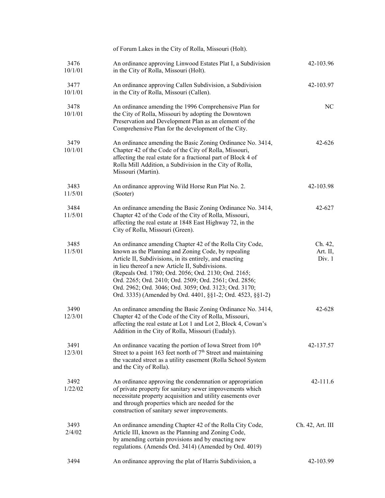|                 | of Forum Lakes in the City of Rolla, Missouri (Holt).                                                                                                                                                                                                                                                                                                                                                                                                                   |                               |
|-----------------|-------------------------------------------------------------------------------------------------------------------------------------------------------------------------------------------------------------------------------------------------------------------------------------------------------------------------------------------------------------------------------------------------------------------------------------------------------------------------|-------------------------------|
| 3476<br>10/1/01 | An ordinance approving Linwood Estates Plat I, a Subdivision<br>in the City of Rolla, Missouri (Holt).                                                                                                                                                                                                                                                                                                                                                                  | 42-103.96                     |
| 3477<br>10/1/01 | An ordinance approving Callen Subdivision, a Subdivision<br>in the City of Rolla, Missouri (Callen).                                                                                                                                                                                                                                                                                                                                                                    | 42-103.97                     |
| 3478<br>10/1/01 | An ordinance amending the 1996 Comprehensive Plan for<br>the City of Rolla, Missouri by adopting the Downtown<br>Preservation and Development Plan as an element of the<br>Comprehensive Plan for the development of the City.                                                                                                                                                                                                                                          | NC                            |
| 3479<br>10/1/01 | An ordinance amending the Basic Zoning Ordinance No. 3414,<br>Chapter 42 of the Code of the City of Rolla, Missouri,<br>affecting the real estate for a fractional part of Block 4 of<br>Rolla Mill Addition, a Subdivision in the City of Rolla,<br>Missouri (Martin).                                                                                                                                                                                                 | 42-626                        |
| 3483<br>11/5/01 | An ordinance approving Wild Horse Run Plat No. 2.<br>(Sooter)                                                                                                                                                                                                                                                                                                                                                                                                           | 42-103.98                     |
| 3484<br>11/5/01 | An ordinance amending the Basic Zoning Ordinance No. 3414,<br>Chapter 42 of the Code of the City of Rolla, Missouri,<br>affecting the real estate at 1848 East Highway 72, in the<br>City of Rolla, Missouri (Green).                                                                                                                                                                                                                                                   | 42-627                        |
| 3485<br>11/5/01 | An ordinance amending Chapter 42 of the Rolla City Code,<br>known as the Planning and Zoning Code, by repealing<br>Article II, Subdivisions, in its entirely, and enacting<br>in lieu thereof a new Article II, Subdivisions.<br>(Repeals Ord. 1780; Ord. 2056; Ord. 2130; Ord. 2165;<br>Ord. 2265; Ord. 2410; Ord. 2509; Ord. 2561; Ord. 2856;<br>Ord. 2962; Ord. 3046; Ord. 3059; Ord. 3123; Ord. 3170;<br>Ord. 3335) (Amended by Ord. 4401, §§1-2; Ord. 4523, §§1-2) | Ch. 42,<br>Art. II,<br>Div. 1 |
| 3490<br>12/3/01 | An ordinance amending the Basic Zoning Ordinance No. 3414,<br>Chapter 42 of the Code of the City of Rolla, Missouri,<br>affecting the real estate at Lot 1 and Lot 2, Block 4, Cowan's<br>Addition in the City of Rolla, Missouri (Eudaly).                                                                                                                                                                                                                             | 42-628                        |
| 3491<br>12/3/01 | An ordinance vacating the portion of Iowa Street from $10th$<br>Street to a point 163 feet north of 7 <sup>th</sup> Street and maintaining<br>the vacated street as a utility easement (Rolla School System<br>and the City of Rolla).                                                                                                                                                                                                                                  | 42-137.57                     |
| 3492<br>1/22/02 | An ordinance approving the condemnation or appropriation<br>of private property for sanitary sewer improvements which<br>necessitate property acquisition and utility easements over<br>and through properties which are needed for the<br>construction of sanitary sewer improvements.                                                                                                                                                                                 | $42 - 111.6$                  |
| 3493<br>2/4/02  | An ordinance amending Chapter 42 of the Rolla City Code,<br>Article III, known as the Planning and Zoning Code,<br>by amending certain provisions and by enacting new<br>regulations. (Amends Ord. 3414) (Amended by Ord. 4019)                                                                                                                                                                                                                                         | Ch. 42, Art. III              |
| 3494            | An ordinance approving the plat of Harris Subdivision, a                                                                                                                                                                                                                                                                                                                                                                                                                | 42-103.99                     |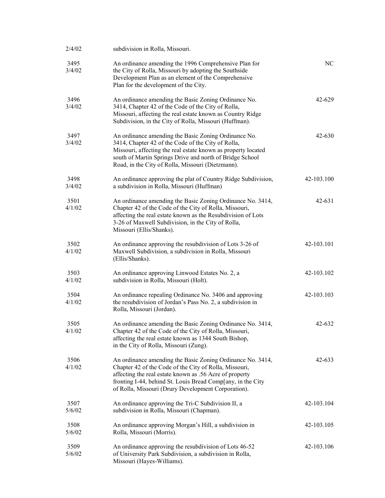| 2/4/02         | subdivision in Rolla, Missouri.                                                                                                                                                                                                                                                                       |            |
|----------------|-------------------------------------------------------------------------------------------------------------------------------------------------------------------------------------------------------------------------------------------------------------------------------------------------------|------------|
| 3495<br>3/4/02 | An ordinance amending the 1996 Comprehensive Plan for<br>the City of Rolla, Missouri by adopting the Southside<br>Development Plan as an element of the Comprehensive<br>Plan for the development of the City.                                                                                        | NC         |
| 3496<br>3/4/02 | An ordinance amending the Basic Zoning Ordinance No.<br>3414, Chapter 42 of the Code of the City of Rolla,<br>Missouri, affecting the real estate known as Country Ridge<br>Subdivision, in the City of Rolla, Missouri (Huffman).                                                                    | $42 - 629$ |
| 3497<br>3/4/02 | An ordinance amending the Basic Zoning Ordinance No.<br>3414, Chapter 42 of the Code of the City of Rolla,<br>Missouri, affecting the real estate known as property located<br>south of Martin Springs Drive and north of Bridge School<br>Road, in the City of Rolla, Missouri (Dietzmann).          | 42-630     |
| 3498<br>3/4/02 | An ordinance approving the plat of Country Ridge Subdivision,<br>a subdivision in Rolla, Missouri (Huffman)                                                                                                                                                                                           | 42-103.100 |
| 3501<br>4/1/02 | An ordinance amending the Basic Zoning Ordinance No. 3414,<br>Chapter 42 of the Code of the City of Rolla, Missouri,<br>affecting the real estate known as the Resubdivision of Lots<br>3-26 of Maxwell Subdivision, in the City of Rolla,<br>Missouri (Ellis/Shanks).                                | 42-631     |
| 3502<br>4/1/02 | An ordinance approving the resubdivision of Lots 3-26 of<br>Maxwell Subdivision, a subdivision in Rolla, Missouri<br>(Ellis/Shanks).                                                                                                                                                                  | 42-103.101 |
| 3503<br>4/1/02 | An ordinance approving Linwood Estates No. 2, a<br>subdivision in Rolla, Missouri (Holt).                                                                                                                                                                                                             | 42-103.102 |
| 3504<br>4/1/02 | An ordinance repealing Ordinance No. 3406 and approving<br>the resubdivision of Jordan's Pass No. 2, a subdivision in<br>Rolla, Missouri (Jordan).                                                                                                                                                    | 42-103.103 |
| 3505<br>4/1/02 | An ordinance amending the Basic Zoning Ordinance No. 3414,<br>Chapter 42 of the Code of the City of Rolla, Missouri,<br>affecting the real estate known as 1344 South Bishop,<br>in the City of Rolla, Missouri (Zung).                                                                               | 42-632     |
| 3506<br>4/1/02 | An ordinance amending the Basic Zoning Ordinance No. 3414,<br>Chapter 42 of the Code of the City of Rolla, Missouri,<br>affecting the real estate known as .56 Acre of property<br>fronting I-44, behind St. Louis Bread Comp[any, in the City<br>of Rolla, Missouri (Drury Development Corporation). | 42-633     |
| 3507<br>5/6/02 | An ordinance approving the Tri-C Subdivision II, a<br>subdivision in Rolla, Missouri (Chapman).                                                                                                                                                                                                       | 42-103.104 |
| 3508<br>5/6/02 | An ordinance approving Morgan's Hill, a subdivision in<br>Rolla, Missouri (Morris).                                                                                                                                                                                                                   | 42-103.105 |
| 3509<br>5/6/02 | An ordinance approving the resubdivision of Lots 46-52<br>of University Park Subdivision, a subdivision in Rolla,<br>Missouri (Hayes-Williams).                                                                                                                                                       | 42-103.106 |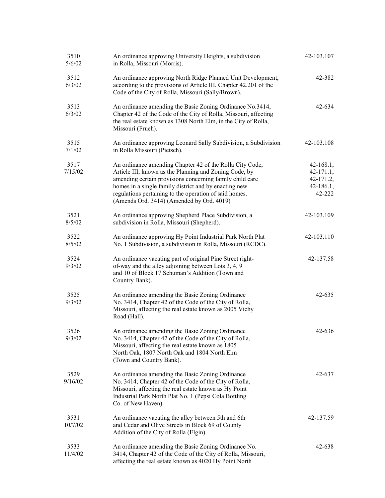| 3510<br>5/6/02  | An ordinance approving University Heights, a subdivision<br>in Rolla, Missouri (Morris).                                                                                                                                                                                                                                                       | 42-103.107                                                     |
|-----------------|------------------------------------------------------------------------------------------------------------------------------------------------------------------------------------------------------------------------------------------------------------------------------------------------------------------------------------------------|----------------------------------------------------------------|
| 3512<br>6/3/02  | An ordinance approving North Ridge Planned Unit Development,<br>according to the provisions of Article III, Chapter 42.201 of the<br>Code of the City of Rolla, Missouri (Sally/Brown).                                                                                                                                                        | 42-382                                                         |
| 3513<br>6/3/02  | An ordinance amending the Basic Zoning Ordinance No.3414,<br>Chapter 42 of the Code of the City of Rolla, Missouri, affecting<br>the real estate known as 1308 North Elm, in the City of Rolla,<br>Missouri (Frueh).                                                                                                                           | 42-634                                                         |
| 3515<br>7/1/02  | An ordinance approving Leonard Sally Subdivision, a Subdivision<br>in Rolla Missouri (Pietsch).                                                                                                                                                                                                                                                | 42-103.108                                                     |
| 3517<br>7/15/02 | An ordinance amending Chapter 42 of the Rolla City Code,<br>Article III, known as the Planning and Zoning Code, by<br>amending certain provisions concerning family child care<br>homes in a single family district and by enacting new<br>regulations pertaining to the operation of said homes.<br>(Amends Ord. 3414) (Amended by Ord. 4019) | $42 - 168.1,$<br>42-171.1,<br>42-171.2,<br>42-186.1,<br>42-222 |
| 3521<br>8/5/02  | An ordinance approving Shepherd Place Subdivision, a<br>subdivision in Rolla, Missouri (Shepherd).                                                                                                                                                                                                                                             | 42-103.109                                                     |
| 3522<br>8/5/02  | An ordinance approving Hy Point Industrial Park North Plat<br>No. 1 Subdivision, a subdivision in Rolla, Missouri (RCDC).                                                                                                                                                                                                                      | 42-103.110                                                     |
| 3524<br>9/3/02  | An ordinance vacating part of original Pine Street right-<br>of-way and the alley adjoining between Lots 3, 4, 9<br>and 10 of Block 17 Schuman's Addition (Town and<br>Country Bank).                                                                                                                                                          | 42-137.58                                                      |
| 3525<br>9/3/02  | An ordinance amending the Basic Zoning Ordinance<br>No. 3414, Chapter 42 of the Code of the City of Rolla,<br>Missouri, affecting the real estate known as 2005 Vichy<br>Road (Hall).                                                                                                                                                          | 42-635                                                         |
| 3526<br>9/3/02  | An ordinance amending the Basic Zoning Ordinance<br>No. 3414, Chapter 42 of the Code of the City of Rolla,<br>Missouri, affecting the real estate known as 1805<br>North Oak, 1807 North Oak and 1804 North Elm<br>(Town and Country Bank).                                                                                                    | 42-636                                                         |
| 3529<br>9/16/02 | An ordinance amending the Basic Zoning Ordinance<br>No. 3414, Chapter 42 of the Code of the City of Rolla,<br>Missouri, affecting the real estate known as Hy Point<br>Industrial Park North Plat No. 1 (Pepsi Cola Bottling<br>Co. of New Haven).                                                                                             | 42-637                                                         |
| 3531<br>10/7/02 | An ordinance vacating the alley between 5th and 6th<br>and Cedar and Olive Streets in Block 69 of County<br>Addition of the City of Rolla (Elgin).                                                                                                                                                                                             | 42-137.59                                                      |
| 3533<br>11/4/02 | An ordinance amending the Basic Zoning Ordinance No.<br>3414, Chapter 42 of the Code of the City of Rolla, Missouri,<br>affecting the real estate known as 4020 Hy Point North                                                                                                                                                                 | 42-638                                                         |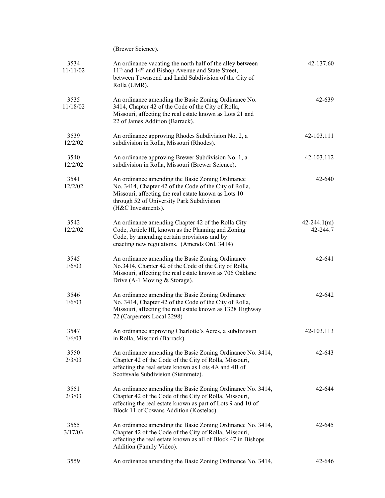|                  | (Brewer Science).                                                                                                                                                                                                                     |                             |
|------------------|---------------------------------------------------------------------------------------------------------------------------------------------------------------------------------------------------------------------------------------|-----------------------------|
| 3534<br>11/11/02 | An ordinance vacating the north half of the alley between<br>11 <sup>th</sup> and 14 <sup>th</sup> and Bishop Avenue and State Street,<br>between Townsend and Ladd Subdivision of the City of<br>Rolla (UMR).                        | 42-137.60                   |
| 3535<br>11/18/02 | An ordinance amending the Basic Zoning Ordinance No.<br>3414, Chapter 42 of the Code of the City of Rolla,<br>Missouri, affecting the real estate known as Lots 21 and<br>22 of James Addition (Barrack).                             | 42-639                      |
| 3539<br>12/2/02  | An ordinance approving Rhodes Subdivision No. 2, a<br>subdivision in Rolla, Missouri (Rhodes).                                                                                                                                        | 42-103.111                  |
| 3540<br>12/2/02  | An ordinance approving Brewer Subdivision No. 1, a<br>subdivision in Rolla, Missouri (Brewer Science).                                                                                                                                | 42-103.112                  |
| 3541<br>12/2/02  | An ordinance amending the Basic Zoning Ordinance<br>No. 3414, Chapter 42 of the Code of the City of Rolla,<br>Missouri, affecting the real estate known as Lots 10<br>through 52 of University Park Subdivision<br>(H&C Investments). | 42-640                      |
| 3542<br>12/2/02  | An ordinance amending Chapter 42 of the Rolla City<br>Code, Article III, known as the Planning and Zoning<br>Code, by amending certain provisions and by<br>enacting new regulations. (Amends Ord. 3414)                              | $42 - 244.1(m)$<br>42-244.7 |
| 3545<br>1/6/03   | An ordinance amending the Basic Zoning Ordinance<br>No.3414, Chapter 42 of the Code of the City of Rolla,<br>Missouri, affecting the real estate known as 706 Oaklane<br>Drive (A-1 Moving & Storage).                                | 42-641                      |
| 3546<br>1/6/03   | An ordinance amending the Basic Zoning Ordinance<br>No. 3414, Chapter 42 of the Code of the City of Rolla,<br>Missouri, affecting the real estate known as 1328 Highway<br>72 (Carpenters Local 2298)                                 | 42-642                      |
| 3547<br>1/6/03   | An ordinance approving Charlotte's Acres, a subdivision<br>in Rolla, Missouri (Barrack).                                                                                                                                              | 42-103.113                  |
| 3550<br>2/3/03   | An ordinance amending the Basic Zoning Ordinance No. 3414,<br>Chapter 42 of the Code of the City of Rolla, Missouri,<br>affecting the real estate known as Lots 4A and 4B of<br>Scottsvale Subdivision (Steinmetz).                   | 42-643                      |
| 3551<br>2/3/03   | An ordinance amending the Basic Zoning Ordinance No. 3414,<br>Chapter 42 of the Code of the City of Rolla, Missouri,<br>affecting the real estate known as part of Lots 9 and 10 of<br>Block 11 of Cowans Addition (Kostelac).        | 42-644                      |
| 3555<br>3/17/03  | An ordinance amending the Basic Zoning Ordinance No. 3414,<br>Chapter 42 of the Code of the City of Rolla, Missouri,<br>affecting the real estate known as all of Block 47 in Bishops<br>Addition (Family Video).                     | 42-645                      |
| 3559             | An ordinance amending the Basic Zoning Ordinance No. 3414,                                                                                                                                                                            | 42-646                      |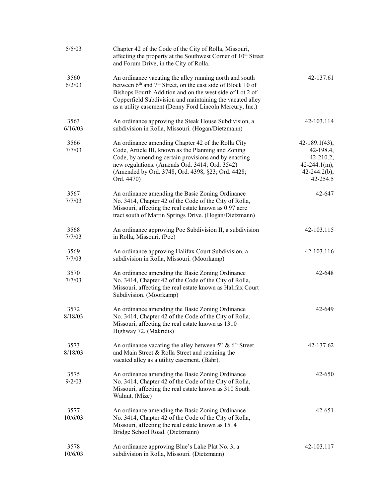| 5/5/03          | Chapter 42 of the Code of the City of Rolla, Missouri,<br>affecting the property at the Southwest Corner of 10 <sup>th</sup> Street<br>and Forum Drive, in the City of Rolla.                                                                                                                                                       |                                                                                                            |
|-----------------|-------------------------------------------------------------------------------------------------------------------------------------------------------------------------------------------------------------------------------------------------------------------------------------------------------------------------------------|------------------------------------------------------------------------------------------------------------|
| 3560<br>6/2/03  | An ordinance vacating the alley running north and south<br>between 6 <sup>th</sup> and 7 <sup>th</sup> Street, on the east side of Block 10 of<br>Bishops Fourth Addition and on the west side of Lot 2 of<br>Copperfield Subdivision and maintaining the vacated alley<br>as a utility easement (Denny Ford Lincoln Mercury, Inc.) | 42-137.61                                                                                                  |
| 3563<br>6/16/03 | An ordinance approving the Steak House Subdivision, a<br>subdivision in Rolla, Missouri. (Hogan/Dietzmann)                                                                                                                                                                                                                          | 42-103.114                                                                                                 |
| 3566<br>7/7/03  | An ordinance amending Chapter 42 of the Rolla City<br>Code, Article III, known as the Planning and Zoning<br>Code, by amending certain provisions and by enacting<br>new regulations. (Amends Ord. 3414; Ord. 3542)<br>(Amended by Ord. 3748, Ord. 4398, §23; Ord. 4428;<br>Ord. 4470)                                              | $42 - 189.1(43)$ ,<br>$42 - 198.4,$<br>$42 - 210.2,$<br>$42 - 244.1(m)$ ,<br>$42 - 244.2(b)$ ,<br>42-254.5 |
| 3567<br>7/7/03  | An ordinance amending the Basic Zoning Ordinance<br>No. 3414, Chapter 42 of the Code of the City of Rolla,<br>Missouri, affecting the real estate known as 0.97 acre<br>tract south of Martin Springs Drive. (Hogan/Dietzmann)                                                                                                      | 42-647                                                                                                     |
| 3568<br>7/7/03  | An ordinance approving Poe Subdivision II, a subdivision<br>in Rolla, Missouri. (Poe)                                                                                                                                                                                                                                               | 42-103.115                                                                                                 |
| 3569<br>7/7/03  | An ordinance approving Halifax Court Subdivision, a<br>subdivision in Rolla, Missouri. (Moorkamp)                                                                                                                                                                                                                                   | 42-103.116                                                                                                 |
| 3570<br>7/7/03  | An ordinance amending the Basic Zoning Ordinance<br>No. 3414, Chapter 42 of the Code of the City of Rolla,<br>Missouri, affecting the real estate known as Halifax Court<br>Subdivision. (Moorkamp)                                                                                                                                 | 42-648                                                                                                     |
| 3572<br>8/18/03 | An ordinance amending the Basic Zoning Ordinance<br>No. 3414, Chapter 42 of the Code of the City of Rolla,<br>Missouri, affecting the real estate known as 1310<br>Highway 72. (Makridis)                                                                                                                                           | 42-649                                                                                                     |
| 3573<br>8/18/03 | An ordinance vacating the alley between $5th$ & $6th$ Street<br>and Main Street & Rolla Street and retaining the<br>vacated alley as a utility easement. (Bahr).                                                                                                                                                                    | 42-137.62                                                                                                  |
| 3575<br>9/2/03  | An ordinance amending the Basic Zoning Ordinance<br>No. 3414, Chapter 42 of the Code of the City of Rolla,<br>Missouri, affecting the real estate known as 310 South<br>Walnut. (Mize)                                                                                                                                              | 42-650                                                                                                     |
| 3577<br>10/6/03 | An ordinance amending the Basic Zoning Ordinance<br>No. 3414, Chapter 42 of the Code of the City of Rolla,<br>Missouri, affecting the real estate known as 1514<br>Bridge School Road. (Dietzmann)                                                                                                                                  | 42-651                                                                                                     |
| 3578<br>10/6/03 | An ordinance approving Blue's Lake Plat No. 3, a<br>subdivision in Rolla, Missouri. (Dietzmann)                                                                                                                                                                                                                                     | 42-103.117                                                                                                 |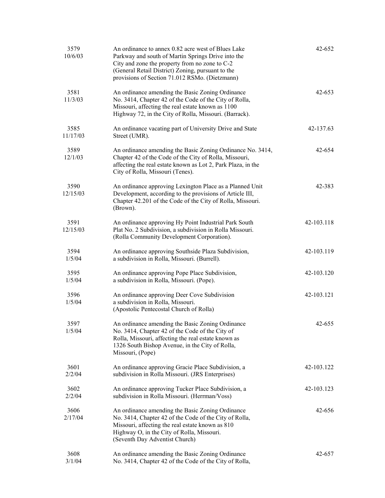| 3579<br>10/6/03  | An ordinance to annex 0.82 acre west of Blues Lake<br>Parkway and south of Martin Springs Drive into the<br>City and zone the property from no zone to C-2<br>(General Retail District) Zoning, pursuant to the<br>provisions of Section 71.012 RSMo. (Dietzmann) | 42-652     |
|------------------|-------------------------------------------------------------------------------------------------------------------------------------------------------------------------------------------------------------------------------------------------------------------|------------|
| 3581<br>11/3/03  | An ordinance amending the Basic Zoning Ordinance<br>No. 3414, Chapter 42 of the Code of the City of Rolla,<br>Missouri, affecting the real estate known as 1100<br>Highway 72, in the City of Rolla, Missouri. (Barrack).                                         | 42-653     |
| 3585<br>11/17/03 | An ordinance vacating part of University Drive and State<br>Street (UMR).                                                                                                                                                                                         | 42-137.63  |
| 3589<br>12/1/03  | An ordinance amending the Basic Zoning Ordinance No. 3414,<br>Chapter 42 of the Code of the City of Rolla, Missouri,<br>affecting the real estate known as Lot 2, Park Plaza, in the<br>City of Rolla, Missouri (Tenes).                                          | 42-654     |
| 3590<br>12/15/03 | An ordinance approving Lexington Place as a Planned Unit<br>Development, according to the provisions of Article III,<br>Chapter 42.201 of the Code of the City of Rolla, Missouri.<br>(Brown).                                                                    | 42-383     |
| 3591<br>12/15/03 | An ordinance approving Hy Point Industrial Park South<br>Plat No. 2 Subdivision, a subdivision in Rolla Missouri.<br>(Rolla Community Development Corporation).                                                                                                   | 42-103.118 |
| 3594<br>1/5/04   | An ordinance approving Southside Plaza Subdivision,<br>a subdivision in Rolla, Missouri. (Burrell).                                                                                                                                                               | 42-103.119 |
| 3595<br>1/5/04   | An ordinance approving Pope Place Subdivision,<br>a subdivision in Rolla, Missouri. (Pope).                                                                                                                                                                       | 42-103.120 |
| 3596<br>1/5/04   | An ordinance approving Deer Cove Subdivision<br>a subdivision in Rolla, Missouri.<br>(Apostolic Pentecostal Church of Rolla)                                                                                                                                      | 42-103.121 |
| 3597<br>1/5/04   | An ordinance amending the Basic Zoning Ordinance<br>No. 3414, Chapter 42 of the Code of the City of<br>Rolla, Missouri, affecting the real estate known as<br>1326 South Bishop Avenue, in the City of Rolla,<br>Missouri, (Pope)                                 | 42-655     |
| 3601<br>2/2/04   | An ordinance approving Gracie Place Subdivision, a<br>subdivision in Rolla Missouri. (JRS Enterprises)                                                                                                                                                            | 42-103.122 |
| 3602<br>2/2/04   | An ordinance approving Tucker Place Subdivision, a<br>subdivision in Rolla Missouri. (Herrman/Voss)                                                                                                                                                               | 42-103.123 |
| 3606<br>2/17/04  | An ordinance amending the Basic Zoning Ordinance<br>No. 3414, Chapter 42 of the Code of the City of Rolla,<br>Missouri, affecting the real estate known as 810<br>Highway O, in the City of Rolla, Missouri.<br>(Seventh Day Adventist Church)                    | 42-656     |
| 3608<br>3/1/04   | An ordinance amending the Basic Zoning Ordinance<br>No. 3414, Chapter 42 of the Code of the City of Rolla,                                                                                                                                                        | 42-657     |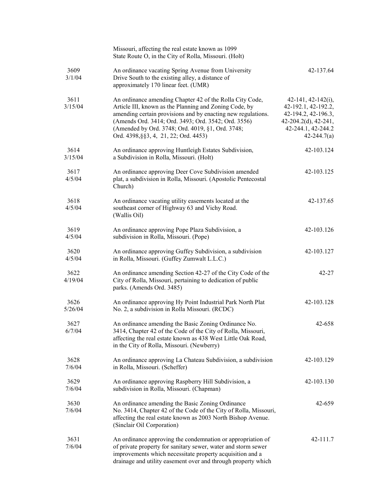|                 | Missouri, affecting the real estate known as 1099<br>State Route O, in the City of Rolla, Missouri. (Holt)                                                                                                                                                                                                                             |                                                                                                                                            |
|-----------------|----------------------------------------------------------------------------------------------------------------------------------------------------------------------------------------------------------------------------------------------------------------------------------------------------------------------------------------|--------------------------------------------------------------------------------------------------------------------------------------------|
| 3609<br>3/1/04  | An ordinance vacating Spring Avenue from University<br>Drive South to the existing alley, a distance of<br>approximately 170 linear feet. (UMR)                                                                                                                                                                                        | 42-137.64                                                                                                                                  |
| 3611<br>3/15/04 | An ordinance amending Chapter 42 of the Rolla City Code,<br>Article III, known as the Planning and Zoning Code, by<br>amending certain provisions and by enacting new regulations.<br>(Amends Ord. 3414; Ord. 3493; Ord. 3542; Ord. 3556)<br>(Amended by Ord. 3748; Ord. 4019, §1, Ord. 3748;<br>Ord. 4398, §§3, 4, 21, 22; Ord. 4453) | $42-141, 42-142(i)$ ,<br>42-192.1, 42-192.2,<br>42-194.2, 42-196.3,<br>$42-204.2(d)$ , $42-241$ ,<br>42-244.1, 42-244.2<br>$42 - 244.7(a)$ |
| 3614<br>3/15/04 | An ordinance approving Huntleigh Estates Subdivision,<br>a Subdivision in Rolla, Missouri. (Holt)                                                                                                                                                                                                                                      | 42-103.124                                                                                                                                 |
| 3617<br>4/5/04  | An ordinance approving Deer Cove Subdivision amended<br>plat, a subdivision in Rolla, Missouri. (Apostolic Pentecostal<br>Church)                                                                                                                                                                                                      | 42-103.125                                                                                                                                 |
| 3618<br>4/5/04  | An ordinance vacating utility easements located at the<br>southeast corner of Highway 63 and Vichy Road.<br>(Wallis Oil)                                                                                                                                                                                                               | 42-137.65                                                                                                                                  |
| 3619<br>4/5/04  | An ordinance approving Pope Plaza Subdivision, a<br>subdivision in Rolla, Missouri. (Pope)                                                                                                                                                                                                                                             | 42-103.126                                                                                                                                 |
| 3620<br>4/5/04  | An ordinance approving Guffey Subdivision, a subdivision<br>in Rolla, Missouri. (Guffey Zumwalt L.L.C.)                                                                                                                                                                                                                                | 42-103.127                                                                                                                                 |
| 3622<br>4/19/04 | An ordinance amending Section 42-27 of the City Code of the<br>City of Rolla, Missouri, pertaining to dedication of public<br>parks. (Amends Ord. 3485)                                                                                                                                                                                | $42 - 27$                                                                                                                                  |
| 3626<br>5/26/04 | An ordinance approving Hy Point Industrial Park North Plat<br>No. 2, a subdivision in Rolla Missouri. (RCDC)                                                                                                                                                                                                                           | 42-103.128                                                                                                                                 |
| 3627<br>6/7/04  | An ordinance amending the Basic Zoning Ordinance No.<br>3414, Chapter 42 of the Code of the City of Rolla, Missouri,<br>affecting the real estate known as 438 West Little Oak Road,<br>in the City of Rolla, Missouri. (Newberry)                                                                                                     | 42-658                                                                                                                                     |
| 3628<br>7/6/04  | An ordinance approving La Chateau Subdivision, a subdivision<br>in Rolla, Missouri. (Scheffer)                                                                                                                                                                                                                                         | 42-103.129                                                                                                                                 |
| 3629<br>7/6/04  | An ordinance approving Raspberry Hill Subdivision, a<br>subdivision in Rolla, Missouri. (Chapman)                                                                                                                                                                                                                                      | 42-103.130                                                                                                                                 |
| 3630<br>7/6/04  | An ordinance amending the Basic Zoning Ordinance<br>No. 3414, Chapter 42 of the Code of the City of Rolla, Missouri,<br>affecting the real estate known as 2003 North Bishop Avenue.<br>(Sinclair Oil Corporation)                                                                                                                     | 42-659                                                                                                                                     |
| 3631<br>7/6/04  | An ordinance approving the condemnation or appropriation of<br>of private property for sanitary sewer, water and storm sewer<br>improvements which necessitate property acquisition and a<br>drainage and utility easement over and through property which                                                                             | 42-111.7                                                                                                                                   |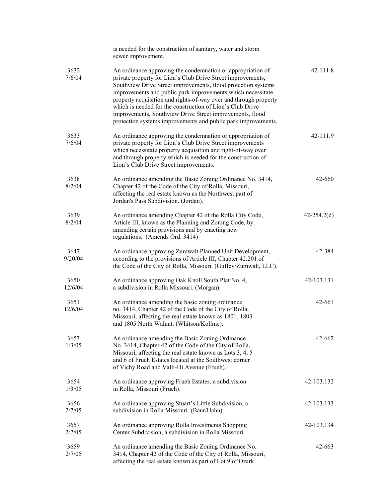|                 | is needed for the construction of sanitary, water and storm<br>sewer improvement.                                                                                                                                                                                                                                                                                                                                                                                                                                        |                 |
|-----------------|--------------------------------------------------------------------------------------------------------------------------------------------------------------------------------------------------------------------------------------------------------------------------------------------------------------------------------------------------------------------------------------------------------------------------------------------------------------------------------------------------------------------------|-----------------|
| 3632<br>7/6/04  | An ordinance approving the condemnation or appropriation of<br>private property for Lion's Club Drive Street improvements,<br>Southview Drive Street improvements, flood protection systems<br>improvements and public park improvements which necessitate<br>property acquisition and rights-of-way over and through property<br>which is needed for the construction of Lion's Club Drive<br>improvements, Southview Drive Street improvements, flood<br>protection systems improvements and public park improvements. | 42-111.8        |
| 3633<br>7/6/04  | An ordinance approving the condemnation or appropriation of<br>private property for Lion's Club Drive Street improvements<br>which necessitate property acquisition and right-of-way over<br>and through property which is needed for the construction of<br>Lion's Club Drive Street improvements.                                                                                                                                                                                                                      | 42-111.9        |
| 3638<br>8/2/04  | An ordinance amending the Basic Zoning Ordinance No. 3414,<br>Chapter 42 of the Code of the City of Rolla, Missouri,<br>affecting the real estate known as the Northwest part of<br>Jordan's Pass Subdivision. (Jordan).                                                                                                                                                                                                                                                                                                 | 42-660          |
| 3639<br>8/2/04  | An ordinance amending Chapter 42 of the Rolla City Code,<br>Article III, known as the Planning and Zoning Code, by<br>amending certain provisions and by enacting new<br>regulations. (Amends Ord. 3414)                                                                                                                                                                                                                                                                                                                 | $42 - 254.2(d)$ |
| 3647<br>9/20/04 | An ordinance approving Zumwalt Planned Unit Development,<br>according to the provisions of Article III, Chapter 42.201 of<br>the Code of the City of Rolla, Missouri. (Guffey/Zumwalt, LLC).                                                                                                                                                                                                                                                                                                                             | 42-384          |
| 3650<br>12/6/04 | An ordinance approving Oak Knoll South Plat No. 4,<br>a subdivision in Rolla Missouri. (Morgan).                                                                                                                                                                                                                                                                                                                                                                                                                         | 42-103.131      |
| 3651<br>12/6/04 | An ordinance amending the basic zoning ordinance<br>no. 3414, Chapter 42 of the Code of the City of Rolla,<br>Missouri, affecting the real estate known as 1801, 1803<br>and 1805 North Walnut. (Whitson/Kollme).                                                                                                                                                                                                                                                                                                        | 42-661          |
| 3653<br>1/3/05  | An ordinance amending the Basic Zoning Ordinance<br>No. 3414, Chapter 42 of the Code of the City of Rolla,<br>Missouri, affecting the real estate known as Lots 3, 4, 5<br>and 6 of Frueh Estates located at the Southwest corner<br>of Vichy Road and Valli-Hi Avenue (Frueh).                                                                                                                                                                                                                                          | 42-662          |
| 3654<br>1/3/05  | An ordinance approving Frueh Estates, a subdivision<br>in Rolla, Missouri (Frueh).                                                                                                                                                                                                                                                                                                                                                                                                                                       | 42-103.132      |
| 3656<br>2/7/05  | An ordinance approving Stuart's Little Subdivision, a<br>subdivision in Rolla Missouri. (Baur/Hahn).                                                                                                                                                                                                                                                                                                                                                                                                                     | 42-103.133      |
| 3657<br>2/7/05  | An ordinance approving Rolla Investments Shopping<br>Center Subdivision, a subdivision in Rolla Missouri.                                                                                                                                                                                                                                                                                                                                                                                                                | 42-103.134      |
| 3659<br>2/7/05  | An ordinance amending the Basic Zoning Ordinance No.<br>3414, Chapter 42 of the Code of the City of Rolla, Missouri,<br>affecting the real estate known as part of Lot 9 of Ozark                                                                                                                                                                                                                                                                                                                                        | $42 - 663$      |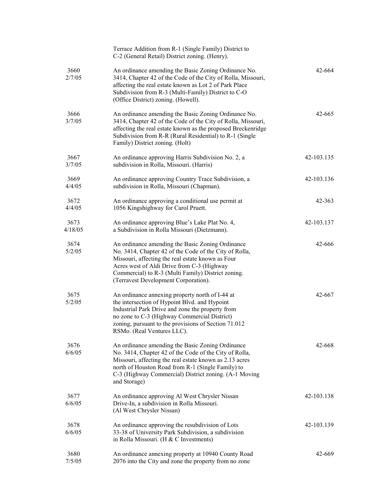|                 | Terrace Addition from R-1 (Single Family) District to<br>C-2 (General Retail) District zoning. (Henry).                                                                                                                                                                                                     |            |
|-----------------|-------------------------------------------------------------------------------------------------------------------------------------------------------------------------------------------------------------------------------------------------------------------------------------------------------------|------------|
| 3660<br>2/7/05  | An ordinance amending the Basic Zoning Ordinance No.<br>3414, Chapter 42 of the Code of the City of Rolla, Missouri,<br>affecting the real estate known as Lot 2 of Park Place<br>Subdivision from R-3 (Multi-Family) District to C-O<br>(Office District) zoning. (Howell).                                | 42-664     |
| 3666<br>3/7/05  | An ordinance amending the Basic Zoning Ordinance No.<br>3414, Chapter 42 of the Code of the City of Rolla, Missouri,<br>affecting the real estate known as the proposed Breckenridge<br>Subdivision from R-R (Rural Residential) to R-1 (Single<br>Family) District zoning. (Holt)                          | 42-665     |
| 3667<br>3/7/05  | An ordinance approving Harris Subdivision No. 2, a<br>subdivision in Rolla, Missouri. (Harris)                                                                                                                                                                                                              | 42-103.135 |
| 3669<br>4/4/05  | An ordinance approving Country Trace Subdivision, a<br>subdivision in Rolla, Missouri (Chapman).                                                                                                                                                                                                            | 42-103.136 |
| 3672<br>4/4/05  | An ordinance approving a conditional use permit at<br>1056 Kingshighway for Carol Pruett.                                                                                                                                                                                                                   | 42-363     |
| 3673<br>4/18/05 | An ordinance approving Blue's Lake Plat No. 4,<br>a Subdivision in Rolla Missouri (Dietzmann).                                                                                                                                                                                                              | 42-103.137 |
| 3674<br>5/2/05  | An ordinance amending the Basic Zoning Ordinance<br>No. 3414, Chapter 42 of the Code of the City of Rolla,<br>Missouri, affecting the real estate known as Four<br>Acres west of Aldi Drive from C-3 (Highway<br>Commercial) to R-3 (Multi Family) District zoning.<br>(Terravest Development Corporation). | 42-666     |
| 3675<br>5/2/05  | An ordinance annexing property north of I-44 at<br>the intersection of Hypoint Blvd. and Hypoint<br>Industrial Park Drive and zone the property from<br>no zone to C-3 (Highway Commercial District)<br>zoning, pursuant to the provisions of Section 71.012<br>RSMo. (Real Ventures LLC).                  | 42-667     |
| 3676<br>6/6/05  | An ordinance amending the Basic Zoning Ordinance<br>No. 3414, Chapter 42 of the Code of the City of Rolla,<br>Missouri, affecting the real estate known as 2.13 acres<br>north of Houston Road from R-1 (Single Family) to<br>C-3 (Highway Commercial) District zoning. (A-1 Moving<br>and Storage)         | 42-668     |
| 3677<br>6/6/05  | An ordinance approving Al West Chrysler Nissan<br>Drive-In, a subdivision in Rolla Missouri.<br>(Al West Chrysler Nissan)                                                                                                                                                                                   | 42-103.138 |
| 3678<br>6/6/05  | An ordinance approving the resubdivision of Lots<br>33-38 of University Park Subdivision, a subdivision<br>in Rolla Missouri. (H & C Investments)                                                                                                                                                           | 42-103.139 |
| 3680<br>7/5/05  | An ordinance annexing property at 10940 County Road<br>2076 into the City and zone the property from no zone                                                                                                                                                                                                | 42-669     |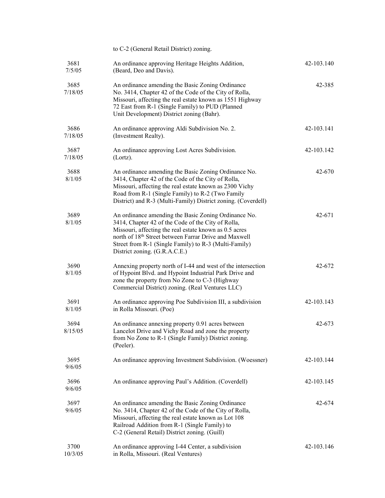|                 | to C-2 (General Retail District) zoning.                                                                                                                                                                                                                                                                                |            |
|-----------------|-------------------------------------------------------------------------------------------------------------------------------------------------------------------------------------------------------------------------------------------------------------------------------------------------------------------------|------------|
| 3681<br>7/5/05  | An ordinance approving Heritage Heights Addition,<br>(Beard, Deo and Davis).                                                                                                                                                                                                                                            | 42-103.140 |
| 3685<br>7/18/05 | An ordinance amending the Basic Zoning Ordinance<br>No. 3414, Chapter 42 of the Code of the City of Rolla,<br>Missouri, affecting the real estate known as 1551 Highway<br>72 East from R-1 (Single Family) to PUD (Planned<br>Unit Development) District zoning (Bahr).                                                | 42-385     |
| 3686<br>7/18/05 | An ordinance approving Aldi Subdivision No. 2.<br>(Investment Realty).                                                                                                                                                                                                                                                  | 42-103.141 |
| 3687<br>7/18/05 | An ordinance approving Lost Acres Subdivision.<br>(Lortz).                                                                                                                                                                                                                                                              | 42-103.142 |
| 3688<br>8/1/05  | An ordinance amending the Basic Zoning Ordinance No.<br>3414, Chapter 42 of the Code of the City of Rolla,<br>Missouri, affecting the real estate known as 2300 Vichy<br>Road from R-1 (Single Family) to R-2 (Two Family<br>District) and R-3 (Multi-Family) District zoning. (Coverdell)                              | 42-670     |
| 3689<br>8/1/05  | An ordinance amending the Basic Zoning Ordinance No.<br>3414, Chapter 42 of the Code of the City of Rolla,<br>Missouri, affecting the real estate known as 0.5 acres<br>north of 18th Street between Farrar Drive and Maxwell<br>Street from R-1 (Single Family) to R-3 (Multi-Family)<br>District zoning. (G.R.A.C.E.) | 42-671     |
| 3690<br>8/1/05  | Annexing property north of I-44 and west of the intersection<br>of Hypoint Blvd. and Hypoint Industrial Park Drive and<br>zone the property from No Zone to C-3 (Highway<br>Commercial District) zoning. (Real Ventures LLC)                                                                                            | 42-672     |
| 3691<br>8/1/05  | An ordinance approving Poe Subdivision III, a subdivision<br>in Rolla Missouri. (Poe)                                                                                                                                                                                                                                   | 42-103.143 |
| 3694<br>8/15/05 | An ordinance annexing property 0.91 acres between<br>Lancelot Drive and Vichy Road and zone the property<br>from No Zone to R-1 (Single Family) District zoning.<br>(Peeler).                                                                                                                                           | 42-673     |
| 3695<br>9/6/05  | An ordinance approving Investment Subdivision. (Woessner)                                                                                                                                                                                                                                                               | 42-103.144 |
| 3696<br>9/6/05  | An ordinance approving Paul's Addition. (Coverdell)                                                                                                                                                                                                                                                                     | 42-103.145 |
| 3697<br>9/6/05  | An ordinance amending the Basic Zoning Ordinance<br>No. 3414, Chapter 42 of the Code of the City of Rolla,<br>Missouri, affecting the real estate known as Lot 108<br>Railroad Addition from R-1 (Single Family) to<br>C-2 (General Retail) District zoning. (Guill)                                                    | 42-674     |
| 3700<br>10/3/05 | An ordinance approving I-44 Center, a subdivision<br>in Rolla, Missouri. (Real Ventures)                                                                                                                                                                                                                                | 42-103.146 |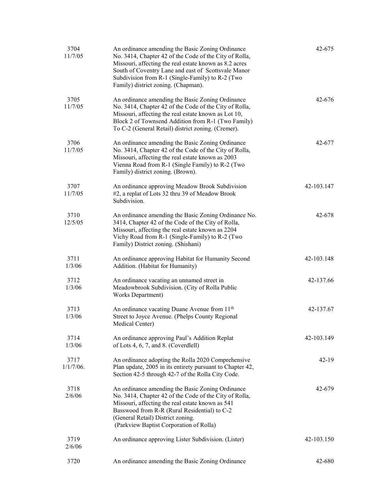| 3704<br>11/7/05      | An ordinance amending the Basic Zoning Ordinance<br>No. 3414, Chapter 42 of the Code of the City of Rolla,<br>Missouri, affecting the real estate known as 8.2 acres<br>South of Coventry Lane and east of Scottsvale Manor<br>Subdivision from R-1 (Single-Family) to R-2 (Two<br>Family) district zoning. (Chapman). | 42-675     |
|----------------------|------------------------------------------------------------------------------------------------------------------------------------------------------------------------------------------------------------------------------------------------------------------------------------------------------------------------|------------|
| 3705<br>11/7/05      | An ordinance amending the Basic Zoning Ordinance<br>No. 3414, Chapter 42 of the Code of the City of Rolla,<br>Missouri, affecting the real estate known as Lot 10,<br>Block 2 of Townsend Addition from R-1 (Two Family)<br>To C-2 (General Retail) district zoning. (Cremer).                                         | 42-676     |
| 3706<br>11/7/05      | An ordinance amending the Basic Zoning Ordinance<br>No. 3414, Chapter 42 of the Code of the City of Rolla,<br>Missouri, affecting the real estate known as 2003<br>Vienna Road from R-1 (Single Family) to R-2 (Two<br>Family) district zoning. (Brown).                                                               | 42-677     |
| 3707<br>11/7/05      | An ordinance approving Meadow Brook Subdivision<br>#2, a replat of Lots 32 thru 39 of Meadow Brook<br>Subdivision.                                                                                                                                                                                                     | 42-103.147 |
| 3710<br>12/5/05      | An ordinance amending the Basic Zoning Ordinance No.<br>3414, Chapter 42 of the Code of the City of Rolla,<br>Missouri, affecting the real estate known as 2204<br>Vichy Road from R-1 (Single-Family) to R-2 (Two<br>Family) District zoning. (Shishani)                                                              | 42-678     |
| 3711<br>1/3/06       | An ordinance approving Habitat for Humanity Second<br>Addition. (Habitat for Humanity)                                                                                                                                                                                                                                 | 42-103.148 |
| 3712<br>1/3/06       | An ordinance vacating an unnamed street in<br>Meadowbrook Subdivision. (City of Rolla Public<br>Works Department)                                                                                                                                                                                                      | 42-137.66  |
| 3713<br>1/3/06       | An ordinance vacating Duane Avenue from $11th$<br>Street to Joyce Avenue. (Phelps County Regional<br>Medical Center)                                                                                                                                                                                                   | 42-137.67  |
| 3714<br>1/3/06       | An ordinance approving Paul's Addition Replat<br>of Lots 4, 6, 7, and 8. (Coverdlell)                                                                                                                                                                                                                                  | 42-103.149 |
| 3717<br>$1/1/7/06$ . | An ordinance adopting the Rolla 2020 Comprehensive<br>Plan update, 2005 in its entirety pursuant to Chapter 42,<br>Section 42-5 through 42-7 of the Rolla City Code.                                                                                                                                                   | $42-19$    |
| 3718<br>2/6/06       | An ordinance amending the Basic Zoning Ordinance<br>No. 3414, Chapter 42 of the Code of the City of Rolla,<br>Missouri, affecting the real estate known as 541<br>Basswood from R-R (Rural Residential) to C-2<br>(General Retail) District zoning.<br>(Parkview Baptist Corporation of Rolla)                         | 42-679     |
| 3719<br>2/6/06       | An ordinance approving Lister Subdivision. (Lister)                                                                                                                                                                                                                                                                    | 42-103.150 |
| 3720                 | An ordinance amending the Basic Zoning Ordinance                                                                                                                                                                                                                                                                       | 42-680     |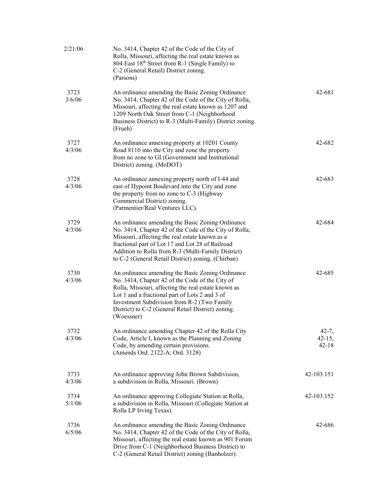| 2/21/06        | No. 3414, Chapter 42 of the Code of the City of<br>Rolla, Missouri, affecting the real estate known as<br>804 East 18th Street from R-1 (Single Family) to<br>C-2 (General Retail) District zoning.<br>(Parsons)                                                                                                                |                                      |
|----------------|---------------------------------------------------------------------------------------------------------------------------------------------------------------------------------------------------------------------------------------------------------------------------------------------------------------------------------|--------------------------------------|
| 3723<br>3/6/06 | An ordinance amending the Basic Zoning Ordinance<br>No. 3414, Chapter 42 of the Code of the City of Rolla,<br>Missouri, affecting the real estate known as 1207 and<br>1209 North Oak Street from C-1 (Neighborhood<br>Business District) to R-3 (Multi-Family) District zoning.<br>(Frueh)                                     | 42-681                               |
| 3727<br>4/3/06 | An ordinance annexing property at 10201 County<br>Road 8110 into the City and zone the property<br>from no zone to GI (Government and Institutional<br>District) zoning. (MoDOT)                                                                                                                                                | 42-682                               |
| 3728<br>4/3/06 | An ordinance annexing property north of I-44 and<br>east of Hypoint Boulevard into the City and zone<br>the property from no zone to C-3 (Highway<br>Commercial District) zoning.<br>(Parmentier/Real Ventures LLC).                                                                                                            | 42-683                               |
| 3729<br>4/3/06 | An ordinance amending the Basic Zoning Ordinance<br>No. 3414, Chapter 42 of the Code of the City of Rolla,<br>Missouri, affecting the real estate known as a<br>fractional part of Lot 17 and Lot 28 of Railroad<br>Addition to Rolla from R-3 (Multi-Family District)<br>to C-2 (General Retail District) zoning. (Chirban)    | 42-684                               |
| 3730<br>4/3/06 | An ordinance amending the Basic Zoning Ordinance<br>No. 3414, Chapter 42 of the Code of the City of<br>Rolla, Missouri, affecting the real estate known as<br>Lot 1 and a fractional part of Lots 2 and 3 of<br>Investment Subdivision from R-2 (Two Family<br>District) to C-2 (General Retail District) zoning.<br>(Woessner) | 42-685                               |
| 3732<br>4/3/06 | An ordinance amending Chapter 42 of the Rolla City<br>Code, Article I, known as the Planning and Zoning<br>Code, by amending certain provisions.<br>(Amends Ord. 2122-A; Ord. 3128)                                                                                                                                             | $42 - 7,$<br>$42 - 15,$<br>$42 - 18$ |
| 3733<br>4/3/06 | An ordinance approving John Brown Subdivision,<br>a subdivision in Rolla, Missouri. (Brown)                                                                                                                                                                                                                                     | 42-103.151                           |
| 3734<br>5/1/06 | An ordinance approving Collegiate Station at Rolla,<br>a subdivision in Rolla, Missouri (Collegiate Station at<br>Rolla LP Irving Texas).                                                                                                                                                                                       | 42-103.152                           |
| 3736<br>6/5/06 | An ordinance amending the Basic Zoning Ordinance<br>No. 3414, Chapter 42 of the Code of the City of Rolla,<br>Missouri, affecting the real estate known as 901 Forum<br>Drive from C-1 (Neighborhood Business District) to<br>C-2 (General Retail District) zoning (Banholzer).                                                 | 42-686                               |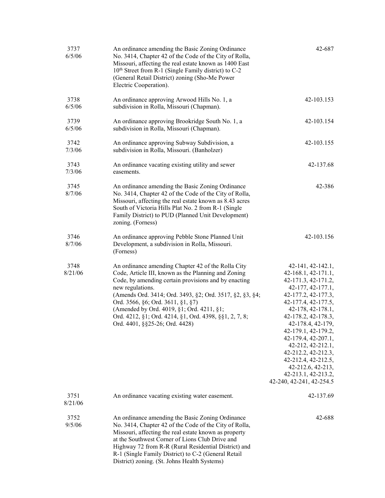| 3737<br>6/5/06  | An ordinance amending the Basic Zoning Ordinance<br>No. 3414, Chapter 42 of the Code of the City of Rolla,<br>Missouri, affecting the real estate known as 1400 East<br>10 <sup>th</sup> Street from R-1 (Single Family district) to C-2<br>(General Retail District) zoning (Sho-Me Power<br>Electric Cooperation).                                                                                                            | 42-687                                                                                                                                                                                                                                                                                                                                                                                         |
|-----------------|---------------------------------------------------------------------------------------------------------------------------------------------------------------------------------------------------------------------------------------------------------------------------------------------------------------------------------------------------------------------------------------------------------------------------------|------------------------------------------------------------------------------------------------------------------------------------------------------------------------------------------------------------------------------------------------------------------------------------------------------------------------------------------------------------------------------------------------|
| 3738<br>6/5/06  | An ordinance approving Arwood Hills No. 1, a<br>subdivision in Rolla, Missouri (Chapman).                                                                                                                                                                                                                                                                                                                                       | 42-103.153                                                                                                                                                                                                                                                                                                                                                                                     |
| 3739<br>6/5/06  | An ordinance approving Brookridge South No. 1, a<br>subdivision in Rolla, Missouri (Chapman).                                                                                                                                                                                                                                                                                                                                   | 42-103.154                                                                                                                                                                                                                                                                                                                                                                                     |
| 3742<br>7/3/06  | An ordinance approving Subway Subdivision, a<br>subdivision in Rolla, Missouri. (Banholzer)                                                                                                                                                                                                                                                                                                                                     | 42-103.155                                                                                                                                                                                                                                                                                                                                                                                     |
| 3743<br>7/3/06  | An ordinance vacating existing utility and sewer<br>easements.                                                                                                                                                                                                                                                                                                                                                                  | 42-137.68                                                                                                                                                                                                                                                                                                                                                                                      |
| 3745<br>8/7/06  | An ordinance amending the Basic Zoning Ordinance<br>No. 3414, Chapter 42 of the Code of the City of Rolla,<br>Missouri, affecting the real estate known as 8.43 acres<br>South of Victoria Hills Plat No. 2 from R-1 (Single<br>Family District) to PUD (Planned Unit Development)<br>zoning. (Forness)                                                                                                                         | 42-386                                                                                                                                                                                                                                                                                                                                                                                         |
| 3746<br>8/7/06  | An ordinance approving Pebble Stone Planned Unit<br>Development, a subdivision in Rolla, Missouri.<br>(Forness)                                                                                                                                                                                                                                                                                                                 | 42-103.156                                                                                                                                                                                                                                                                                                                                                                                     |
| 3748<br>8/21/06 | An ordinance amending Chapter 42 of the Rolla City<br>Code, Article III, known as the Planning and Zoning<br>Code, by amending certain provisions and by enacting<br>new regulations.<br>(Amends Ord. 3414; Ord. 3493, §2; Ord. 3517, §2, §3, §4;<br>Ord. 3566, §6; Ord. 3611, §1, §7)<br>(Amended by Ord. 4019, §1; Ord. 4211, §1;<br>Ord. 4212, §1; Ord. 4214, §1, Ord. 4398, §§1, 2, 7, 8;<br>Ord. 4401, §§25-26; Ord. 4428) | 42-141, 42-142.1,<br>$42-168.1, 42-171.1,$<br>42-171.3, 42-171.2,<br>42-177, 42-177.1,<br>42-177.2, 42-177.3,<br>42-177.4, 42-177.5,<br>42-178, 42-178.1,<br>42-178.2, 42-178.3,<br>42-178.4, 42-179,<br>42-179.1, 42-179.2,<br>42-179.4, 42-207.1,<br>42-212, 42-212.1,<br>42-212.2, 42-212.3,<br>42-212.4, 42-212.5,<br>42-212.6, 42-213,<br>42-213.1, 42-213.2,<br>42-240, 42-241, 42-254.5 |
| 3751<br>8/21/06 | An ordinance vacating existing water easement.                                                                                                                                                                                                                                                                                                                                                                                  | 42-137.69                                                                                                                                                                                                                                                                                                                                                                                      |
| 3752<br>9/5/06  | An ordinance amending the Basic Zoning Ordinance<br>No. 3414, Chapter 42 of the Code of the City of Rolla,<br>Missouri, affecting the real estate known as property<br>at the Southwest Corner of Lions Club Drive and<br>Highway 72 from R-R (Rural Residential District) and<br>R-1 (Single Family District) to C-2 (General Retail<br>District) zoning. (St. Johns Health Systems)                                           | 42-688                                                                                                                                                                                                                                                                                                                                                                                         |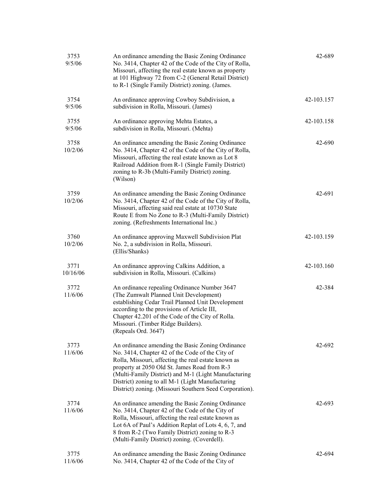| 3753<br>9/5/06   | An ordinance amending the Basic Zoning Ordinance<br>No. 3414, Chapter 42 of the Code of the City of Rolla,<br>Missouri, affecting the real estate known as property<br>at 101 Highway 72 from C-2 (General Retail District)<br>to R-1 (Single Family District) zoning. (James.                                                                                                    | 42-689     |
|------------------|-----------------------------------------------------------------------------------------------------------------------------------------------------------------------------------------------------------------------------------------------------------------------------------------------------------------------------------------------------------------------------------|------------|
| 3754<br>9/5/06   | An ordinance approving Cowboy Subdivision, a<br>subdivision in Rolla, Missouri. (James)                                                                                                                                                                                                                                                                                           | 42-103.157 |
| 3755<br>9/5/06   | An ordinance approving Mehta Estates, a<br>subdivision in Rolla, Missouri. (Mehta)                                                                                                                                                                                                                                                                                                | 42-103.158 |
| 3758<br>10/2/06  | An ordinance amending the Basic Zoning Ordinance<br>No. 3414, Chapter 42 of the Code of the City of Rolla,<br>Missouri, affecting the real estate known as Lot 8<br>Railroad Addition from R-1 (Single Family District)<br>zoning to R-3b (Multi-Family District) zoning.<br>(Wilson)                                                                                             | 42-690     |
| 3759<br>10/2/06  | An ordinance amending the Basic Zoning Ordinance<br>No. 3414, Chapter 42 of the Code of the City of Rolla,<br>Missouri, affecting said real estate at 10730 State<br>Route E from No Zone to R-3 (Multi-Family District)<br>zoning. (Refreshments International Inc.)                                                                                                             | 42-691     |
| 3760<br>10/2/06  | An ordinance approving Maxwell Subdivision Plat<br>No. 2, a subdivision in Rolla, Missouri.<br>(Ellis/Shanks)                                                                                                                                                                                                                                                                     | 42-103.159 |
| 3771<br>10/16/06 | An ordinance approving Calkins Addition, a<br>subdivision in Rolla, Missouri. (Calkins)                                                                                                                                                                                                                                                                                           | 42-103.160 |
| 3772<br>11/6/06  | An ordinance repealing Ordinance Number 3647<br>(The Zumwalt Planned Unit Development)<br>establishing Cedar Trail Planned Unit Development<br>according to the provisions of Article III,<br>Chapter 42.201 of the Code of the City of Rolla.<br>Missouri. (Timber Ridge Builders).<br>(Repeals Ord. 3647)                                                                       | 42-384     |
| 3773<br>11/6/06  | An ordinance amending the Basic Zoning Ordinance<br>No. 3414, Chapter 42 of the Code of the City of<br>Rolla, Missouri, affecting the real estate known as<br>property at 2050 Old St. James Road from R-3<br>(Multi-Family District) and M-1 (Light Manufacturing<br>District) zoning to all M-1 (Light Manufacturing<br>District) zoning. (Missouri Southern Seed Corporation). | 42-692     |
| 3774<br>11/6/06  | An ordinance amending the Basic Zoning Ordinance<br>No. 3414, Chapter 42 of the Code of the City of<br>Rolla, Missouri, affecting the real estate known as<br>Lot 6A of Paul's Addition Replat of Lots 4, 6, 7, and<br>8 from R-2 (Two Family District) zoning to R-3<br>(Multi-Family District) zoning. (Coverdell).                                                             | 42-693     |
| 3775<br>11/6/06  | An ordinance amending the Basic Zoning Ordinance<br>No. 3414, Chapter 42 of the Code of the City of                                                                                                                                                                                                                                                                               | 42-694     |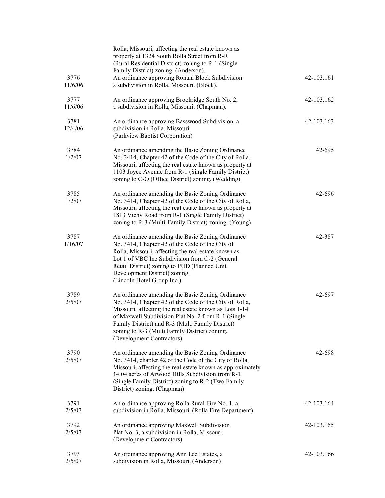|                 | Rolla, Missouri, affecting the real estate known as<br>property at 1324 South Rolla Street from R-R<br>(Rural Residential District) zoning to R-1 (Single<br>Family District) zoning. (Anderson).                                                                                                                                                            |            |
|-----------------|--------------------------------------------------------------------------------------------------------------------------------------------------------------------------------------------------------------------------------------------------------------------------------------------------------------------------------------------------------------|------------|
| 3776<br>11/6/06 | An ordinance approving Ronani Block Subdivision<br>a subdivision in Rolla, Missouri. (Block).                                                                                                                                                                                                                                                                | 42-103.161 |
| 3777<br>11/6/06 | An ordinance approving Brookridge South No. 2,<br>a subdivision in Rolla, Missouri. (Chapman).                                                                                                                                                                                                                                                               | 42-103.162 |
| 3781<br>12/4/06 | An ordinance approving Basswood Subdivision, a<br>subdivision in Rolla, Missouri.<br>(Parkview Baptist Corporation)                                                                                                                                                                                                                                          | 42-103.163 |
| 3784<br>1/2/07  | An ordinance amending the Basic Zoning Ordinance<br>No. 3414, Chapter 42 of the Code of the City of Rolla,<br>Missouri, affecting the real estate known as property at<br>1103 Joyce Avenue from R-1 (Single Family District)<br>zoning to C-O (Office District) zoning. (Wedding)                                                                           | 42-695     |
| 3785<br>1/2/07  | An ordinance amending the Basic Zoning Ordinance<br>No. 3414, Chapter 42 of the Code of the City of Rolla,<br>Missouri, affecting the real estate known as property at<br>1813 Vichy Road from R-1 (Single Family District)<br>zoning to R-3 (Multi-Family District) zoning. (Young)                                                                         | 42-696     |
| 3787<br>1/16/07 | An ordinance amending the Basic Zoning Ordinance<br>No. 3414, Chapter 42 of the Code of the City of<br>Rolla, Missouri, affecting the real estate known as<br>Lot 1 of VBC Inc Subdivision from C-2 (General<br>Retail District) zoning to PUD (Planned Unit<br>Development District) zoning.<br>(Lincoln Hotel Group Inc.)                                  | 42-387     |
| 3789<br>2/5/07  | An ordinance amending the Basic Zoning Ordinance<br>No. 3414, Chapter 42 of the Code of the City of Rolla,<br>Missouri, affecting the real estate known as Lots 1-14<br>of Maxwell Subdivision Plat No. 2 from R-1 (Single<br>Family District) and R-3 (Multi Family District)<br>zoning to R-3 (Multi Family District) zoning.<br>(Development Contractors) | 42-697     |
| 3790<br>2/5/07  | An ordinance amending the Basic Zoning Ordinance<br>No. 3414, chapter 42 of the Code of the City of Rolla,<br>Missouri, affecting the real estate known as approximately<br>14.04 acres of Arwood Hills Subdivision from R-1<br>(Single Family District) zoning to R-2 (Two Family<br>District) zoning. (Chapman)                                            | 42-698     |
| 3791<br>2/5/07  | An ordinance approving Rolla Rural Fire No. 1, a<br>subdivision in Rolla, Missouri. (Rolla Fire Department)                                                                                                                                                                                                                                                  | 42-103.164 |
| 3792<br>2/5/07  | An ordinance approving Maxwell Subdivision<br>Plat No. 3, a subdivision in Rolla, Missouri.<br>(Development Contractors)                                                                                                                                                                                                                                     | 42-103.165 |
| 3793<br>2/5/07  | An ordinance approving Ann Lee Estates, a<br>subdivision in Rolla, Missouri. (Anderson)                                                                                                                                                                                                                                                                      | 42-103.166 |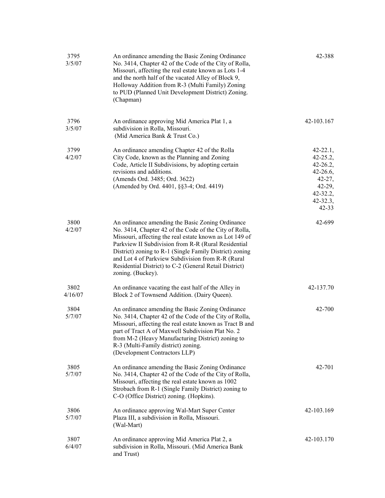| 3795<br>3/5/07  | An ordinance amending the Basic Zoning Ordinance<br>No. 3414, Chapter 42 of the Code of the City of Rolla,<br>Missouri, affecting the real estate known as Lots 1-4<br>and the north half of the vacated Alley of Block 9,<br>Holloway Addition from R-3 (Multi Family) Zoning<br>to PUD (Planned Unit Development District) Zoning.<br>(Chapman)                                                                           | 42-388                                                                                                                                 |
|-----------------|-----------------------------------------------------------------------------------------------------------------------------------------------------------------------------------------------------------------------------------------------------------------------------------------------------------------------------------------------------------------------------------------------------------------------------|----------------------------------------------------------------------------------------------------------------------------------------|
| 3796<br>3/5/07  | An ordinance approving Mid America Plat 1, a<br>subdivision in Rolla, Missouri.<br>(Mid America Bank & Trust Co.)                                                                                                                                                                                                                                                                                                           | 42-103.167                                                                                                                             |
| 3799<br>4/2/07  | An ordinance amending Chapter 42 of the Rolla<br>City Code, known as the Planning and Zoning<br>Code, Article II Subdivisions, by adopting certain<br>revisions and additions.<br>(Amends Ord. 3485; Ord. 3622)<br>(Amended by Ord. 4401, §§3-4; Ord. 4419)                                                                                                                                                                 | $42 - 22.1,$<br>$42 - 25.2,$<br>$42 - 26.2,$<br>$42 - 26.6,$<br>$42 - 27$ ,<br>$42 - 29,$<br>$42 - 32.2,$<br>$42 - 32.3,$<br>$42 - 33$ |
| 3800<br>4/2/07  | An ordinance amending the Basic Zoning Ordinance<br>No. 3414, Chapter 42 of the Code of the City of Rolla,<br>Missouri, affecting the real estate known as Lot 149 of<br>Parkview II Subdivision from R-R (Rural Residential<br>District) zoning to R-1 (Single Family District) zoning<br>and Lot 4 of Parkview Subdivision from R-R (Rural<br>Residential District) to C-2 (General Retail District)<br>zoning. (Buckey). | 42-699                                                                                                                                 |
| 3802<br>4/16/07 | An ordinance vacating the east half of the Alley in<br>Block 2 of Townsend Addition. (Dairy Queen).                                                                                                                                                                                                                                                                                                                         | 42-137.70                                                                                                                              |
| 3804<br>5/7/07  | An ordinance amending the Basic Zoning Ordinance<br>No. 3414, Chapter 42 of the Code of the City of Rolla,<br>Missouri, affecting the real estate known as Tract B and<br>part of Tract A of Maxwell Subdivision Plat No. 2<br>from M-2 (Heavy Manufacturing District) zoning to<br>R-3 (Multi-Family district) zoning.<br>(Development Contractors LLP)                                                                    | 42-700                                                                                                                                 |
| 3805<br>5/7/07  | An ordinance amending the Basic Zoning Ordinance<br>No. 3414, Chapter 42 of the Code of the City of Rolla,<br>Missouri, affecting the real estate known as 1002<br>Strobach from R-1 (Single Family District) zoning to<br>C-O (Office District) zoning. (Hopkins).                                                                                                                                                         | 42-701                                                                                                                                 |
| 3806<br>5/7/07  | An ordinance approving Wal-Mart Super Center<br>Plaza III, a subdivision in Rolla, Missouri.<br>(Wal-Mart)                                                                                                                                                                                                                                                                                                                  | 42-103.169                                                                                                                             |
| 3807<br>6/4/07  | An ordinance approving Mid America Plat 2, a<br>subdivision in Rolla, Missouri. (Mid America Bank<br>and Trust)                                                                                                                                                                                                                                                                                                             | 42-103.170                                                                                                                             |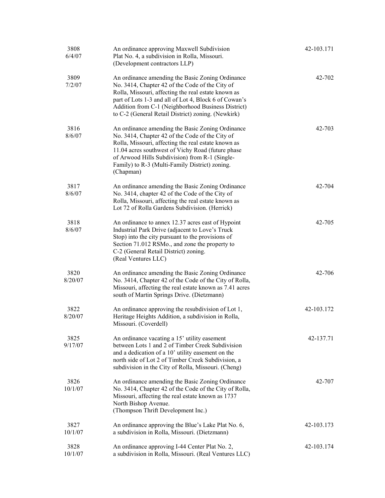| 3808<br>6/4/07  | An ordinance approving Maxwell Subdivision<br>Plat No. 4, a subdivision in Rolla, Missouri.<br>(Development contractors LLP)                                                                                                                                                                                                     | 42-103.171 |
|-----------------|----------------------------------------------------------------------------------------------------------------------------------------------------------------------------------------------------------------------------------------------------------------------------------------------------------------------------------|------------|
| 3809<br>7/2/07  | An ordinance amending the Basic Zoning Ordinance<br>No. 3414, Chapter 42 of the Code of the City of<br>Rolla, Missouri, affecting the real estate known as<br>part of Lots 1-3 and all of Lot 4, Block 6 of Cowan's<br>Addition from C-1 (Neighborhood Business District)<br>to C-2 (General Retail District) zoning. (Newkirk)  | 42-702     |
| 3816<br>8/6/07  | An ordinance amending the Basic Zoning Ordinance<br>No. 3414, Chapter 42 of the Code of the City of<br>Rolla, Missouri, affecting the real estate known as<br>11.04 acres southwest of Vichy Road (future phase<br>of Arwood Hills Subdivision) from R-1 (Single-<br>Family) to R-3 (Multi-Family District) zoning.<br>(Chapman) | 42-703     |
| 3817<br>8/6/07  | An ordinance amending the Basic Zoning Ordinance<br>No. 3414, chapter 42 of the Code of the City of<br>Rolla, Missouri, affecting the real estate known as<br>Lot 72 of Rolla Gardens Subdivision. (Herrick)                                                                                                                     | 42-704     |
| 3818<br>8/6/07  | An ordinance to annex 12.37 acres east of Hypoint<br>Industrial Park Drive (adjacent to Love's Truck<br>Stop) into the city pursuant to the provisions of<br>Section 71.012 RSMo., and zone the property to<br>C-2 (General Retail District) zoning.<br>(Real Ventures LLC)                                                      | 42-705     |
| 3820<br>8/20/07 | An ordinance amending the Basic Zoning Ordinance<br>No. 3414, Chapter 42 of the Code of the City of Rolla,<br>Missouri, affecting the real estate known as 7.41 acres<br>south of Martin Springs Drive. (Dietzmann)                                                                                                              | 42-706     |
| 3822<br>8/20/07 | An ordinance approving the resubdivision of Lot 1,<br>Heritage Heights Addition, a subdivision in Rolla,<br>Missouri. (Coverdell)                                                                                                                                                                                                | 42-103.172 |
| 3825<br>9/17/07 | An ordinance vacating a 15' utility easement<br>between Lots 1 and 2 of Timber Creek Subdivision<br>and a dedication of a 10' utility easement on the<br>north side of Lot 2 of Timber Creek Subdivision, a<br>subdivision in the City of Rolla, Missouri. (Cheng)                                                               | 42-137.71  |
| 3826<br>10/1/07 | An ordinance amending the Basic Zoning Ordinance<br>No. 3414, Chapter 42 of the Code of the City of Rolla,<br>Missouri, affecting the real estate known as 1737<br>North Bishop Avenue.<br>(Thompson Thrift Development Inc.)                                                                                                    | 42-707     |
| 3827<br>10/1/07 | An ordinance approving the Blue's Lake Plat No. 6,<br>a subdivision in Rolla, Missouri. (Dietzmann)                                                                                                                                                                                                                              | 42-103.173 |
| 3828<br>10/1/07 | An ordinance approving I-44 Center Plat No. 2,<br>a subdivision in Rolla, Missouri. (Real Ventures LLC)                                                                                                                                                                                                                          | 42-103.174 |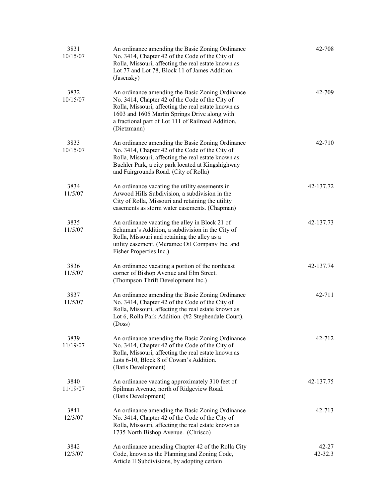| 3831<br>10/15/07 | An ordinance amending the Basic Zoning Ordinance<br>No. 3414, Chapter 42 of the Code of the City of<br>Rolla, Missouri, affecting the real estate known as<br>Lot 77 and Lot 78, Block 11 of James Addition.<br>(Jasensky)                                                       | 42-708           |
|------------------|----------------------------------------------------------------------------------------------------------------------------------------------------------------------------------------------------------------------------------------------------------------------------------|------------------|
| 3832<br>10/15/07 | An ordinance amending the Basic Zoning Ordinance<br>No. 3414, Chapter 42 of the Code of the City of<br>Rolla, Missouri, affecting the real estate known as<br>1603 and 1605 Martin Springs Drive along with<br>a fractional part of Lot 111 of Railroad Addition.<br>(Dietzmann) | 42-709           |
| 3833<br>10/15/07 | An ordinance amending the Basic Zoning Ordinance<br>No. 3414, Chapter 42 of the Code of the City of<br>Rolla, Missouri, affecting the real estate known as<br>Buehler Park, a city park located at Kingshighway<br>and Fairgrounds Road. (City of Rolla)                         | 42-710           |
| 3834<br>11/5/07  | An ordinance vacating the utility easements in<br>Arwood Hills Subdivision, a subdivision in the<br>City of Rolla, Missouri and retaining the utility<br>easements as storm water easements. (Chapman)                                                                           | 42-137.72        |
| 3835<br>11/5/07  | An ordinance vacating the alley in Block 21 of<br>Schuman's Addition, a subdivision in the City of<br>Rolla, Missouri and retaining the alley as a<br>utility easement. (Meramec Oil Company Inc. and<br>Fisher Properties Inc.)                                                 | 42-137.73        |
| 3836<br>11/5/07  | An ordinance vacating a portion of the northeast<br>corner of Bishop Avenue and Elm Street.<br>(Thompson Thrift Development Inc.)                                                                                                                                                | 42-137.74        |
| 3837<br>11/5/07  | An ordinance amending the Basic Zoning Ordinance<br>No. 3414, Chapter 42 of the Code of the City of<br>Rolla, Missouri, affecting the real estate known as<br>Lot 6, Rolla Park Addition. (#2 Stephendale Court).<br>(Doss)                                                      | 42-711           |
| 3839<br>11/19/07 | An ordinance amending the Basic Zoning Ordinance<br>No. 3414, Chapter 42 of the Code of the City of<br>Rolla, Missouri, affecting the real estate known as<br>Lots 6-10, Block 8 of Cowan's Addition.<br>(Batis Development)                                                     | 42-712           |
| 3840<br>11/19/07 | An ordinance vacating approximately 310 feet of<br>Spilman Avenue, north of Ridgeview Road.<br>(Batis Development)                                                                                                                                                               | 42-137.75        |
| 3841<br>12/3/07  | An ordinance amending the Basic Zoning Ordinance<br>No. 3414, Chapter 42 of the Code of the City of<br>Rolla, Missouri, affecting the real estate known as<br>1735 North Bishop Avenue. (Chrisco)                                                                                | 42-713           |
| 3842<br>12/3/07  | An ordinance amending Chapter 42 of the Rolla City<br>Code, known as the Planning and Zoning Code,<br>Article II Subdivisions, by adopting certain                                                                                                                               | 42-27<br>42-32.3 |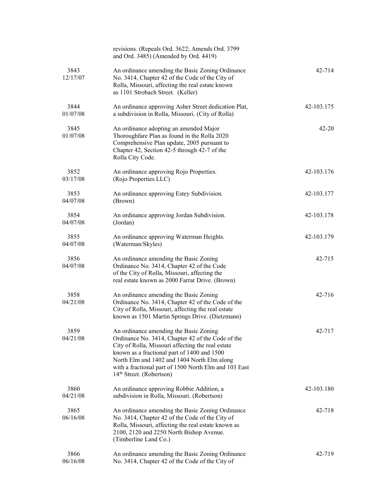|                  | revisions. (Repeals Ord. 3622; Amends Ord. 3799<br>and Ord. 3485) (Amended by Ord. 4419)                                                                                                                                                                                                                                                        |            |
|------------------|-------------------------------------------------------------------------------------------------------------------------------------------------------------------------------------------------------------------------------------------------------------------------------------------------------------------------------------------------|------------|
| 3843<br>12/17/07 | An ordinance amending the Basic Zoning Ordinance<br>No. 3414, Chapter 42 of the Code of the City of<br>Rolla, Missouri, affecting the real estate known<br>as 1101 Strobach Street. (Keller)                                                                                                                                                    | 42-714     |
| 3844<br>01/07/08 | An ordinance approving Asher Street dedication Plat,<br>a subdivision in Rolla, Missouri. (City of Rolla)                                                                                                                                                                                                                                       | 42-103.175 |
| 3845<br>01/07/08 | An ordinance adopting an amended Major<br>Thoroughfare Plan as found in the Rolla 2020<br>Comprehensive Plan update, 2005 pursuant to<br>Chapter 42, Section 42-5 through 42-7 of the<br>Rolla City Code.                                                                                                                                       | $42 - 20$  |
| 3852<br>03/17/08 | An ordinance approving Rojo Properties.<br>(Rojo Properties LLC)                                                                                                                                                                                                                                                                                | 42-103.176 |
| 3853<br>04/07/08 | An ordinance approving Estey Subdivision.<br>(Brown)                                                                                                                                                                                                                                                                                            | 42-103.177 |
| 3854<br>04/07/08 | An ordinance approving Jordan Subdivision.<br>(Jordan)                                                                                                                                                                                                                                                                                          | 42-103.178 |
| 3855<br>04/07/08 | An ordinance approving Waterman Heights.<br>(Waterman/Skyles)                                                                                                                                                                                                                                                                                   | 42-103.179 |
| 3856<br>04/07/08 | An ordinance amending the Basic Zoning<br>Ordinance No. 3414, Chapter 42 of the Code<br>of the City of Rolla, Missouri, affecting the<br>real estate known as 2000 Farrar Drive. (Brown)                                                                                                                                                        | 42-715     |
| 3858<br>04/21/08 | An ordinance amending the Basic Zoning<br>Ordinance No. 3414, Chapter 42 of the Code of the<br>City of Rolla, Missouri, affecting the real estate<br>known as 1501 Martin Springs Drive. (Dietzmann)                                                                                                                                            | 42-716     |
| 3859<br>04/21/08 | An ordinance amending the Basic Zoning<br>Ordinance No. 3414, Chapter 42 of the Code of the<br>City of Rolla, Missouri affecting the real estate<br>known as a fractional part of 1400 and 1500<br>North Elm and 1402 and 1404 North Elm along<br>with a fractional part of 1500 North Elm and 103 East<br>14 <sup>th</sup> Street. (Robertson) | 42-717     |
| 3860<br>04/21/08 | An ordinance approving Robbie Addition, a<br>subdivision in Rolla, Missouri. (Robertson)                                                                                                                                                                                                                                                        | 42-103.180 |
| 3865<br>06/16/08 | An ordinance amending the Basic Zoning Ordinance<br>No. 3414, Chapter 42 of the Code of the City of<br>Rolla, Missouri, affecting the real estate known as<br>2100, 2120 and 2250 North Bishop Avenue.<br>(Timberline Land Co.)                                                                                                                 | 42-718     |
| 3866<br>06/16/08 | An ordinance amending the Basic Zoning Ordinance<br>No. 3414, Chapter 42 of the Code of the City of                                                                                                                                                                                                                                             | 42-719     |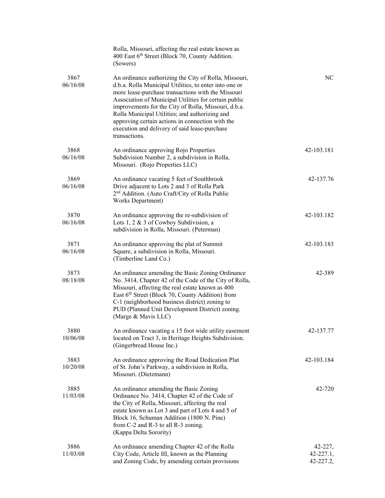|                  | Rolla, Missouri, affecting the real estate known as<br>400 East 6th Street (Block 70, County Addition.<br>(Sowers)                                                                                                                                                                                                                                                                                                                                             |                                        |
|------------------|----------------------------------------------------------------------------------------------------------------------------------------------------------------------------------------------------------------------------------------------------------------------------------------------------------------------------------------------------------------------------------------------------------------------------------------------------------------|----------------------------------------|
| 3867<br>06/16/08 | An ordinance authorizing the City of Rolla, Missouri,<br>d.b.a. Rolla Municipal Utilities, to enter into one or<br>more lease-purchase transactions with the Missouri<br>Association of Municipal Utilities for certain public<br>improvements for the City of Rolla, Missouri, d.b.a.<br>Rolla Municipal Utilities; and authorizing and<br>approving certain actions in connection with the<br>execution and delivery of said lease-purchase<br>transactions. | NC.                                    |
| 3868<br>06/16/08 | An ordinance approving Rojo Properties<br>Subdivision Number 2, a subdivision in Rolla,<br>Missouri. (Rojo Properties LLC)                                                                                                                                                                                                                                                                                                                                     | 42-103.181                             |
| 3869<br>06/16/08 | An ordinance vacating 5 feet of Southbrook<br>Drive adjacent to Lots 2 and 3 of Rolla Park<br>2 <sup>nd</sup> Addition. (Auto Craft/City of Rolla Public<br>Works Department)                                                                                                                                                                                                                                                                                  | 42-137.76                              |
| 3870<br>06/16/08 | An ordinance approving the re-subdivision of<br>Lots 1, 2 & 3 of Cowboy Subdivision, a<br>subdivision in Rolla, Missouri. (Peterman)                                                                                                                                                                                                                                                                                                                           | 42-103.182                             |
| 3871<br>06/16/08 | An ordinance approving the plat of Summit<br>Square, a subdivision in Rolla, Missouri.<br>(Timberline Land Co.)                                                                                                                                                                                                                                                                                                                                                | 42-103.183                             |
| 3873<br>08/18/08 | An ordinance amending the Basic Zoning Ordinance<br>No. 3414, Chapter 42 of the Code of the City of Rolla,<br>Missouri, affecting the real estate known as 400<br>East 6th Street (Block 70, County Addition) from<br>C-1 (neighborhood business district) zoning to<br>PUD (Planned Unit Development District) zoning.<br>(Marge & Mavis LLC)                                                                                                                 | 42-389                                 |
| 3880<br>10/06/08 | An ordinance vacating a 15 foot wide utility easement<br>located on Tract 3, in Heritage Heights Subdivision.<br>(Gingerbread House Inc.)                                                                                                                                                                                                                                                                                                                      | 42-137.77                              |
| 3883<br>10/20/08 | An ordinance approving the Road Dedication Plat<br>of St. John's Parkway, a subdivision in Rolla,<br>Missouri. (Dietzmann)                                                                                                                                                                                                                                                                                                                                     | 42-103.184                             |
| 3885<br>11/03/08 | An ordinance amending the Basic Zoning<br>Ordinance No. 3414, Chapter 42 of the Code of<br>the City of Rolla, Missouri, affecting the real<br>estate known as Lot 3 and part of Lots 4 and 5 of<br>Block 16, Schuman Addition (1800 N. Pine)<br>from C-2 and R-3 to all R-3 zoning.<br>(Kappa Delta Sorority)                                                                                                                                                  | 42-720                                 |
| 3886<br>11/03/08 | An ordinance amending Chapter 42 of the Rolla<br>City Code, Article III, known as the Planning<br>and Zoning Code, by amending certain provisions                                                                                                                                                                                                                                                                                                              | 42-227,<br>$42 - 227.1$ ,<br>42-227.2, |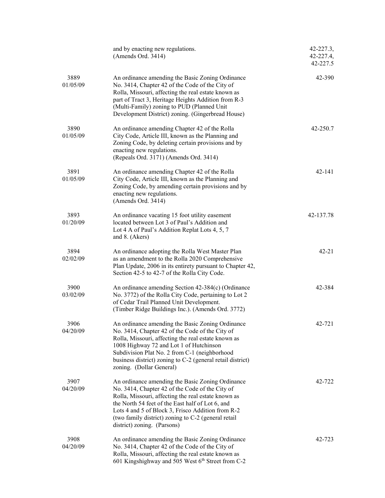|                  | and by enacting new regulations.<br>(Amends Ord. 3414)                                                                                                                                                                                                                                                                                                    | 42-227.3,<br>42-227.4,<br>42-227.5 |
|------------------|-----------------------------------------------------------------------------------------------------------------------------------------------------------------------------------------------------------------------------------------------------------------------------------------------------------------------------------------------------------|------------------------------------|
| 3889<br>01/05/09 | An ordinance amending the Basic Zoning Ordinance<br>No. 3414, Chapter 42 of the Code of the City of<br>Rolla, Missouri, affecting the real estate known as<br>part of Tract 3, Heritage Heights Addition from R-3<br>(Multi-Family) zoning to PUD (Planned Unit<br>Development District) zoning. (Gingerbread House)                                      | 42-390                             |
| 3890<br>01/05/09 | An ordinance amending Chapter 42 of the Rolla<br>City Code, Article III, known as the Planning and<br>Zoning Code, by deleting certain provisions and by<br>enacting new regulations.<br>(Repeals Ord. 3171) (Amends Ord. 3414)                                                                                                                           | 42-250.7                           |
| 3891<br>01/05/09 | An ordinance amending Chapter 42 of the Rolla<br>City Code, Article III, known as the Planning and<br>Zoning Code, by amending certain provisions and by<br>enacting new regulations.<br>(Amends Ord. 3414)                                                                                                                                               | 42-141                             |
| 3893<br>01/20/09 | An ordinance vacating 15 foot utility easement<br>located between Lot 3 of Paul's Addition and<br>Lot 4 A of Paul's Addition Replat Lots 4, 5, 7<br>and 8. (Akers)                                                                                                                                                                                        | 42-137.78                          |
| 3894<br>02/02/09 | An ordinance adopting the Rolla West Master Plan<br>as an amendment to the Rolla 2020 Comprehensive<br>Plan Update, 2006 in its entirety pursuant to Chapter 42,<br>Section 42-5 to 42-7 of the Rolla City Code.                                                                                                                                          | $42 - 21$                          |
| 3900<br>03/02/09 | An ordinance amending Section 42-384(c) (Ordinance<br>No. 3772) of the Rolla City Code, pertaining to Lot 2<br>of Cedar Trail Planned Unit Development.<br>(Timber Ridge Buildings Inc.). (Amends Ord. 3772)                                                                                                                                              | 42-384                             |
| 3906<br>04/20/09 | An ordinance amending the Basic Zoning Ordinance<br>No. 3414, Chapter 42 of the Code of the City of<br>Rolla, Missouri, affecting the real estate known as<br>1008 Highway 72 and Lot 1 of Hutchinson<br>Subdivision Plat No. 2 from C-1 (neighborhood<br>business district) zoning to C-2 (general retail district)<br>zoning. (Dollar General)          | 42-721                             |
| 3907<br>04/20/09 | An ordinance amending the Basic Zoning Ordinance<br>No. 3414, Chapter 42 of the Code of the City of<br>Rolla, Missouri, affecting the real estate known as<br>the North 54 feet of the East half of Lot 6, and<br>Lots 4 and 5 of Block 3, Frisco Addition from R-2<br>(two family district) zoning to C-2 (general retail<br>district) zoning. (Parsons) | 42-722                             |
| 3908<br>04/20/09 | An ordinance amending the Basic Zoning Ordinance<br>No. 3414, Chapter 42 of the Code of the City of<br>Rolla, Missouri, affecting the real estate known as<br>601 Kingshighway and 505 West 6 <sup>th</sup> Street from C-2                                                                                                                               | 42-723                             |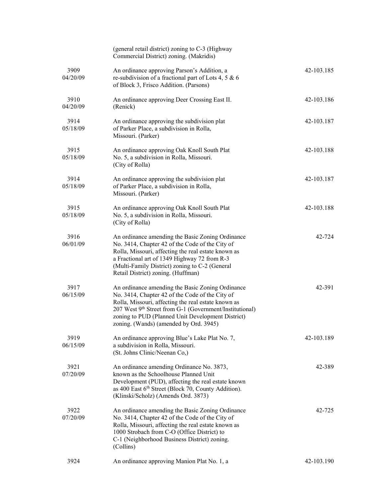|                  | (general retail district) zoning to C-3 (Highway<br>Commercial District) zoning. (Makridis)                                                                                                                                                                                                                          |            |
|------------------|----------------------------------------------------------------------------------------------------------------------------------------------------------------------------------------------------------------------------------------------------------------------------------------------------------------------|------------|
| 3909<br>04/20/09 | An ordinance approving Parson's Addition, a<br>re-subdivision of a fractional part of Lots 4, 5 & 6<br>of Block 3, Frisco Addition. (Parsons)                                                                                                                                                                        | 42-103.185 |
| 3910<br>04/20/09 | An ordinance approving Deer Crossing East II.<br>(Renick)                                                                                                                                                                                                                                                            | 42-103.186 |
| 3914<br>05/18/09 | An ordinance approving the subdivision plat<br>of Parker Place, a subdivision in Rolla,<br>Missouri. (Parker)                                                                                                                                                                                                        | 42-103.187 |
| 3915<br>05/18/09 | An ordinance approving Oak Knoll South Plat<br>No. 5, a subdivision in Rolla, Missouri.<br>(City of Rolla)                                                                                                                                                                                                           | 42-103.188 |
| 3914<br>05/18/09 | An ordinance approving the subdivision plat<br>of Parker Place, a subdivision in Rolla,<br>Missouri. (Parker)                                                                                                                                                                                                        | 42-103.187 |
| 3915<br>05/18/09 | An ordinance approving Oak Knoll South Plat<br>No. 5, a subdivision in Rolla, Missouri.<br>(City of Rolla)                                                                                                                                                                                                           | 42-103.188 |
| 3916<br>06/01/09 | An ordinance amending the Basic Zoning Ordinance<br>No. 3414, Chapter 42 of the Code of the City of<br>Rolla, Missouri, affecting the real estate known as<br>a Fractional art of 1349 Highway 72 from R-3<br>(Multi-Family District) zoning to C-2 (General<br>Retail District) zoning. (Huffman)                   | 42-724     |
| 3917<br>06/15/09 | An ordinance amending the Basic Zoning Ordinance<br>No. 3414, Chapter 42 of the Code of the City of<br>Rolla, Missouri, affecting the real estate known as<br>207 West 9th Street from G-1 (Government/Institutional)<br>zoning to PUD (Planned Unit Development District)<br>zoning. (Wands) (amended by Ord. 3945) | 42-391     |
| 3919<br>06/15/09 | An ordinance approving Blue's Lake Plat No. 7,<br>a subdivision in Rolla, Missouri.<br>(St. Johns Clinic/Neenan Co,)                                                                                                                                                                                                 | 42-103.189 |
| 3921<br>07/20/09 | An ordinance amending Ordinance No. 3873,<br>known as the Schoolhouse Planned Unit<br>Development (PUD), affecting the real estate known<br>as 400 East 6th Street (Block 70, County Addition).<br>(Klinski/Scholz) (Amends Ord. 3873)                                                                               | 42-389     |
| 3922<br>07/20/09 | An ordinance amending the Basic Zoning Ordinance<br>No. 3414, Chapter 42 of the Code of the City of<br>Rolla, Missouri, affecting the real estate known as<br>1000 Strobach from C-O (Office District) to<br>C-1 (Neighborhood Business District) zoning.<br>(Collins)                                               | 42-725     |
| 3924             | An ordinance approving Manion Plat No. 1, a                                                                                                                                                                                                                                                                          | 42-103.190 |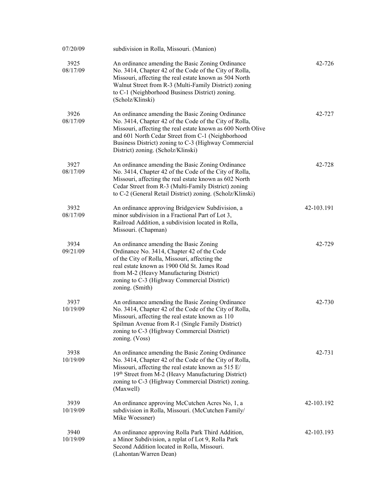| 07/20/09         | subdivision in Rolla, Missouri. (Manion)                                                                                                                                                                                                                                                                                      |            |
|------------------|-------------------------------------------------------------------------------------------------------------------------------------------------------------------------------------------------------------------------------------------------------------------------------------------------------------------------------|------------|
| 3925<br>08/17/09 | An ordinance amending the Basic Zoning Ordinance<br>No. 3414, Chapter 42 of the Code of the City of Rolla,<br>Missouri, affecting the real estate known as 504 North<br>Walnut Street from R-3 (Multi-Family District) zoning<br>to C-1 (Neighborhood Business District) zoning.<br>(Scholz/Klinski)                          | 42-726     |
| 3926<br>08/17/09 | An ordinance amending the Basic Zoning Ordinance<br>No. 3414, Chapter 42 of the Code of the City of Rolla,<br>Missouri, affecting the real estate known as 600 North Olive<br>and 601 North Cedar Street from C-1 (Neighborhood<br>Business District) zoning to C-3 (Highway Commercial<br>District) zoning. (Scholz/Klinski) | 42-727     |
| 3927<br>08/17/09 | An ordinance amending the Basic Zoning Ordinance<br>No. 3414, Chapter 42 of the Code of the City of Rolla,<br>Missouri, affecting the real estate known as 602 North<br>Cedar Street from R-3 (Multi-Family District) zoning<br>to C-2 (General Retail District) zoning. (Scholz/Klinski)                                     | 42-728     |
| 3932<br>08/17/09 | An ordinance approving Bridgeview Subdivision, a<br>minor subdivision in a Fractional Part of Lot 3,<br>Railroad Addition, a subdivision located in Rolla,<br>Missouri. (Chapman)                                                                                                                                             | 42-103.191 |
| 3934<br>09/21/09 | An ordinance amending the Basic Zoning<br>Ordinance No. 3414, Chapter 42 of the Code<br>of the City of Rolla, Missouri, affecting the<br>real estate known as 1900 Old St. James Road<br>from M-2 (Heavy Manufacturing District)<br>zoning to C-3 (Highway Commercial District)<br>zoning. (Smith)                            | 42-729     |
| 3937<br>10/19/09 | An ordinance amending the Basic Zoning Ordinance<br>No. 3414, Chapter 42 of the Code of the City of Rolla,<br>Missouri, affecting the real estate known as 110<br>Spilman Avenue from R-1 (Single Family District)<br>zoning to C-3 (Highway Commercial District)<br>zoning. (Voss)                                           | 42-730     |
| 3938<br>10/19/09 | An ordinance amending the Basic Zoning Ordinance<br>No. 3414, Chapter 42 of the Code of the City of Rolla,<br>Missouri, affecting the real estate known as 515 E/<br>19th Street from M-2 (Heavy Manufacturing District)<br>zoning to C-3 (Highway Commercial District) zoning.<br>(Maxwell)                                  | 42-731     |
| 3939<br>10/19/09 | An ordinance approving McCutchen Acres No, 1, a<br>subdivision in Rolla, Missouri. (McCutchen Family/<br>Mike Woessner)                                                                                                                                                                                                       | 42-103.192 |
| 3940<br>10/19/09 | An ordinance approving Rolla Park Third Addition,<br>a Minor Subdivision, a replat of Lot 9, Rolla Park<br>Second Addition located in Rolla, Missouri.<br>(Lahontan/Warren Dean)                                                                                                                                              | 42-103.193 |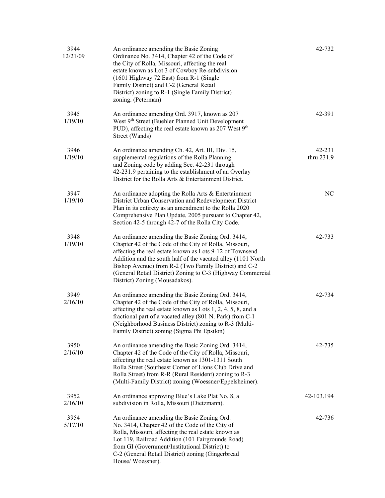| 3944<br>12/21/09 | An ordinance amending the Basic Zoning<br>Ordinance No. 3414, Chapter 42 of the Code of<br>the City of Rolla, Missouri, affecting the real<br>estate known as Lot 3 of Cowboy Re-subdivision<br>(1601 Highway 72 East) from R-1 (Single<br>Family District) and C-2 (General Retail<br>District) zoning to R-1 (Single Family District)<br>zoning. (Peterman)                                     | 42-732               |
|------------------|---------------------------------------------------------------------------------------------------------------------------------------------------------------------------------------------------------------------------------------------------------------------------------------------------------------------------------------------------------------------------------------------------|----------------------|
| 3945<br>1/19/10  | An ordinance amending Ord. 3917, known as 207<br>West 9th Street (Buehler Planned Unit Development<br>PUD), affecting the real estate known as 207 West $9th$<br>Street (Wands)                                                                                                                                                                                                                   | 42-391               |
| 3946<br>1/19/10  | An ordinance amending Ch. 42, Art. III, Div. 15,<br>supplemental regulations of the Rolla Planning<br>and Zoning code by adding Sec. 42-231 through<br>42-231.9 pertaining to the establishment of an Overlay<br>District for the Rolla Arts & Entertainment District.                                                                                                                            | 42-231<br>thru 231.9 |
| 3947<br>1/19/10  | An ordinance adopting the Rolla Arts & Entertainment<br>District Urban Conservation and Redevelopment District<br>Plan in its entirety as an amendment to the Rolla 2020<br>Comprehensive Plan Update, 2005 pursuant to Chapter 42,<br>Section 42-5 through 42-7 of the Rolla City Code.                                                                                                          | NC                   |
| 3948<br>1/19/10  | An ordinance amending the Basic Zoning Ord. 3414,<br>Chapter 42 of the Code of the City of Rolla, Missouri,<br>affecting the real estate known as Lots 9-12 of Townsend<br>Addition and the south half of the vacated alley (1101 North<br>Bishop Avenue) from R-2 (Two Family District) and C-2<br>(General Retail District) Zoning to C-3 (Highway Commercial<br>District) Zoning (Mousadakos). | 42-733               |
| 3949<br>2/16/10  | An ordinance amending the Basic Zoning Ord. 3414,<br>Chapter 42 of the Code of the City of Rolla, Missouri,<br>affecting the real estate known as Lots 1, 2, 4, 5, 8, and a<br>fractional part of a vacated alley (801 N. Park) from C-1<br>(Neighborhood Business District) zoning to R-3 (Multi-<br>Family District) zoning (Sigma Phi Epsilon)                                                 | 42-734               |
| 3950<br>2/16/10  | An ordinance amending the Basic Zoning Ord. 3414,<br>Chapter 42 of the Code of the City of Rolla, Missouri,<br>affecting the real estate known as 1301-1311 South<br>Rolla Street (Southeast Corner of Lions Club Drive and<br>Rolla Street) from R-R (Rural Resident) zoning to R-3<br>(Multi-Family District) zoning (Woessner/Eppelsheimer).                                                   | 42-735               |
| 3952<br>2/16/10  | An ordinance approving Blue's Lake Plat No. 8, a<br>subdivision in Rolla, Missouri (Dietzmann).                                                                                                                                                                                                                                                                                                   | 42-103.194           |
| 3954<br>5/17/10  | An ordinance amending the Basic Zoning Ord.<br>No. 3414, Chapter 42 of the Code of the City of<br>Rolla, Missouri, affecting the real estate known as<br>Lot 119, Railroad Addition (101 Fairgrounds Road)<br>from GI (Government/Institutional District) to<br>C-2 (General Retail District) zoning (Gingerbread<br>House/Woessner).                                                             | 42-736               |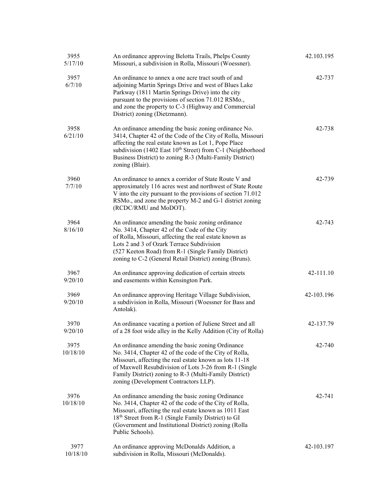| 3955<br>5/17/10  | An ordinance approving Belotta Trails, Phelps County<br>Missouri, a subdivision in Rolla, Missouri (Woessner).                                                                                                                                                                                                                       | 42.103.195 |
|------------------|--------------------------------------------------------------------------------------------------------------------------------------------------------------------------------------------------------------------------------------------------------------------------------------------------------------------------------------|------------|
| 3957<br>6/7/10   | An ordinance to annex a one acre tract south of and<br>adjoining Martin Springs Drive and west of Blues Lake<br>Parkway (1811 Martin Springs Drive) into the city<br>pursuant to the provisions of section 71.012 RSMo.,<br>and zone the property to C-3 (Highway and Commercial<br>District) zoning (Dietzmann).                    | 42-737     |
| 3958<br>6/21/10  | An ordinance amending the basic zoning ordinance No.<br>3414, Chapter 42 of the Code of the City of Rolla, Missouri<br>affecting the real estate known as Lot 1, Pope Place<br>subdivision (1402 East 10 <sup>th</sup> Street) from C-1 (Neighborhood<br>Business District) to zoning R-3 (Multi-Family District)<br>zoning (Blair). | 42-738     |
| 3960<br>7/7/10   | An ordinance to annex a corridor of State Route V and<br>approximately 116 acres west and northwest of State Route<br>V into the city pursuant to the provisions of section 71.012<br>RSMo., and zone the property M-2 and G-1 district zoning<br>(RCDC/RMU and MoDOT).                                                              | 42-739     |
| 3964<br>8/16/10  | An ordinance amending the basic zoning ordinance<br>No. 3414, Chapter 42 of the Code of the City<br>of Rolla, Missouri, affecting the real estate known as<br>Lots 2 and 3 of Ozark Terrace Subdivision<br>(527 Keeton Road) from R-1 (Single Family District)<br>zoning to C-2 (General Retail District) zoning (Bruns).            | 42-743     |
| 3967<br>9/20/10  | An ordinance approving dedication of certain streets<br>and easements within Kensington Park.                                                                                                                                                                                                                                        | 42-111.10  |
| 3969<br>9/20/10  | An ordinance approving Heritage Village Subdivision,<br>a subdivision in Rolla, Missouri (Woessner for Bass and<br>Antolak).                                                                                                                                                                                                         | 42-103.196 |
| 3970<br>9/20/10  | An ordinance vacating a portion of Juliene Street and all<br>of a 28 foot wide alley in the Kelly Addition (City of Rolla)                                                                                                                                                                                                           | 42-137.79  |
| 3975<br>10/18/10 | An ordinance amending the basic zoning Ordinance<br>No. 3414, Chapter 42 of the code of the City of Rolla,<br>Missouri, affecting the real estate known as lots 11-18<br>of Maxwell Resubdivision of Lots 3-26 from R-1 (Single<br>Family District) zoning to R-3 (Multi-Family District)<br>zoning (Development Contractors LLP).   | 42-740     |
| 3976<br>10/18/10 | An ordinance amending the basic zoning Ordinance<br>No. 3414, Chapter 42 of the code of the City of Rolla,<br>Missouri, affecting the real estate known as 1011 East<br>18 <sup>th</sup> Street from R-1 (Single Family District) to GI<br>(Government and Institutional District) zoning (Rolla<br>Public Schools).                 | 42-741     |
| 3977<br>10/18/10 | An ordinance approving McDonalds Addition, a<br>subdivision in Rolla, Missouri (McDonalds).                                                                                                                                                                                                                                          | 42-103.197 |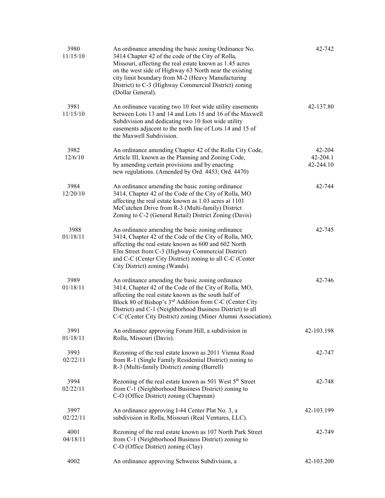| 3980<br>11/15/10 | An ordinance amending the basic zoning Ordinance No.<br>3414 Chapter 42 of the code of the City of Rolla,<br>Missouri, affecting the real estate known as 1.45 acres<br>on the west side of Highway 63 North near the existing<br>city limit boundary from M-2 (Heavy Manufacturing<br>District) to C-3 (Highway Commercial District) zoning<br>(Dollar General).       | 42-742                          |
|------------------|-------------------------------------------------------------------------------------------------------------------------------------------------------------------------------------------------------------------------------------------------------------------------------------------------------------------------------------------------------------------------|---------------------------------|
| 3981<br>11/15/10 | An ordinance vacating two 10 foot wide utility easements<br>between Lots 13 and 14 and Lots 15 and 16 of the Maxwell<br>Subdivision and dedicating two 10 foot wide utility<br>easements adjacent to the north line of Lots 14 and 15 of<br>the Maxwell Subdivision.                                                                                                    | 42-137.80                       |
| 3982<br>12/6/10  | An ordinance amending Chapter 42 of the Rolla City Code,<br>Article III, known as the Planning and Zoning Code,<br>by amending certain provisions and by enacting<br>new regulations. (Amended by Ord. 4453; Ord. 4470)                                                                                                                                                 | 42-204<br>42-204.1<br>42-244.10 |
| 3984<br>12/20/10 | An ordinance amending the basic zoning ordinance<br>3414, Chapter 42 of the Code of the City of Rolla, MO<br>affecting the real estate known as 1.03 acres at 1101<br>McCutchen Drive from R-3 (Multi-family) District<br>Zoning to C-2 (General Retail) District Zoning (Davis)                                                                                        | 42-744                          |
| 3988<br>01/18/11 | An ordinance amending the basic zoning ordinance<br>3414, Chapter 42 of the Code of the City of Rolla, MO,<br>affecting the real estate known as 600 and 602 North<br>Elm Street from C-3 (Highway Commercial District)<br>and C-C (Center City District) zoning to all C-C (Center<br>City District) zoning (Wands).                                                   | 42-745                          |
| 3989<br>01/18/11 | An ordinance amending the basic zoning ordinance<br>3414, Chapter 42 of the Code of the City of Rolla, MO,<br>affecting the real estate known as the south half of<br>Block 80 of Bishop's 3 <sup>rd</sup> Addition from C-C (Center City<br>District) and C-1 (Neighborhood Business District) to all<br>C-C (Center City District) zoning (Miner Alumni Association). | 42-746                          |
| 3991<br>01/18/11 | An ordinance approving Forum Hill, a subdivision in<br>Rolla, Missouri (Davis).                                                                                                                                                                                                                                                                                         | 42-103.198                      |
| 3993<br>02/22/11 | Rezoning of the real estate known as 2011 Vienna Road<br>from R-1 (Single Family Residential District) zoning to<br>R-3 (Multi-family District) zoning (Burrell)                                                                                                                                                                                                        | 42-747                          |
| 3994<br>02/22/11 | Rezoning of the real estate known as 501 West 5 <sup>th</sup> Street<br>from C-1 (Neighborhood Business District) zoning to<br>C-O (Office District) zoning (Chapman)                                                                                                                                                                                                   | 42-748                          |
| 3997<br>02/22/11 | An ordinance approving I-44 Center Plat No. 3, a<br>subdivision in Rolla, Missouri (Real Ventures, LLC).                                                                                                                                                                                                                                                                | 42-103.199                      |
| 4001<br>04/18/11 | Rezoning of the real estate known as 107 North Park Street<br>from C-1 (Neighborhood Business District) zoning to<br>C-O (Office District) zoning (Clay)                                                                                                                                                                                                                | 42-749                          |
| 4002             | An ordinance approving Schweiss Subdivision, a                                                                                                                                                                                                                                                                                                                          | 42-103.200                      |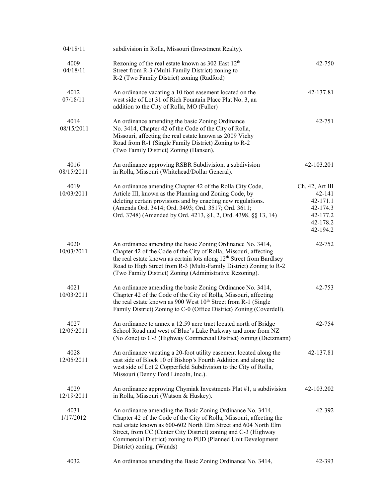| 04/18/11           | subdivision in Rolla, Missouri (Investment Realty).                                                                                                                                                                                                                                                                                                                  |                                                                                       |
|--------------------|----------------------------------------------------------------------------------------------------------------------------------------------------------------------------------------------------------------------------------------------------------------------------------------------------------------------------------------------------------------------|---------------------------------------------------------------------------------------|
| 4009<br>04/18/11   | Rezoning of the real estate known as 302 East 12 <sup>th</sup><br>Street from R-3 (Multi-Family District) zoning to<br>R-2 (Two Family District) zoning (Radford)                                                                                                                                                                                                    | 42-750                                                                                |
| 4012<br>07/18/11   | An ordinance vacating a 10 foot easement located on the<br>west side of Lot 31 of Rich Fountain Place Plat No. 3, an<br>addition to the City of Rolla, MO (Fuller)                                                                                                                                                                                                   | 42-137.81                                                                             |
| 4014<br>08/15/2011 | An ordinance amending the basic Zoning Ordinance<br>No. 3414, Chapter 42 of the Code of the City of Rolla,<br>Missouri, affecting the real estate known as 2009 Vichy<br>Road from R-1 (Single Family District) Zoning to R-2<br>(Two Family District) Zoning (Hansen).                                                                                              | $42 - 751$                                                                            |
| 4016<br>08/15/2011 | An ordinance approving RSBR Subdivision, a subdivision<br>in Rolla, Missouri (Whitehead/Dollar General).                                                                                                                                                                                                                                                             | 42-103.201                                                                            |
| 4019<br>10/03/2011 | An ordinance amending Chapter 42 of the Rolla City Code,<br>Article III, known as the Planning and Zoning Code, by<br>deleting certain provisions and by enacting new regulations.<br>(Amends Ord. 3414; Ord. 3493; Ord. 3517; Ord. 3611;<br>Ord. 3748) (Amended by Ord. 4213, §1, 2, Ord. 4398, §§ 13, 14)                                                          | Ch. 42, Art III<br>42-141<br>42-171.1<br>42-174.3<br>42-177.2<br>42-178.2<br>42-194.2 |
| 4020<br>10/03/2011 | An ordinance amending the basic Zoning Ordinance No. 3414,<br>Chapter 42 of the Code of the City of Rolla, Missouri, affecting<br>the real estate known as certain lots along 12 <sup>th</sup> Street from Bardlsey<br>Road to High Street from R-3 (Multi-Family District) Zoning to R-2<br>(Two Family District) Zoning (Administrative Rezoning).                 | 42-752                                                                                |
| 4021<br>10/03/2011 | An ordinance amending the basic Zoning Ordinance No. 3414,<br>Chapter 42 of the Code of the City of Rolla, Missouri, affecting<br>the real estate known as 900 West 10 <sup>th</sup> Street from R-1 (Single<br>Family District) Zoning to C-0 (Office District) Zoning (Coverdell).                                                                                 | 42-753                                                                                |
| 4027<br>12/05/2011 | An ordinance to annex a 12.59 acre tract located north of Bridge<br>School Road and west of Blue's Lake Parkway and zone from NZ<br>(No Zone) to C-3 (Highway Commercial District) zoning (Dietzmann)                                                                                                                                                                | 42-754                                                                                |
| 4028<br>12/05/2011 | An ordinance vacating a 20-foot utility easement located along the<br>east side of Block 10 of Bishop's Fourth Addition and along the<br>west side of Lot 2 Copperfield Subdivision to the City of Rolla,<br>Missouri (Denny Ford Lincoln, Inc.).                                                                                                                    | 42-137.81                                                                             |
| 4029<br>12/19/2011 | An ordinance approving Chymiak Investments Plat #1, a subdivision<br>in Rolla, Missouri (Watson & Huskey).                                                                                                                                                                                                                                                           | 42-103.202                                                                            |
| 4031<br>1/17/2012  | An ordinance amending the Basic Zoning Ordinance No. 3414,<br>Chapter 42 of the Code of the City of Rolla, Missouri, affecting the<br>real estate known as 600-602 North Elm Street and 604 North Elm<br>Street, from CC (Center City District) zoning and C-3 (Highway<br>Commercial District) zoning to PUD (Planned Unit Development<br>District) zoning. (Wands) | 42-392                                                                                |
| 4032               | An ordinance amending the Basic Zoning Ordinance No. 3414,                                                                                                                                                                                                                                                                                                           | 42-393                                                                                |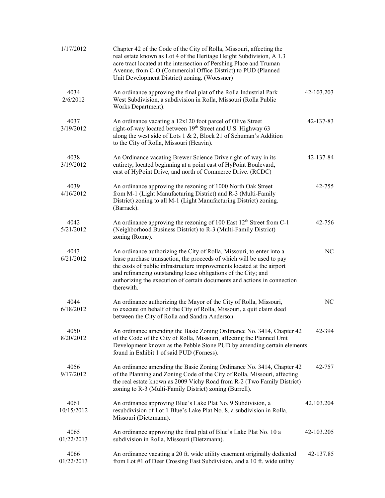| 1/17/2012          | Chapter 42 of the Code of the City of Rolla, Missouri, affecting the<br>real estate known as Lot 4 of the Heritage Height Subdivision, A 1.3<br>acre tract located at the intersection of Pershing Place and Truman<br>Avenue, from C-O (Commercial Office District) to PUD (Planned<br>Unit Development District) zoning. (Woessner)                                                |            |
|--------------------|--------------------------------------------------------------------------------------------------------------------------------------------------------------------------------------------------------------------------------------------------------------------------------------------------------------------------------------------------------------------------------------|------------|
| 4034<br>2/6/2012   | An ordinance approving the final plat of the Rolla Industrial Park<br>West Subdivision, a subdivision in Rolla, Missouri (Rolla Public<br>Works Department).                                                                                                                                                                                                                         | 42-103.203 |
| 4037<br>3/19/2012  | An ordinance vacating a 12x120 foot parcel of Olive Street<br>right-of-way located between 19 <sup>th</sup> Street and U.S. Highway 63<br>along the west side of Lots 1 & 2, Block 21 of Schuman's Addition<br>to the City of Rolla, Missouri (Heavin).                                                                                                                              | 42-137-83  |
| 4038<br>3/19/2012  | An Ordinance vacating Brewer Science Drive right-of-way in its<br>entirety, located beginning at a point east of HyPoint Boulevard,<br>east of HyPoint Drive, and north of Commerce Drive. (RCDC)                                                                                                                                                                                    | 42-137-84  |
| 4039<br>4/16/2012  | An ordinance approving the rezoning of 1000 North Oak Street<br>from M-1 (Light Manufacturing District) and R-3 (Multi-Family<br>District) zoning to all M-1 (Light Manufacturing District) zoning.<br>(Barrack).                                                                                                                                                                    | 42-755     |
| 4042<br>5/21/2012  | An ordinance approving the rezoning of 100 East $12th$ Street from C-1<br>(Neighborhood Business District) to R-3 (Multi-Family District)<br>zoning (Rome).                                                                                                                                                                                                                          | 42-756     |
| 4043<br>6/21/2012  | An ordinance authorizing the City of Rolla, Missouri, to enter into a<br>lease purchase transaction, the proceeds of which will be used to pay<br>the costs of public infrastructure improvements located at the airport<br>and refinancing outstanding lease obligations of the City; and<br>authorizing the execution of certain documents and actions in connection<br>therewith. | NC         |
| 4044<br>6/18/2012  | An ordinance authorizing the Mayor of the City of Rolla, Missouri,<br>to execute on behalf of the City of Rolla, Missouri, a quit claim deed<br>between the City of Rolla and Sandra Anderson.                                                                                                                                                                                       | NC         |
| 4050<br>8/20/2012  | An ordinance amending the Basic Zoning Ordinance No. 3414, Chapter 42<br>of the Code of the City of Rolla, Missouri, affecting the Planned Unit<br>Development known as the Pebble Stone PUD by amending certain elements<br>found in Exhibit 1 of said PUD (Forness).                                                                                                               | 42-394     |
| 4056<br>9/17/2012  | An ordinance amending the Basic Zoning Ordinance No. 3414, Chapter 42<br>of the Planning and Zoning Code of the City of Rolla, Missouri, affecting<br>the real estate known as 2009 Vichy Road from R-2 (Two Family District)<br>zoning to R-3 (Multi-Family District) zoning (Burrell).                                                                                             | 42-757     |
| 4061<br>10/15/2012 | An ordinance approving Blue's Lake Plat No. 9 Subdivision, a<br>resubdivision of Lot 1 Blue's Lake Plat No. 8, a subdivision in Rolla,<br>Missouri (Dietzmann).                                                                                                                                                                                                                      | 42.103.204 |
| 4065<br>01/22/2013 | An ordinance approving the final plat of Blue's Lake Plat No. 10 a<br>subdivision in Rolla, Missouri (Dietzmann).                                                                                                                                                                                                                                                                    | 42-103.205 |
| 4066<br>01/22/2013 | An ordinance vacating a 20 ft. wide utility easement originally dedicated<br>from Lot #1 of Deer Crossing East Subdivision, and a 10 ft. wide utility                                                                                                                                                                                                                                | 42-137.85  |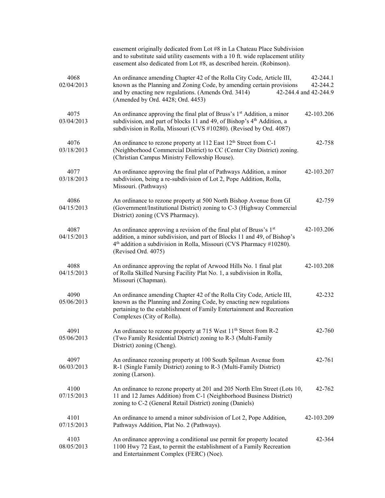|                    | easement originally dedicated from Lot #8 in La Chateau Place Subdivision<br>and to substitute said utility easements with a 10 ft. wide replacement utility<br>easement also dedicated from Lot #8, as described herein. (Robinson).                     |                                                   |
|--------------------|-----------------------------------------------------------------------------------------------------------------------------------------------------------------------------------------------------------------------------------------------------------|---------------------------------------------------|
| 4068<br>02/04/2013 | An ordinance amending Chapter 42 of the Rolla City Code, Article III,<br>known as the Planning and Zoning Code, by amending certain provisions<br>and by enacting new regulations. (Amends Ord. 3414)<br>(Amended by Ord. 4428; Ord. 4453)                | $42 - 244.1$<br>42-244.2<br>42-244.4 and 42-244.9 |
| 4075<br>03/04/2013 | An ordinance approving the final plat of Bruss's 1 <sup>st</sup> Addition, a minor<br>subdivision, and part of blocks 11 and 49, of Bishop's 4 <sup>th</sup> Addition, a<br>subdivision in Rolla, Missouri (CVS #10280). (Revised by Ord. 4087)           | 42-103.206                                        |
| 4076<br>03/18/2013 | An ordinance to rezone property at 112 East 12 <sup>th</sup> Street from C-1<br>(Neighborhood Commercial District) to CC (Center City District) zoning.<br>(Christian Campus Ministry Fellowship House).                                                  | 42-758                                            |
| 4077<br>03/18/2013 | An ordinance approving the final plat of Pathways Addition, a minor<br>subdivision, being a re-subdivision of Lot 2, Pope Addition, Rolla,<br>Missouri. (Pathways)                                                                                        | 42-103.207                                        |
| 4086<br>04/15/2013 | An ordinance to rezone property at 500 North Bishop Avenue from GI<br>(Government/Institutional District) zoning to C-3 (Highway Commercial<br>District) zoning (CVS Pharmacy).                                                                           | 42-759                                            |
| 4087<br>04/15/2013 | An ordinance approving a revision of the final plat of Bruss's 1st<br>addition, a minor subdivision, and part of Blocks 11 and 49, of Bishop's<br>4 <sup>th</sup> addition a subdivision in Rolla, Missouri (CVS Pharmacy #10280).<br>(Revised Ord. 4075) | 42-103.206                                        |
| 4088<br>04/15/2013 | An ordinance approving the replat of Arwood Hills No. 1 final plat<br>of Rolla Skilled Nursing Facility Plat No. 1, a subdivision in Rolla,<br>Missouri (Chapman).                                                                                        | 42-103.208                                        |
| 4090<br>05/06/2013 | An ordinance amending Chapter 42 of the Rolla City Code, Article III,<br>known as the Planning and Zoning Code, by enacting new regulations<br>pertaining to the establishment of Family Entertainment and Recreation<br>Complexes (City of Rolla).       | 42-232                                            |
| 4091<br>05/06/2013 | An ordinance to rezone property at 715 West 11 <sup>th</sup> Street from R-2<br>(Two Family Residential District) zoning to R-3 (Multi-Family<br>District) zoning (Cheng).                                                                                | 42-760                                            |
| 4097<br>06/03/2013 | An ordinance rezoning property at 100 South Spilman Avenue from<br>R-1 (Single Family District) zoning to R-3 (Multi-Family District)<br>zoning (Larson).                                                                                                 | 42-761                                            |
| 4100<br>07/15/2013 | An ordinance to rezone property at 201 and 205 North Elm Street (Lots 10,<br>11 and 12 James Addition) from C-1 (Neighborhood Business District)<br>zoning to C-2 (General Retail District) zoning (Daniels)                                              | 42-762                                            |
| 4101<br>07/15/2013 | An ordinance to amend a minor subdivision of Lot 2, Pope Addition,<br>Pathways Addition, Plat No. 2 (Pathways).                                                                                                                                           | 42-103.209                                        |
| 4103<br>08/05/2013 | An ordinance approving a conditional use permit for property located<br>1100 Hwy 72 East, to permit the establishment of a Family Recreation<br>and Entertainment Complex (FERC) (Noe).                                                                   | 42-364                                            |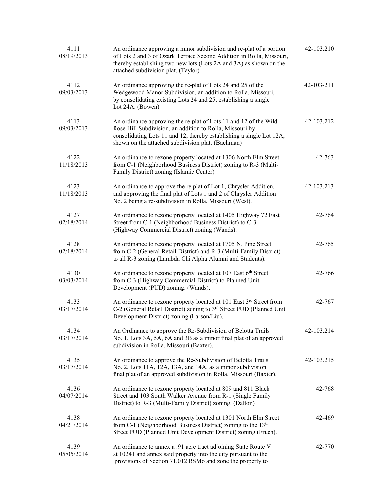| 4111<br>08/19/2013 | An ordinance approving a minor subdivision and re-plat of a portion<br>of Lots 2 and 3 of Ozark Terrace Second Addition in Rolla, Missouri,<br>thereby establishing two new lots (Lots 2A and 3A) as shown on the<br>attached subdivision plat. (Taylor)  | 42-103.210 |
|--------------------|-----------------------------------------------------------------------------------------------------------------------------------------------------------------------------------------------------------------------------------------------------------|------------|
| 4112<br>09/03/2013 | An ordinance approving the re-plat of Lots 24 and 25 of the<br>Wedgewood Manor Subdivision, an addition to Rolla, Missouri,<br>by consolidating existing Lots 24 and 25, establishing a single<br>Lot 24A. (Bowen)                                        | 42-103-211 |
| 4113<br>09/03/2013 | An ordinance approving the re-plat of Lots 11 and 12 of the Wild<br>Rose Hill Subdivision, an addition to Rolla, Missouri by<br>consolidating Lots 11 and 12, thereby establishing a single Lot 12A,<br>shown on the attached subdivision plat. (Bachman) | 42-103.212 |
| 4122<br>11/18/2013 | An ordinance to rezone property located at 1306 North Elm Street<br>from C-1 (Neighborhood Business District) zoning to R-3 (Multi-<br>Family District) zoning (Islamic Center)                                                                           | 42-763     |
| 4123<br>11/18/2013 | An ordinance to approve the re-plat of Lot 1, Chrysler Addition,<br>and approving the final plat of Lots 1 and 2 of Chrysler Addition<br>No. 2 being a re-subdivision in Rolla, Missouri (West).                                                          | 42-103.213 |
| 4127<br>02/18/2014 | An ordinance to rezone property located at 1405 Highway 72 East<br>Street from C-1 (Neighborhood Business District) to C-3<br>(Highway Commercial District) zoning (Wands).                                                                               | 42-764     |
| 4128<br>02/18/2014 | An ordinance to rezone property located at 1705 N. Pine Street<br>from C-2 (General Retail District) and R-3 (Multi-Family District)<br>to all R-3 zoning (Lambda Chi Alpha Alumni and Students).                                                         | 42-765     |
| 4130<br>03/03/2014 | An ordinance to rezone property located at 107 East 6 <sup>th</sup> Street<br>from C-3 (Highway Commercial District) to Planned Unit<br>Development (PUD) zoning. (Wands).                                                                                | 42-766     |
| 4133<br>03/17/2014 | An ordinance to rezone property located at 101 East 3rd Street from<br>C-2 (General Retail District) zoning to 3 <sup>rd</sup> Street PUD (Planned Unit<br>Development District) zoning (Larson/Liu).                                                     | 42-767     |
| 4134<br>03/17/2014 | An Ordinance to approve the Re-Subdivision of Belotta Trails<br>No. 1, Lots 3A, 5A, 6A and 3B as a minor final plat of an approved<br>subdivision in Rolla, Missouri (Baxter).                                                                            | 42-103.214 |
| 4135<br>03/17/2014 | An ordinance to approve the Re-Subdivision of Belotta Trails<br>No. 2, Lots 11A, 12A, 13A, and 14A, as a minor subdivision<br>final plat of an approved subdivision in Rolla, Missouri (Baxter).                                                          | 42-103.215 |
| 4136<br>04/07/2014 | An ordinance to rezone property located at 809 and 811 Black<br>Street and 103 South Walker Avenue from R-1 (Single Family<br>District) to R-3 (Multi-Family District) zoning. (Dalton)                                                                   | 42-768     |
| 4138<br>04/21/2014 | An ordinance to rezone property located at 1301 North Elm Street<br>from C-1 (Neighborhood Business District) zoning to the 13 <sup>th</sup><br>Street PUD (Planned Unit Development District) zoning (Frueh).                                            | 42-469     |
| 4139<br>05/05/2014 | An ordinance to annex a .91 acre tract adjoining State Route V<br>at 10241 and annex said property into the city pursuant to the<br>provisions of Section 71.012 RSMo and zone the property to                                                            | 42-770     |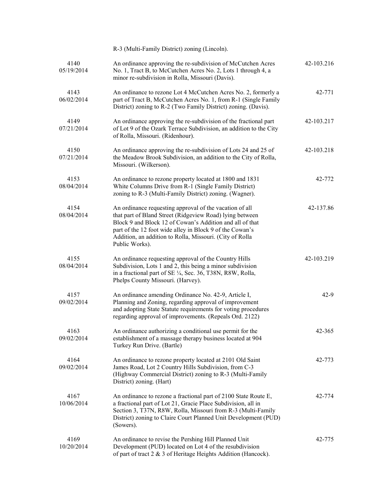|                    | R-3 (Multi-Family District) zoning (Lincoln).                                                                                                                                                                                                                                                                             |            |
|--------------------|---------------------------------------------------------------------------------------------------------------------------------------------------------------------------------------------------------------------------------------------------------------------------------------------------------------------------|------------|
| 4140<br>05/19/2014 | An ordinance approving the re-subdivision of McCutchen Acres<br>No. 1, Tract B, to McCutchen Acres No. 2, Lots 1 through 4, a<br>minor re-subdivision in Rolla, Missouri (Davis).                                                                                                                                         | 42-103.216 |
| 4143<br>06/02/2014 | An ordinance to rezone Lot 4 McCutchen Acres No. 2, formerly a<br>part of Tract B, McCutchen Acres No. 1, from R-1 (Single Family<br>District) zoning to R-2 (Two Family District) zoning. (Davis).                                                                                                                       | 42-771     |
| 4149<br>07/21/2014 | An ordinance approving the re-subdivision of the fractional part<br>of Lot 9 of the Ozark Terrace Subdivision, an addition to the City<br>of Rolla, Missouri. (Ridenhour).                                                                                                                                                | 42-103.217 |
| 4150<br>07/21/2014 | An ordinance approving the re-subdivision of Lots 24 and 25 of<br>the Meadow Brook Subdivision, an addition to the City of Rolla,<br>Missouri. (Wilkerson).                                                                                                                                                               | 42-103.218 |
| 4153<br>08/04/2014 | An ordinance to rezone property located at 1800 and 1831<br>White Columns Drive from R-1 (Single Family District)<br>zoning to R-3 (Multi-Family District) zoning. (Wagner).                                                                                                                                              | 42-772     |
| 4154<br>08/04/2014 | An ordinance requesting approval of the vacation of all<br>that part of Bland Street (Ridgeview Road) lying between<br>Block 9 and Block 12 of Cowan's Addition and all of that<br>part of the 12 foot wide alley in Block 9 of the Cowan's<br>Addition, an addition to Rolla, Missouri. (City of Rolla<br>Public Works). | 42-137.86  |
| 4155<br>08/04/2014 | An ordinance requesting approval of the Country Hills<br>Subdivision, Lots 1 and 2, this being a minor subdivision<br>in a fractional part of SE 1/4, Sec. 36, T38N, R8W, Rolla,<br>Phelps County Missouri. (Harvey).                                                                                                     | 42-103.219 |
| 4157<br>09/02/2014 | An ordinance amending Ordinance No. 42-9, Article I,<br>Planning and Zoning, regarding approval of improvement<br>and adopting State Statute requirements for voting procedures<br>regarding approval of improvements. (Repeals Ord. 2122)                                                                                | $42-9$     |
| 4163<br>09/02/2014 | An ordinance authorizing a conditional use permit for the<br>establishment of a massage therapy business located at 904<br>Turkey Run Drive. (Bartle)                                                                                                                                                                     | 42-365     |
| 4164<br>09/02/2014 | An ordinance to rezone property located at 2101 Old Saint<br>James Road, Lot 2 Country Hills Subdivision, from C-3<br>(Highway Commercial District) zoning to R-3 (Multi-Family<br>District) zoning. (Hart)                                                                                                               | 42-773     |
| 4167<br>10/06/2014 | An ordinance to rezone a fractional part of 2100 State Route E,<br>a fractional part of Lot 21, Gracie Place Subdivision, all in<br>Section 3, T37N, R8W, Rolla, Missouri from R-3 (Multi-Family<br>District) zoning to Claire Court Planned Unit Development (PUD)<br>(Sowers).                                          | 42-774     |
| 4169<br>10/20/2014 | An ordinance to revise the Pershing Hill Planned Unit<br>Development (PUD) located on Lot 4 of the resubdivision<br>of part of tract 2 & 3 of Heritage Heights Addition (Hancock).                                                                                                                                        | 42-775     |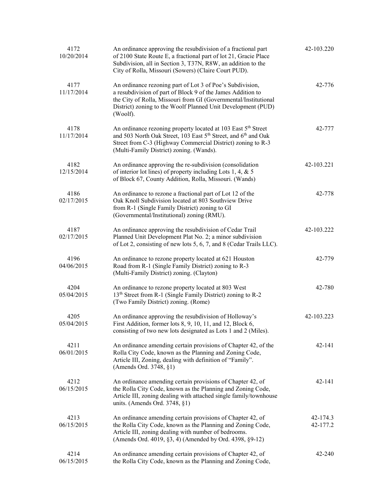| 4172<br>10/20/2014 | An ordinance approving the resubdivision of a fractional part<br>of 2100 State Route E, a fractional part of lot 21, Gracie Place<br>Subdivision, all in Section 3, T37N, R8W, an addition to the<br>City of Rolla, Missouri (Sowers) (Claire Court PUD).                      | 42-103.220           |
|--------------------|--------------------------------------------------------------------------------------------------------------------------------------------------------------------------------------------------------------------------------------------------------------------------------|----------------------|
| 4177<br>11/17/2014 | An ordinance rezoning part of Lot 3 of Poe's Subdivision,<br>a resubdivision of part of Block 9 of the James Addition to<br>the City of Rolla, Missouri from GI (Governmental/Institutional<br>District) zoning to the Woolf Planned Unit Development (PUD)<br>(Woolf).        | 42-776               |
| 4178<br>11/17/2014 | An ordinance rezoning property located at 103 East 5 <sup>th</sup> Street<br>and 503 North Oak Street, 103 East 5 <sup>th</sup> Street, and 6 <sup>th</sup> and Oak<br>Street from C-3 (Highway Commercial District) zoning to R-3<br>(Multi-Family District) zoning. (Wands). | 42-777               |
| 4182<br>12/15/2014 | An ordinance approving the re-subdivision (consolidation<br>of interior lot lines) of property including Lots 1, 4, & 5<br>of Block 67, County Addition, Rolla, Missouri. (Wands)                                                                                              | 42-103.221           |
| 4186<br>02/17/2015 | An ordinance to rezone a fractional part of Lot 12 of the<br>Oak Knoll Subdivision located at 803 Southview Drive<br>from R-1 (Single Family District) zoning to GI<br>(Governmental/Institutional) zoning (RMU).                                                              | 42-778               |
| 4187<br>02/17/2015 | An ordinance approving the resubdivision of Cedar Trail<br>Planned Unit Development Plat No. 2; a minor subdivision<br>of Lot 2, consisting of new lots 5, 6, 7, and 8 (Cedar Trails LLC).                                                                                     | 42-103.222           |
| 4196<br>04/06/2015 | An ordinance to rezone property located at 621 Houston<br>Road from R-1 (Single Family District) zoning to R-3<br>(Multi-Family District) zoning. (Clayton)                                                                                                                    | 42-779               |
| 4204<br>05/04/2015 | An ordinance to rezone property located at 803 West<br>13 <sup>th</sup> Street from R-1 (Single Family District) zoning to R-2<br>(Two Family District) zoning. (Rome)                                                                                                         | 42-780               |
| 4205<br>05/04/2015 | An ordinance approving the resubdivision of Holloway's<br>First Addition, former lots 8, 9, 10, 11, and 12, Block 6,<br>consisting of two new lots designated as Lots 1 and 2 (Miles).                                                                                         | 42-103.223           |
| 4211<br>06/01/2015 | An ordinance amending certain provisions of Chapter 42, of the<br>Rolla City Code, known as the Planning and Zoning Code,<br>Article III, Zoning, dealing with definition of "Family".<br>(Amends Ord. 3748, §1)                                                               | 42-141               |
| 4212<br>06/15/2015 | An ordinance amending certain provisions of Chapter 42, of<br>the Rolla City Code, known as the Planning and Zoning Code,<br>Article III, zoning dealing with attached single family/townhouse<br>units. (Amends Ord. 3748, §1)                                                | $42 - 141$           |
| 4213<br>06/15/2015 | An ordinance amending certain provisions of Chapter 42, of<br>the Rolla City Code, known as the Planning and Zoning Code,<br>Article III, zoning dealing with number of bedrooms.<br>(Amends Ord. 4019, §3, 4) (Amended by Ord. 4398, §9-12)                                   | 42-174.3<br>42-177.2 |
| 4214<br>06/15/2015 | An ordinance amending certain provisions of Chapter 42, of<br>the Rolla City Code, known as the Planning and Zoning Code,                                                                                                                                                      | 42-240               |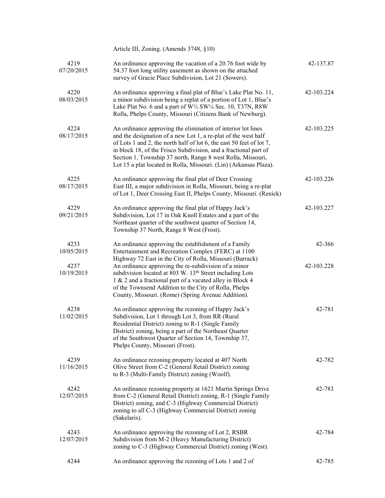|                    | Article III, Zoning. (Amends 3748, §10)                                                                                                                                                                                                                                                                                                                                                                        |            |
|--------------------|----------------------------------------------------------------------------------------------------------------------------------------------------------------------------------------------------------------------------------------------------------------------------------------------------------------------------------------------------------------------------------------------------------------|------------|
| 4219<br>07/20/2015 | An ordinance approving the vacation of a 20.76 foot wide by<br>54.37 foot long utility easement as shown on the attached<br>survey of Gracie Place Subdivision, Lot 21 (Sowers).                                                                                                                                                                                                                               | 42-137.87  |
| 4220<br>08/03/2015 | An ordinance approving a final plat of Blue's Lake Plat No. 11,<br>a minor subdivision being a replat of a portion of Lot 1, Blue's<br>Lake Plat No. 6 and a part of W1/2 SW1/4 Sec. 10, T37N, R8W<br>Rolla, Phelps County, Missouri (Citizens Bank of Newburg).                                                                                                                                               | 42-103.224 |
| 4224<br>08/17/2015 | An ordinance approving the elimination of interior lot lines<br>and the designation of a new Lot 1, a re-plat of the west half<br>of Lots 1 and 2, the north half of lot 6, the east 50 feet of lot 7,<br>in block 18, of the Frisco Subdivision, and a fractional part of<br>Section 1, Township 37 north, Range 8 west Rolla, Missouri,<br>Lot 15 a plat located in Rolla, Missouri. (Lin) (Arkansas Plaza). | 42-103.225 |
| 4225<br>08/17/2015 | An ordinance approving the final plat of Deer Crossing<br>East III, a major subdivision in Rolla, Missouri, being a re-plat<br>of Lot 1, Deer Crossing East II, Phelps County, Missouri. (Renick)                                                                                                                                                                                                              | 42-103.226 |
| 4229<br>09/21/2015 | An ordinance approving the final plat of Happy Jack's<br>Subdivision, Lot 17 in Oak Knoll Estates and a part of the<br>Northeast quarter of the southwest quarter of Section 14,<br>Township 37 North, Range 8 West (Frost).                                                                                                                                                                                   | 42-103.227 |
| 4233<br>10/05/2015 | An ordinance approving the establishment of a Family<br>Entertainment and Recreation Complex (FERC) at 1100<br>Highway 72 East in the City of Rolla, Missouri (Barrack)                                                                                                                                                                                                                                        | 42-366     |
| 4237<br>10/19/2015 | An ordinance approving the re-subdivision of a minor<br>subdivision located at 803 W. 13 <sup>th</sup> Street including Lots<br>1 & 2 and a fractional part of a vacated alley in Block 4<br>of the Townsend Addition to the City of Rolla, Phelps<br>County, Missouri. (Rome) (Spring Avenue Addition).                                                                                                       | 42-103.228 |
| 4238<br>11/02/2015 | An ordinance approving the rezoning of Happy Jack's<br>Subdivision, Lot 1 through Lot 3, from RR (Rural<br>Residential District) zoning to R-1 (Single Family<br>District) zoning, being a part of the Northeast Quarter<br>of the Southwest Quarter of Section 14, Township 37,<br>Phelps County, Missouri (Frost).                                                                                           | 42-781     |
| 4239<br>11/16/2015 | An ordinance rezoning property located at 407 North<br>Olive Street from C-2 (General Retail District) zoning<br>to R-3 (Multi-Family District) zoning (Woolf).                                                                                                                                                                                                                                                | 42-782     |
| 4242<br>12/07/2015 | An ordinance rezoning property at 1621 Martin Springs Drive<br>from C-2 (General Retail District) zoning, R-1 (Single Family<br>District) zoning, and C-3 (Highway Commercial District)<br>zoning to all C-3 (Highway Commercial District) zoning<br>(Sakelaris).                                                                                                                                              | 42-783     |
| 4243<br>12/07/2015 | An ordinance approving the rezoning of Lot 2, RSBR<br>Subdivision from M-2 (Heavy Manufacturing District)<br>zoning to C-3 (Highway Commercial District) zoning (West).                                                                                                                                                                                                                                        | 42-784     |
| 4244               | An ordinance approving the rezoning of Lots 1 and 2 of                                                                                                                                                                                                                                                                                                                                                         | 42-785     |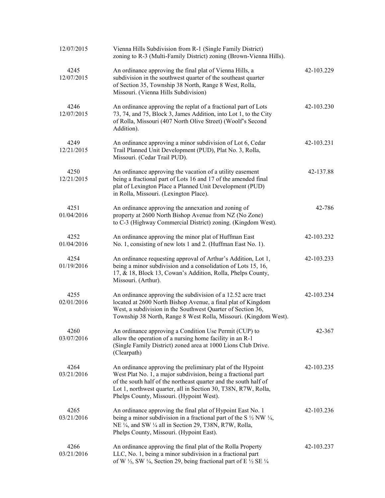| 12/07/2015         | Vienna Hills Subdivision from R-1 (Single Family District)<br>zoning to R-3 (Multi-Family District) zoning (Brown-Vienna Hills).                                                                                                                                                                              |            |
|--------------------|---------------------------------------------------------------------------------------------------------------------------------------------------------------------------------------------------------------------------------------------------------------------------------------------------------------|------------|
| 4245<br>12/07/2015 | An ordinance approving the final plat of Vienna Hills, a<br>subdivision in the southwest quarter of the southeast quarter<br>of Section 35, Township 38 North, Range 8 West, Rolla,<br>Missouri. (Vienna Hills Subdivision)                                                                                   | 42-103.229 |
| 4246<br>12/07/2015 | An ordinance approving the replat of a fractional part of Lots<br>73, 74, and 75, Block 3, James Addition, into Lot 1, to the City<br>of Rolla, Missouri (407 North Olive Street) (Woolf's Second<br>Addition).                                                                                               | 42-103.230 |
| 4249<br>12/21/2015 | An ordinance approving a minor subdivision of Lot 6, Cedar<br>Trail Planned Unit Development (PUD), Plat No. 3, Rolla,<br>Missouri. (Cedar Trail PUD).                                                                                                                                                        | 42-103.231 |
| 4250<br>12/21/2015 | An ordinance approving the vacation of a utility easement<br>being a fractional part of Lots 16 and 17 of the amended final<br>plat of Lexington Place a Planned Unit Development (PUD)<br>in Rolla, Missouri. (Lexington Place).                                                                             | 42-137.88  |
| 4251<br>01/04/2016 | An ordinance approving the annexation and zoning of<br>property at 2600 North Bishop Avenue from NZ (No Zone)<br>to C-3 (Highway Commercial District) zoning. (Kingdom West).                                                                                                                                 | 42-786     |
| 4252<br>01/04/2016 | An ordinance approving the minor plat of Huffman East<br>No. 1, consisting of new lots 1 and 2. (Huffman East No. 1).                                                                                                                                                                                         | 42-103.232 |
| 4254<br>01/19/2016 | An ordinance requesting approval of Arthur's Addition, Lot 1,<br>being a minor subdivision and a consolidation of Lots 15, 16,<br>17, & 18, Block 13, Cowan's Addition, Rolla, Phelps County,<br>Missouri. (Arthur).                                                                                          | 42-103.233 |
| 4255<br>02/01/2016 | An ordinance approving the subdivision of a 12.52 acre tract<br>located at 2600 North Bishop Avenue, a final plat of Kingdom<br>West, a subdivision in the Southwest Quarter of Section 36,<br>Township 38 North, Range 8 West Rolla, Missouri. (Kingdom West).                                               | 42-103.234 |
| 4260<br>03/07/2016 | An ordinance approving a Condition Use Permit (CUP) to<br>allow the operation of a nursing home facility in an R-1<br>(Single Family District) zoned area at 1000 Lions Club Drive.<br>(Clearpath)                                                                                                            | 42-367     |
| 4264<br>03/21/2016 | An ordinance approving the preliminary plat of the Hypoint<br>West Plat No. 1, a major subdivision, being a fractional part<br>of the south half of the northeast quarter and the south half of<br>Lot 1, northwest quarter, all in Section 30, T38N, R7W, Rolla,<br>Phelps County, Missouri. (Hypoint West). | 42-103.235 |
| 4265<br>03/21/2016 | An ordinance approving the final plat of Hypoint East No. 1<br>being a minor subdivision in a fractional part of the S $\frac{1}{2}$ NW $\frac{1}{4}$ ,<br>NE 1/4, and SW 1/4 all in Section 29, T38N, R7W, Rolla,<br>Phelps County, Missouri. (Hypoint East).                                                | 42-103.236 |
| 4266<br>03/21/2016 | An ordinance approving the final plat of the Rolla Property<br>LLC, No. 1, being a minor subdivision in a fractional part<br>of W $\frac{1}{2}$ , SW $\frac{1}{4}$ , Section 29, being fractional part of E $\frac{1}{2}$ SE $\frac{1}{4}$                                                                    | 42-103.237 |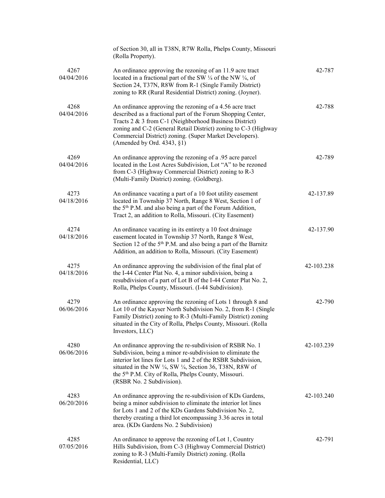|                    | of Section 30, all in T38N, R7W Rolla, Phelps County, Missouri<br>(Rolla Property).                                                                                                                                                                                                                                                                                      |            |
|--------------------|--------------------------------------------------------------------------------------------------------------------------------------------------------------------------------------------------------------------------------------------------------------------------------------------------------------------------------------------------------------------------|------------|
| 4267<br>04/04/2016 | An ordinance approving the rezoning of an 11.9 acre tract<br>located in a fractional part of the SW 1/4 of the NW 1/4, of<br>Section 24, T37N, R8W from R-1 (Single Family District)<br>zoning to RR (Rural Residential District) zoning. (Joyner).                                                                                                                      | 42-787     |
| 4268<br>04/04/2016 | An ordinance approving the rezoning of a 4.56 acre tract<br>described as a fractional part of the Forum Shopping Center,<br>Tracts 2 & 3 from C-1 (Neighborhood Business District)<br>zoning and C-2 (General Retail District) zoning to C-3 (Highway<br>Commercial District) zoning. (Super Market Developers).<br>(Amended by Ord. $4343$ , $\S1$ )                    | 42-788     |
| 4269<br>04/04/2016 | An ordinance approving the rezoning of a .95 acre parcel<br>located in the Lost Acres Subdivision, Lot "A" to be rezoned<br>from C-3 (Highway Commercial District) zoning to R-3<br>(Multi-Family District) zoning. (Goldberg).                                                                                                                                          | 42-789     |
| 4273<br>04/18/2016 | An ordinance vacating a part of a 10 foot utility easement<br>located in Township 37 North, Range 8 West, Section 1 of<br>the 5 <sup>th</sup> P.M. and also being a part of the Forum Addition,<br>Tract 2, an addition to Rolla, Missouri. (City Easement)                                                                                                              | 42-137.89  |
| 4274<br>04/18/2016 | An ordinance vacating in its entirety a 10 foot drainage<br>easement located in Township 37 North, Range 8 West,<br>Section 12 of the 5 <sup>th</sup> P.M. and also being a part of the Barnitz<br>Addition, an addition to Rolla, Missouri. (City Easement)                                                                                                             | 42-137.90  |
| 4275<br>04/18/2016 | An ordinance approving the subdivision of the final plat of<br>the I-44 Center Plat No. 4, a minor subdivision, being a<br>resubdivision of a part of Lot B of the I-44 Center Plat No. 2,<br>Rolla, Phelps County, Missouri. (I-44 Subdivision).                                                                                                                        | 42-103.238 |
| 4279<br>06/06/2016 | An ordinance approving the rezoning of Lots 1 through 8 and<br>Lot 10 of the Kayser North Subdivision No. 2, from R-1 (Single<br>Family District) zoning to R-3 (Multi-Family District) zoning<br>situated in the City of Rolla, Phelps County, Missouri. (Rolla<br>Investors, LLC)                                                                                      | 42-790     |
| 4280<br>06/06/2016 | An ordinance approving the re-subdivision of RSBR No. 1<br>Subdivision, being a minor re-subdivision to eliminate the<br>interior lot lines for Lots 1 and 2 of the RSBR Subdivision,<br>situated in the NW $\frac{1}{4}$ , SW $\frac{1}{4}$ , Section 36, T38N, R8W of<br>the 5 <sup>th</sup> P.M. City of Rolla, Phelps County, Missouri.<br>(RSBR No. 2 Subdivision). | 42-103.239 |
| 4283<br>06/20/2016 | An ordinance approving the re-subdivision of KDs Gardens,<br>being a minor subdivision to eliminate the interior lot lines<br>for Lots 1 and 2 of the KDs Gardens Subdivision No. 2,<br>thereby creating a third lot encompassing 3.36 acres in total<br>area. (KDs Gardens No. 2 Subdivision)                                                                           | 42-103.240 |
| 4285<br>07/05/2016 | An ordinance to approve the rezoning of Lot 1, Country<br>Hills Subdivision, from C-3 (Highway Commercial District)<br>zoning to R-3 (Multi-Family District) zoning. (Rolla<br>Residential, LLC)                                                                                                                                                                         | 42-791     |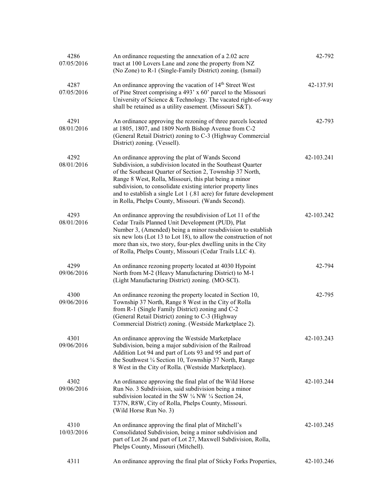| 4286<br>07/05/2016 | An ordinance requesting the annexation of a 2.02 acre<br>tract at 100 Lovers Lane and zone the property from NZ<br>(No Zone) to R-1 (Single-Family District) zoning. (Ismail)                                                                                                                                                                                                                                                    | 42-792     |
|--------------------|----------------------------------------------------------------------------------------------------------------------------------------------------------------------------------------------------------------------------------------------------------------------------------------------------------------------------------------------------------------------------------------------------------------------------------|------------|
| 4287<br>07/05/2016 | An ordinance approving the vacation of 14 <sup>th</sup> Street West<br>of Pine Street comprising a 493' x 60' parcel to the Missouri<br>University of Science & Technology. The vacated right-of-way<br>shall be retained as a utility easement. (Missouri S&T).                                                                                                                                                                 | 42-137.91  |
| 4291<br>08/01/2016 | An ordinance approving the rezoning of three parcels located<br>at 1805, 1807, and 1809 North Bishop Avenue from C-2<br>(General Retail District) zoning to C-3 (Highway Commercial<br>District) zoning. (Vessell).                                                                                                                                                                                                              | 42-793     |
| 4292<br>08/01/2016 | An ordinance approving the plat of Wands Second<br>Subdivision, a subdivision located in the Southeast Quarter<br>of the Southeast Quarter of Section 2, Township 37 North,<br>Range 8 West, Rolla, Missouri, this plat being a minor<br>subdivision, to consolidate existing interior property lines<br>and to establish a single Lot 1 (.81 acre) for future development<br>in Rolla, Phelps County, Missouri. (Wands Second). | 42-103.241 |
| 4293<br>08/01/2016 | An ordinance approving the resubdivision of Lot 11 of the<br>Cedar Trails Planned Unit Development (PUD), Plat<br>Number 3, (Amended) being a minor resubdivision to establish<br>six new lots (Lot 13 to Lot 18), to allow the construction of not<br>more than six, two story, four-plex dwelling units in the City<br>of Rolla, Phelps County, Missouri (Cedar Trails LLC 4).                                                 | 42-103.242 |
| 4299<br>09/06/2016 | An ordinance rezoning property located at 4030 Hypoint<br>North from M-2 (Heavy Manufacturing District) to M-1<br>(Light Manufacturing District) zoning. (MO-SCI).                                                                                                                                                                                                                                                               | 42-794     |
| 4300<br>09/06/2016 | An ordinance rezoning the property located in Section 10,<br>Township 37 North, Range 8 West in the City of Rolla<br>from R-1 (Single Family District) zoning and C-2<br>(General Retail District) zoning to C-3 (Highway<br>Commercial District) zoning. (Westside Marketplace 2).                                                                                                                                              | 42-795     |
| 4301<br>09/06/2016 | An ordinance approving the Westside Marketplace<br>Subdivision, being a major subdivision of the Railroad<br>Addition Lot 94 and part of Lots 93 and 95 and part of<br>the Southwest 1/4 Section 10, Township 37 North, Range<br>8 West in the City of Rolla. (Westside Marketplace).                                                                                                                                            | 42-103.243 |
| 4302<br>09/06/2016 | An ordinance approving the final plat of the Wild Horse<br>Run No. 3 Subdivision, said subdivision being a minor<br>subdivision located in the SW $\frac{1}{4}$ NW $\frac{1}{4}$ Section 24,<br>T37N, R8W, City of Rolla, Phelps County, Missouri.<br>(Wild Horse Run No. 3)                                                                                                                                                     | 42-103.244 |
| 4310<br>10/03/2016 | An ordinance approving the final plat of Mitchell's<br>Consolidated Subdivision, being a minor subdivision and<br>part of Lot 26 and part of Lot 27, Maxwell Subdivision, Rolla,<br>Phelps County, Missouri (Mitchell).                                                                                                                                                                                                          | 42-103.245 |
| 4311               | An ordinance approving the final plat of Sticky Forks Properties,                                                                                                                                                                                                                                                                                                                                                                | 42-103.246 |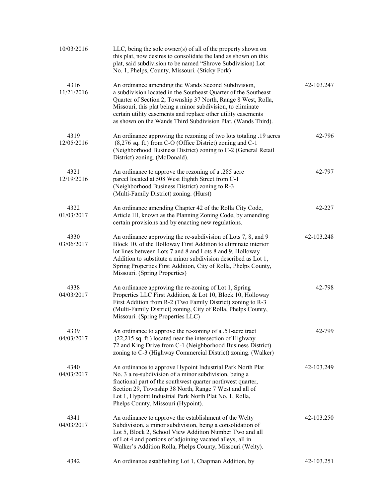| 10/03/2016         | LLC, being the sole owner(s) of all of the property shown on<br>this plat, now desires to consolidate the land as shown on this<br>plat, said subdivision to be named "Shrove Subdivision) Lot<br>No. 1, Phelps, County, Missouri. (Sticky Fork)                                                                                                                                        |            |
|--------------------|-----------------------------------------------------------------------------------------------------------------------------------------------------------------------------------------------------------------------------------------------------------------------------------------------------------------------------------------------------------------------------------------|------------|
| 4316<br>11/21/2016 | An ordinance amending the Wands Second Subdivision,<br>a subdivision located in the Southeast Quarter of the Southeast<br>Quarter of Section 2, Township 37 North, Range 8 West, Rolla,<br>Missouri, this plat being a minor subdivision, to eliminate<br>certain utility easements and replace other utility easements<br>as shown on the Wands Third Subdivision Plat. (Wands Third). | 42-103.247 |
| 4319<br>12/05/2016 | An ordinance approving the rezoning of two lots totaling .19 acres<br>(8,276 sq. ft.) from C-O (Office District) zoning and C-1<br>(Neighborhood Business District) zoning to C-2 (General Retail<br>District) zoning. (McDonald).                                                                                                                                                      | 42-796     |
| 4321<br>12/19/2016 | An ordinance to approve the rezoning of a .285 acre<br>parcel located at 508 West Eighth Street from C-1<br>(Neighborhood Business District) zoning to R-3<br>(Multi-Family District) zoning. (Hurst)                                                                                                                                                                                   | 42-797     |
| 4322<br>01/03/2017 | An ordinance amending Chapter 42 of the Rolla City Code,<br>Article III, known as the Planning Zoning Code, by amending<br>certain provisions and by enacting new regulations.                                                                                                                                                                                                          | 42-227     |
| 4330<br>03/06/2017 | An ordinance approving the re-subdivision of Lots 7, 8, and 9<br>Block 10, of the Holloway First Addition to eliminate interior<br>lot lines between Lots 7 and 8 and Lots 8 and 9, Holloway<br>Addition to substitute a minor subdivision described as Lot 1,<br>Spring Properties First Addition, City of Rolla, Phelps County,<br>Missouri. (Spring Properties)                      | 42-103.248 |
| 4338<br>04/03/2017 | An ordinance approving the re-zoning of Lot 1, Spring<br>Properties LLC First Addition, & Lot 10, Block 10, Holloway<br>First Addition from R-2 (Two Family District) zoning to R-3<br>(Multi-Family District) zoning, City of Rolla, Phelps County,<br>Missouri. (Spring Properties LLC)                                                                                               | 42-798     |
| 4339<br>04/03/2017 | An ordinance to approve the re-zoning of a .51-acre tract<br>(22,215 sq. ft.) located near the intersection of Highway<br>72 and King Drive from C-1 (Neighborhood Business District)<br>zoning to C-3 (Highway Commercial District) zoning. (Walker)                                                                                                                                   | 42-799     |
| 4340<br>04/03/2017 | An ordinance to approve Hypoint Industrial Park North Plat<br>No. 3 a re-subdivision of a minor subdivision, being a<br>fractional part of the southwest quarter northwest quarter,<br>Section 29, Township 38 North, Range 7 West and all of<br>Lot 1, Hypoint Industrial Park North Plat No. 1, Rolla,<br>Phelps County, Missouri (Hypoint).                                          | 42-103.249 |
| 4341<br>04/03/2017 | An ordinance to approve the establishment of the Welty<br>Subdivision, a minor subdivision, being a consolidation of<br>Lot 5, Block 2, School View Addition Number Two and all<br>of Lot 4 and portions of adjoining vacated alleys, all in<br>Walker's Addition Rolla, Phelps County, Missouri (Welty).                                                                               | 42-103.250 |
| 4342               | An ordinance establishing Lot 1, Chapman Addition, by                                                                                                                                                                                                                                                                                                                                   | 42-103.251 |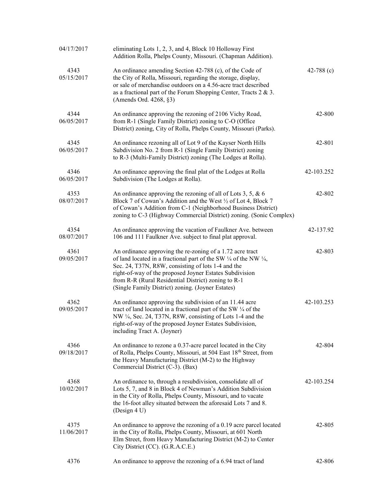| 04/17/2017         | eliminating Lots 1, 2, 3, and 4, Block 10 Holloway First<br>Addition Rolla, Phelps County, Missouri. (Chapman Addition).                                                                                                                                                                                                                                                         |              |
|--------------------|----------------------------------------------------------------------------------------------------------------------------------------------------------------------------------------------------------------------------------------------------------------------------------------------------------------------------------------------------------------------------------|--------------|
| 4343<br>05/15/2017 | An ordinance amending Section 42-788 (c), of the Code of<br>the City of Rolla, Missouri, regarding the storage, display,<br>or sale of merchandise outdoors on a 4.56-acre tract described<br>as a fractional part of the Forum Shopping Center, Tracts 2 & 3.<br>(Amends Ord. 4268, §3)                                                                                         | 42-788 $(c)$ |
| 4344<br>06/05/2017 | An ordinance approving the rezoning of 2106 Vichy Road,<br>from R-1 (Single Family District) zoning to C-O (Office<br>District) zoning, City of Rolla, Phelps County, Missouri (Parks).                                                                                                                                                                                          | 42-800       |
| 4345<br>06/05/2017 | An ordinance rezoning all of Lot 9 of the Kayser North Hills<br>Subdivision No. 2 from R-1 (Single Family District) zoning<br>to R-3 (Multi-Family District) zoning (The Lodges at Rolla).                                                                                                                                                                                       | 42-801       |
| 4346<br>06/05/2017 | An ordinance approving the final plat of the Lodges at Rolla<br>Subdivision (The Lodges at Rolla).                                                                                                                                                                                                                                                                               | 42-103.252   |
| 4353<br>08/07/2017 | An ordinance approving the rezoning of all of Lots 3, 5, & 6<br>Block 7 of Cowan's Addition and the West 1/2 of Lot 4, Block 7<br>of Cowan's Addition from C-1 (Neighborhood Business District)<br>zoning to C-3 (Highway Commercial District) zoning. (Sonic Complex)                                                                                                           | 42-802       |
| 4354<br>08/07/2017 | An ordinance approving the vacation of Faulkner Ave. between<br>106 and 111 Faulkner Ave. subject to final plat approval.                                                                                                                                                                                                                                                        | 42-137.92    |
| 4361<br>09/05/2017 | An ordinance approving the re-zoning of a 1.72 acre tract<br>of land located in a fractional part of the SW $\frac{1}{4}$ of the NW $\frac{1}{4}$ ,<br>Sec. 24, T37N, R8W, consisting of lots 1-4 and the<br>right-of-way of the proposed Joyner Estates Subdivision<br>from R-R (Rural Residential District) zoning to R-1<br>(Single Family District) zoning. (Joyner Estates) | 42-803       |
| 4362<br>09/05/2017 | An ordinance approving the subdivision of an 11.44 acre<br>tract of land located in a fractional part of the SW 1/4 of the<br>NW 1/4, Sec. 24, T37N, R8W, consisting of Lots 1-4 and the<br>right-of-way of the proposed Joyner Estates Subdivision,<br>including Tract A. (Joyner)                                                                                              | 42-103.253   |
| 4366<br>09/18/2017 | An ordinance to rezone a 0.37-acre parcel located in the City<br>of Rolla, Phelps County, Missouri, at 504 East 18th Street, from<br>the Heavy Manufacturing District (M-2) to the Highway<br>Commercial District (C-3). (Bax)                                                                                                                                                   | 42-804       |
| 4368<br>10/02/2017 | An ordinance to, through a resubdivision, consolidate all of<br>Lots 5, 7, and 8 in Block 4 of Newman's Addition Subdivision<br>in the City of Rolla, Phelps County, Missouri, and to vacate<br>the 16-foot alley situated between the aforesaid Lots 7 and 8.<br>(Design 4 U)                                                                                                   | 42-103.254   |
| 4375<br>11/06/2017 | An ordinance to approve the rezoning of a 0.19 acre parcel located<br>in the City of Rolla, Phelps County, Missouri, at 601 North<br>Elm Street, from Heavy Manufacturing District (M-2) to Center<br>City District (CC). (G.R.A.C.E.)                                                                                                                                           | 42-805       |
| 4376               | An ordinance to approve the rezoning of a 6.94 tract of land                                                                                                                                                                                                                                                                                                                     | 42-806       |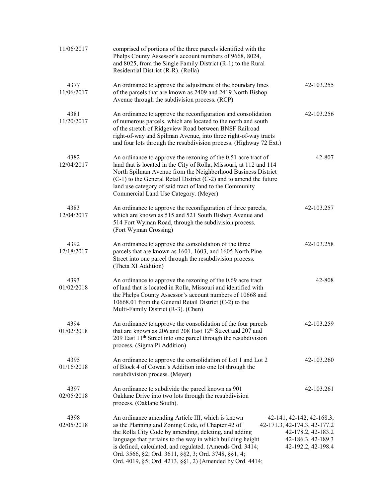| 11/06/2017         | comprised of portions of the three parcels identified with the<br>Phelps County Assessor's account numbers of 9668, 8024,<br>and 8025, from the Single Family District (R-1) to the Rural<br>Residential District (R-R). (Rolla)                                                                                                                                                                               |                                                                                                                             |
|--------------------|----------------------------------------------------------------------------------------------------------------------------------------------------------------------------------------------------------------------------------------------------------------------------------------------------------------------------------------------------------------------------------------------------------------|-----------------------------------------------------------------------------------------------------------------------------|
| 4377<br>11/06/2017 | An ordinance to approve the adjustment of the boundary lines<br>of the parcels that are known as 2409 and 2419 North Bishop<br>Avenue through the subdivision process. (RCP)                                                                                                                                                                                                                                   | 42-103.255                                                                                                                  |
| 4381<br>11/20/2017 | An ordinance to approve the reconfiguration and consolidation<br>of numerous parcels, which are located to the north and south<br>of the stretch of Ridgeview Road between BNSF Railroad<br>right-of-way and Spilman Avenue, into three right-of-way tracts<br>and four lots through the resubdivision process. (Highway 72 Ext.)                                                                              | 42-103.256                                                                                                                  |
| 4382<br>12/04/2017 | An ordinance to approve the rezoning of the 0.51 acre tract of<br>land that is located in the City of Rolla, Missouri, at 112 and 114<br>North Spilman Avenue from the Neighborhood Business District<br>(C-1) to the General Retail District (C-2) and to amend the future<br>land use category of said tract of land to the Community<br>Commercial Land Use Category. (Meyer)                               | 42-807                                                                                                                      |
| 4383<br>12/04/2017 | An ordinance to approve the reconfiguration of three parcels,<br>which are known as 515 and 521 South Bishop Avenue and<br>514 Fort Wyman Road, through the subdivision process.<br>(Fort Wyman Crossing)                                                                                                                                                                                                      | 42-103.257                                                                                                                  |
| 4392<br>12/18/2017 | An ordinance to approve the consolidation of the three<br>parcels that are known as 1601, 1603, and 1605 North Pine<br>Street into one parcel through the resubdivision process.<br>(Theta XI Addition)                                                                                                                                                                                                        | 42-103.258                                                                                                                  |
| 4393<br>01/02/2018 | An ordinance to approve the rezoning of the 0.69 acre tract<br>of land that is located in Rolla, Missouri and identified with<br>the Phelps County Assessor's account numbers of 10668 and<br>10668.01 from the General Retail District (C-2) to the<br>Multi-Family District (R-3). (Chen)                                                                                                                    | 42-808                                                                                                                      |
| 4394<br>01/02/2018 | An ordinance to approve the consolidation of the four parcels<br>that are known as 206 and 208 East 12 <sup>th</sup> Street and 207 and<br>209 East 11 <sup>th</sup> Street into one parcel through the resubdivision<br>process. (Sigma Pi Addition)                                                                                                                                                          | 42-103.259                                                                                                                  |
| 4395<br>01/16/2018 | An ordinance to approve the consolidation of Lot 1 and Lot 2<br>of Block 4 of Cowan's Addition into one lot through the<br>resubdivision process. (Meyer)                                                                                                                                                                                                                                                      | 42-103.260                                                                                                                  |
| 4397<br>02/05/2018 | An ordinance to subdivide the parcel known as 901<br>Oaklane Drive into two lots through the resubdivision<br>process. (Oaklane South).                                                                                                                                                                                                                                                                        | 42-103.261                                                                                                                  |
| 4398<br>02/05/2018 | An ordinance amending Article III, which is known<br>as the Planning and Zoning Code, of Chapter 42 of<br>the Rolla City Code by amending, deleting, and adding<br>language that pertains to the way in which building height<br>is defined, calculated, and regulated. (Amends Ord. 3414;<br>Ord. 3566, §2; Ord. 3611, §§2, 3; Ord. 3748, §§1, 4;<br>Ord. 4019, §5; Ord. 4213, §§1, 2) (Amended by Ord. 4414; | 42-141, 42-142, 42-168.3,<br>42-171.3, 42-174.3, 42-177.2<br>42-178.2, 42-183.2<br>42-186.3, 42-189.3<br>42-192.2, 42-198.4 |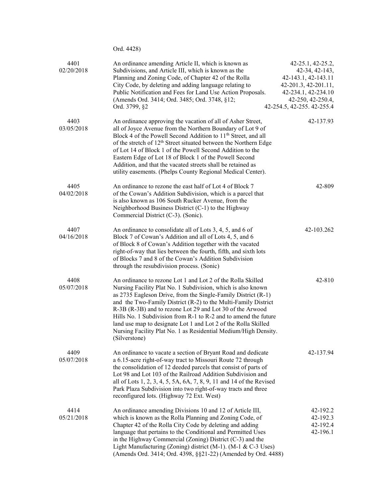|                    | Ord. 4428)                                                                                                                                                                                                                                                                                                                                                                                                                                                                                                                                           |                                                                                                                                                              |
|--------------------|------------------------------------------------------------------------------------------------------------------------------------------------------------------------------------------------------------------------------------------------------------------------------------------------------------------------------------------------------------------------------------------------------------------------------------------------------------------------------------------------------------------------------------------------------|--------------------------------------------------------------------------------------------------------------------------------------------------------------|
| 4401<br>02/20/2018 | An ordinance amending Article II, which is known as<br>Subdivisions, and Article III, which is known as the<br>Planning and Zoning Code, of Chapter 42 of the Rolla<br>City Code, by deleting and adding language relating to<br>Public Notification and Fees for Land Use Action Proposals.<br>(Amends Ord. 3414; Ord. 3485; Ord. 3748, §12;<br>Ord. 3799, §2                                                                                                                                                                                       | 42-25.1, 42-25.2,<br>42-34, 42-143,<br>42-143.1, 42-143.11<br>42-201.3, 42-201.11,<br>42-234.1, 42-234.10<br>42-250, 42-250.4,<br>42-254.5, 42-255. 42-255.4 |
| 4403<br>03/05/2018 | An ordinance approving the vacation of all of Asher Street,<br>all of Joyce Avenue from the Northern Boundary of Lot 9 of<br>Block 4 of the Powell Second Addition to 11 <sup>th</sup> Street, and all<br>of the stretch of 12 <sup>th</sup> Street situated between the Northern Edge<br>of Lot 14 of Block 1 of the Powell Second Addition to the<br>Eastern Edge of Lot 18 of Block 1 of the Powell Second<br>Addition, and that the vacated streets shall be retained as<br>utility easements. (Phelps County Regional Medical Center).          | 42-137.93                                                                                                                                                    |
| 4405<br>04/02/2018 | An ordinance to rezone the east half of Lot 4 of Block 7<br>of the Cowan's Addition Subdivision, which is a parcel that<br>is also known as 106 South Rucker Avenue, from the<br>Neighborhood Business District (C-1) to the Highway<br>Commercial District (C-3). (Sonic).                                                                                                                                                                                                                                                                          | 42-809                                                                                                                                                       |
| 4407<br>04/16/2018 | An ordinance to consolidate all of Lots 3, 4, 5, and 6 of<br>Block 7 of Cowan's Addition and all of Lots 4, 5, and 6<br>of Block 8 of Cowan's Addition together with the vacated<br>right-of-way that lies between the fourth, fifth, and sixth lots<br>of Blocks 7 and 8 of the Cowan's Addition Subdivision<br>through the resubdivision process. (Sonic)                                                                                                                                                                                          | 42-103.262                                                                                                                                                   |
| 4408<br>05/07/2018 | An ordinance to rezone Lot 1 and Lot 2 of the Rolla Skilled<br>Nursing Facility Plat No. 1 Subdivision, which is also known<br>as 2735 Eagleson Drive, from the Single-Family District (R-1)<br>and the Two-Family District (R-2) to the Multi-Family District<br>R-3B (R-3B) and to rezone Lot 29 and Lot 30 of the Arwood<br>Hills No. 1 Subdivision from R-1 to R-2 and to amend the future<br>land use map to designate Lot 1 and Lot 2 of the Rolla Skilled<br>Nursing Facility Plat No. 1 as Residential Medium/High Density.<br>(Silverstone) | 42-810                                                                                                                                                       |
| 4409<br>05/07/2018 | An ordinance to vacate a section of Bryant Road and dedicate<br>a 6.15-acre right-of-way tract to Missouri Route 72 through<br>the consolidation of 12 deeded parcels that consist of parts of<br>Lot 98 and Lot 103 of the Railroad Addition Subdivision and<br>all of Lots 1, 2, 3, 4, 5, 5A, 6A, 7, 8, 9, 11 and 14 of the Revised<br>Park Plaza Subdivision into two right-of-way tracts and three<br>reconfigured lots. (Highway 72 Ext. West)                                                                                                  | 42-137.94                                                                                                                                                    |
| 4414<br>05/21/2018 | An ordinance amending Divisions 10 and 12 of Article III,<br>which is known as the Rolla Planning and Zoning Code, of<br>Chapter 42 of the Rolla City Code by deleting and adding<br>language that pertains to the Conditional and Permitted Uses<br>in the Highway Commercial (Zoning) District $(C-3)$ and the<br>Light Manufacturing (Zoning) district (M-1). (M-1 & C-3 Uses)<br>(Amends Ord. 3414; Ord. 4398, §§21-22) (Amended by Ord. 4488)                                                                                                   | 42-192.2<br>42-192.3<br>42-192.4<br>42-196.1                                                                                                                 |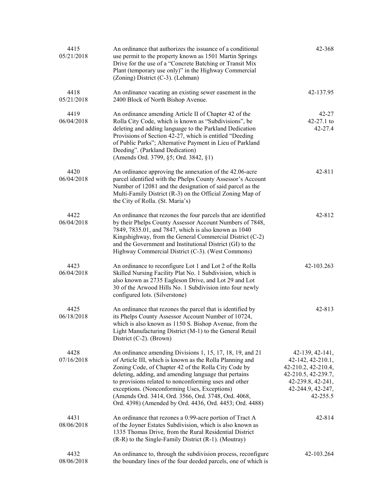| 4415<br>05/21/2018 | An ordinance that authorizes the issuance of a conditional<br>use permit to the property known as 1501 Martin Springs<br>Drive for the use of a "Concrete Batching or Transit Mix<br>Plant (temporary use only)" in the Highway Commercial<br>(Zoning) District (C-3). (Lehman)                                                                                                                                                                                   | 42-368                                                                                                                                     |
|--------------------|-------------------------------------------------------------------------------------------------------------------------------------------------------------------------------------------------------------------------------------------------------------------------------------------------------------------------------------------------------------------------------------------------------------------------------------------------------------------|--------------------------------------------------------------------------------------------------------------------------------------------|
| 4418<br>05/21/2018 | An ordinance vacating an existing sewer easement in the<br>2400 Block of North Bishop Avenue.                                                                                                                                                                                                                                                                                                                                                                     | 42-137.95                                                                                                                                  |
| 4419<br>06/04/2018 | An ordinance amending Article II of Chapter 42 of the<br>Rolla City Code, which is known as "Subdivisions", be<br>deleting and adding language to the Parkland Dedication<br>Provisions of Section 42-27, which is entitled "Deeding<br>of Public Parks"; Alternative Payment in Lieu of Parkland<br>Deeding". (Parkland Dedication)<br>(Amends Ord. 3799, §5; Ord. 3842, §1)                                                                                     | $42 - 27$<br>$42-27.1$ to<br>42-27.4                                                                                                       |
| 4420<br>06/04/2018 | An ordinance approving the annexation of the 42.06-acre<br>parcel identified with the Phelps County Assessor's Account<br>Number of 12081 and the designation of said parcel as the<br>Multi-Family District (R-3) on the Official Zoning Map of<br>the City of Rolla. (St. Maria's)                                                                                                                                                                              | 42-811                                                                                                                                     |
| 4422<br>06/04/2018 | An ordinance that rezones the four parcels that are identified<br>by their Phelps County Assessor Account Numbers of 7848,<br>7849, 7835.01, and 7847, which is also known as 1040<br>Kingshighway, from the General Commercial District (C-2)<br>and the Government and Institutional District (GI) to the<br>Highway Commercial District (C-3). (West Commons)                                                                                                  | 42-812                                                                                                                                     |
| 4423<br>06/04/2018 | An ordinance to reconfigure Lot 1 and Lot 2 of the Rolla<br>Skilled Nursing Facility Plat No. 1 Subdivision, which is<br>also known as 2735 Eagleson Drive, and Lot 29 and Lot<br>30 of the Arwood Hills No. 1 Subdivision into four newly<br>configured lots. (Silverstone)                                                                                                                                                                                      | 42-103.263                                                                                                                                 |
| 4425<br>06/18/2018 | An ordinance that rezones the parcel that is identified by<br>its Phelps County Assessor Account Number of 10724,<br>which is also known as 1150 S. Bishop Avenue, from the<br>Light Manufacturing District (M-1) to the General Retail<br>District (C-2). (Brown)                                                                                                                                                                                                | 42-813                                                                                                                                     |
| 4428<br>07/16/2018 | An ordinance amending Divisions 1, 15, 17, 18, 19, and 21<br>of Article III, which is known as the Rolla Planning and<br>Zoning Code, of Chapter 42 of the Rolla City Code by<br>deleting, adding, and amending language that pertains<br>to provisions related to nonconforming uses and other<br>exceptions. (Nonconforming Uses, Exceptions)<br>(Amends Ord. 3414, Ord. 3566, Ord. 3748, Ord. 4068,<br>Ord. 4398) (Amended by Ord. 4436, Ord. 4453; Ord. 4488) | $42-139, 42-141,$<br>42-142, 42-210.1,<br>42-210.2, 42-210.4,<br>42-210.5, 42-239.7,<br>42-239.8, 42-241,<br>42-244.9, 42-247,<br>42-255.5 |
| 4431<br>08/06/2018 | An ordinance that rezones a 0.99-acre portion of Tract A<br>of the Joyner Estates Subdivision, which is also known as<br>1335 Thomas Drive, from the Rural Residential District<br>(R-R) to the Single-Family District (R-1). (Moutray)                                                                                                                                                                                                                           | 42-814                                                                                                                                     |
| 4432<br>08/06/2018 | An ordinance to, through the subdivision process, reconfigure<br>the boundary lines of the four deeded parcels, one of which is                                                                                                                                                                                                                                                                                                                                   | 42-103.264                                                                                                                                 |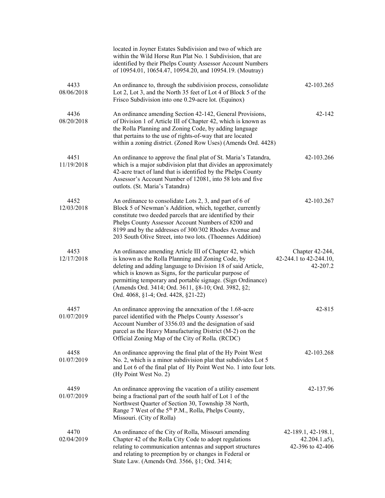|                    | located in Joyner Estates Subdivision and two of which are<br>within the Wild Horse Run Plat No. 1 Subdivision, that are<br>identified by their Phelps County Assessor Account Numbers<br>of 10954.01, 10654.47, 10954.20, and 10954.19. (Moutray)                                                                                                                                                  |                                                            |
|--------------------|-----------------------------------------------------------------------------------------------------------------------------------------------------------------------------------------------------------------------------------------------------------------------------------------------------------------------------------------------------------------------------------------------------|------------------------------------------------------------|
| 4433<br>08/06/2018 | An ordinance to, through the subdivision process, consolidate<br>Lot 2, Lot 3, and the North 35 feet of Lot 4 of Block 5 of the<br>Frisco Subdivision into one 0.29-acre lot. (Equinox)                                                                                                                                                                                                             | 42-103.265                                                 |
| 4436<br>08/20/2018 | An ordinance amending Section 42-142, General Provisions,<br>of Division 1 of Article III of Chapter 42, which is known as<br>the Rolla Planning and Zoning Code, by adding language<br>that pertains to the use of rights-of-way that are located<br>within a zoning district. (Zoned Row Uses) (Amends Ord. 4428)                                                                                 | $42 - 142$                                                 |
| 4451<br>11/19/2018 | An ordinance to approve the final plat of St. Maria's Tatandra,<br>which is a major subdivision plat that divides an approximately<br>42-acre tract of land that is identified by the Phelps County<br>Assessor's Account Number of 12081, into 58 lots and five<br>outlots. (St. Maria's Tatandra)                                                                                                 | 42-103.266                                                 |
| 4452<br>12/03/2018 | An ordinance to consolidate Lots 2, 3, and part of 6 of<br>Block 5 of Newman's Addition, which, together, currently<br>constitute two deeded parcels that are identified by their<br>Phelps County Assessor Account Numbers of 8200 and<br>8199 and by the addresses of 300/302 Rhodes Avenue and<br>203 South Olive Street, into two lots. (Thoennes Addition)                                     | 42-103.267                                                 |
| 4453<br>12/17/2018 | An ordinance amending Article III of Chapter 42, which<br>is known as the Rolla Planning and Zoning Code, by<br>deleting and adding language to Division 18 of said Article,<br>which is known as Signs, for the particular purpose of<br>permitting temporary and portable signage. (Sign Ordinance)<br>(Amends Ord. 3414; Ord. 3611, §8-10; Ord. 3982, §2;<br>Ord. 4068, §1-4; Ord. 4428, §21-22) | Chapter 42-244,<br>42-244.1 to 42-244.10,<br>42-207.2      |
| 4457<br>01/07/2019 | An ordinance approving the annexation of the 1.68-acre<br>parcel identified with the Phelps County Assessor's<br>Account Number of 3356.03 and the designation of said<br>parcel as the Heavy Manufacturing District (M-2) on the<br>Official Zoning Map of the City of Rolla. (RCDC)                                                                                                               | 42-815                                                     |
| 4458<br>01/07/2019 | An ordinance approving the final plat of the Hy Point West<br>No. 2, which is a minor subdivision plat that subdivides Lot 5<br>and Lot 6 of the final plat of Hy Point West No. 1 into four lots.<br>(Hy Point West No. 2)                                                                                                                                                                         | 42-103.268                                                 |
| 4459<br>01/07/2019 | An ordinance approving the vacation of a utility easement<br>being a fractional part of the south half of Lot 1 of the<br>Northwest Quarter of Section 30, Township 38 North,<br>Range 7 West of the 5 <sup>th</sup> P.M., Rolla, Phelps County,<br>Missouri. (City of Rolla)                                                                                                                       | 42-137.96                                                  |
| 4470<br>02/04/2019 | An ordinance of the City of Rolla, Missouri amending<br>Chapter 42 of the Rolla City Code to adopt regulations<br>relating to communication antennas and support structures<br>and relating to preemption by or changes in Federal or<br>State Law. (Amends Ord. 3566, §1; Ord. 3414;                                                                                                               | 42-189.1, 42-198.1,<br>$42.204.1.a5$ ,<br>42-396 to 42-406 |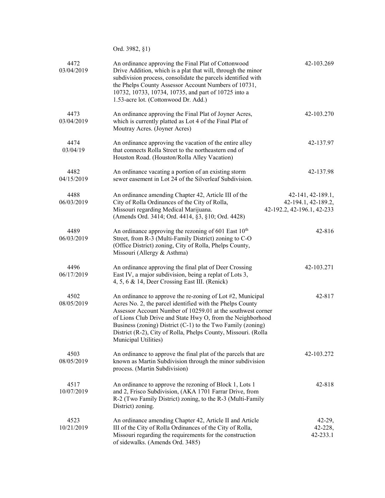|                    | Ord. 3982, §1)                                                                                                                                                                                                                                                                                                                                                                                                |                                                                        |
|--------------------|---------------------------------------------------------------------------------------------------------------------------------------------------------------------------------------------------------------------------------------------------------------------------------------------------------------------------------------------------------------------------------------------------------------|------------------------------------------------------------------------|
| 4472<br>03/04/2019 | An ordinance approving the Final Plat of Cottonwood<br>Drive Addition, which is a plat that will, through the minor<br>subdivision process, consolidate the parcels identified with<br>the Phelps County Assessor Account Numbers of 10731,<br>10732, 10733, 10734, 10735, and part of 10725 into a<br>1.53-acre lot. (Cottonwood Dr. Add.)                                                                   | 42-103.269                                                             |
| 4473<br>03/04/2019 | An ordinance approving the Final Plat of Joyner Acres,<br>which is currently platted as Lot 4 of the Final Plat of<br>Moutray Acres. (Joyner Acres)                                                                                                                                                                                                                                                           | 42-103.270                                                             |
| 4474<br>03/04/19   | An ordinance approving the vacation of the entire alley<br>that connects Rolla Street to the northeastern end of<br>Houston Road. (Houston/Rolla Alley Vacation)                                                                                                                                                                                                                                              | 42-137.97                                                              |
| 4482<br>04/15/2019 | An ordinance vacating a portion of an existing storm<br>sewer easement in Lot 24 of the Silverleaf Subdivision.                                                                                                                                                                                                                                                                                               | 42-137.98                                                              |
| 4488<br>06/03/2019 | An ordinance amending Chapter 42, Article III of the<br>City of Rolla Ordinances of the City of Rolla,<br>Missouri regarding Medical Marijuana.<br>(Amends Ord. 3414; Ord. 4414, §3, §10; Ord. 4428)                                                                                                                                                                                                          | 42-141, 42-189.1,<br>42-194.1, 42-189.2,<br>42-192.2, 42-196.1, 42-233 |
| 4489<br>06/03/2019 | An ordinance approving the rezoning of 601 East $10th$<br>Street, from R-3 (Multi-Family District) zoning to C-O<br>(Office District) zoning, City of Rolla, Phelps County,<br>Missouri (Allergy & Asthma)                                                                                                                                                                                                    | 42-816                                                                 |
| 4496<br>06/17/2019 | An ordinance approving the final plat of Deer Crossing<br>East IV, a major subdivision, being a replat of Lots 3,<br>4, 5, 6 & 14, Deer Crossing East III. (Renick)                                                                                                                                                                                                                                           | 42-103.271                                                             |
| 4502<br>08/05/2019 | An ordinance to approve the re-zoning of Lot #2, Municipal<br>Acres No. 2, the parcel identified with the Phelps County<br>Assessor Account Number of 10259.01 at the southwest corner<br>of Lions Club Drive and State Hwy O, from the Neighborhood<br>Business (zoning) District (C-1) to the Two Family (zoning)<br>District (R-2), City of Rolla, Phelps County, Missouri. (Rolla<br>Municipal Utilities) | 42-817                                                                 |
| 4503<br>08/05/2019 | An ordinance to approve the final plat of the parcels that are<br>known as Martin Subdivision through the minor subdivision<br>process. (Martin Subdivision)                                                                                                                                                                                                                                                  | 42-103.272                                                             |
| 4517<br>10/07/2019 | An ordinance to approve the rezoning of Block 1, Lots 1<br>and 2, Frisco Subdivision, (AKA 1701 Farrar Drive, from<br>R-2 (Two Family District) zoning, to the R-3 (Multi-Family<br>District) zoning.                                                                                                                                                                                                         | 42-818                                                                 |
| 4523<br>10/21/2019 | An ordinance amending Chapter 42, Article II and Article<br>III of the City of Rolla Ordinances of the City of Rolla,<br>Missouri regarding the requirements for the construction<br>of sidewalks. (Amends Ord. 3485)                                                                                                                                                                                         | $42-29,$<br>42-228,<br>42-233.1                                        |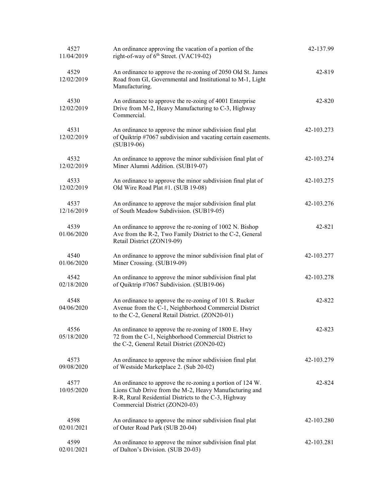| 4527<br>11/04/2019 | An ordinance approving the vacation of a portion of the<br>right-of-way of 6 <sup>th</sup> Street. (VAC19-02)                                                                                                 | 42-137.99  |
|--------------------|---------------------------------------------------------------------------------------------------------------------------------------------------------------------------------------------------------------|------------|
| 4529<br>12/02/2019 | An ordinance to approve the re-zoning of 2050 Old St. James<br>Road from GI, Governmental and Institutional to M-1, Light<br>Manufacturing.                                                                   | 42-819     |
| 4530<br>12/02/2019 | An ordinance to approve the re-zoing of 4001 Enterprise<br>Drive from M-2, Heavy Manufacturing to C-3, Highway<br>Commercial.                                                                                 | 42-820     |
| 4531<br>12/02/2019 | An ordinance to approve the minor subdivision final plat<br>of Quiktrip #7067 subdivision and vacating certain easements.<br>$(SUB19-06)$                                                                     | 42-103.273 |
| 4532<br>12/02/2019 | An ordinance to approve the minor subdivision final plat of<br>Miner Alumni Addition. (SUB19-07)                                                                                                              | 42-103.274 |
| 4533<br>12/02/2019 | An ordinance to approve the minor subdivision final plat of<br>Old Wire Road Plat #1. (SUB 19-08)                                                                                                             | 42-103.275 |
| 4537<br>12/16/2019 | An ordinance to approve the major subdivision final plat<br>of South Meadow Subdivision. (SUB19-05)                                                                                                           | 42-103.276 |
| 4539<br>01/06/2020 | An ordinance to approve the re-zoning of 1002 N. Bishop<br>Ave from the R-2, Two Family District to the C-2, General<br>Retail District (ZON19-09)                                                            | 42-821     |
| 4540<br>01/06/2020 | An ordinance to approve the minor subdivision final plat of<br>Miner Crossing. (SUB19-09)                                                                                                                     | 42-103.277 |
| 4542<br>02/18/2020 | An ordinance to approve the minor subdivision final plat<br>of Quiktrip #7067 Subdivision. (SUB19-06)                                                                                                         | 42-103.278 |
| 4548<br>04/06/2020 | An ordinance to approve the re-zoning of 101 S. Rucker<br>Avenue from the C-1, Neighborhood Commercial District<br>to the C-2, General Retail District. (ZON20-01)                                            | 42-822     |
| 4556<br>05/18/2020 | An ordinance to approve the re-zoning of 1800 E. Hwy<br>72 from the C-1, Neighborhood Commercial District to<br>the C-2, General Retail District (ZON20-02)                                                   | 42-823     |
| 4573<br>09/08/2020 | An ordinance to approve the minor subdivision final plat<br>of Westside Marketplace 2. (Sub 20-02)                                                                                                            | 42-103.279 |
| 4577<br>10/05/2020 | An ordinance to approve the re-zoning a portion of 124 W.<br>Lions Club Drive from the M-2, Heavy Manufacturing and<br>R-R, Rural Residential Districts to the C-3, Highway<br>Commercial District (ZON20-03) | 42-824     |
| 4598<br>02/01/2021 | An ordinance to approve the minor subdivision final plat<br>of Outer Road Park (SUB 20-04)                                                                                                                    | 42-103.280 |
| 4599<br>02/01/2021 | An ordinance to approve the minor subdivision final plat<br>of Dalton's Division. (SUB 20-03)                                                                                                                 | 42-103.281 |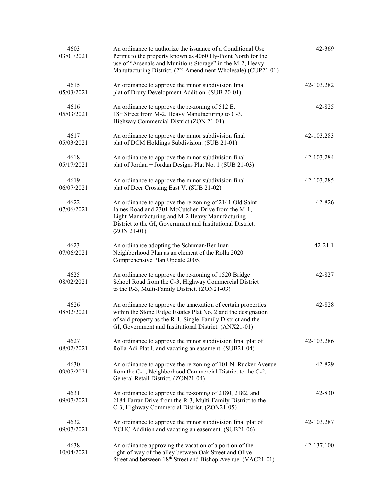| 4603<br>03/01/2021 | An ordinance to authorize the issuance of a Conditional Use<br>Permit to the property known as 4060 Hy-Point North for the<br>use of "Arsenals and Munitions Storage" in the M-2, Heavy<br>Manufacturing District. (2 <sup>nd</sup> Amendment Wholesale) (CUP21-01) | 42-369      |
|--------------------|---------------------------------------------------------------------------------------------------------------------------------------------------------------------------------------------------------------------------------------------------------------------|-------------|
| 4615<br>05/03/2021 | An ordinance to approve the minor subdivision final<br>plat of Drury Development Addition. (SUB 20-01)                                                                                                                                                              | 42-103.282  |
| 4616<br>05/03/2021 | An ordinance to approve the re-zoning of 512 E.<br>18 <sup>th</sup> Street from M-2, Heavy Manufacturing to C-3,<br>Highway Commercial District (ZON 21-01)                                                                                                         | 42-825      |
| 4617<br>05/03/2021 | An ordinance to approve the minor subdivision final<br>plat of DCM Holdings Subdivision. (SUB 21-01)                                                                                                                                                                | 42-103.283  |
| 4618<br>05/17/2021 | An ordinance to approve the minor subdivision final<br>plat of Jordan + Jordan Designs Plat No. 1 (SUB 21-03)                                                                                                                                                       | 42-103.284  |
| 4619<br>06/07/2021 | An ordinance to approve the minor subdivision final<br>plat of Deer Crossing East V. (SUB 21-02)                                                                                                                                                                    | 42-103.285  |
| 4622<br>07/06/2021 | An ordinance to approve the re-zoning of 2141 Old Saint<br>James Road and 2301 McCutchen Drive from the M-1,<br>Light Manufacturing and M-2 Heavy Manufacturing<br>District to the GI, Government and Institutional District.<br>$(ZON 21-01)$                      | 42-826      |
| 4623<br>07/06/2021 | An ordinance adopting the Schuman/Ber Juan<br>Neighborhood Plan as an element of the Rolla 2020<br>Comprehensive Plan Update 2005.                                                                                                                                  | $42 - 21.1$ |
| 4625<br>08/02/2021 | An ordinance to approve the re-zoning of 1520 Bridge<br>School Road from the C-3, Highway Commercial District<br>to the R-3, Multi-Family District. (ZON21-03)                                                                                                      | 42-827      |
| 4626<br>08/02/2021 | An ordinance to approve the annexation of certain properties<br>within the Stone Ridge Estates Plat No. 2 and the designation<br>of said property as the R-1, Single-Family District and the<br>GI, Government and Institutional District. (ANX21-01)               | 42-828      |
| 4627<br>08/02/2021 | An ordinance to approve the minor subdivision final plat of<br>Rolla Adi Plat I, and vacating an easement. (SUB21-04)                                                                                                                                               | 42-103.286  |
| 4630<br>09/07/2021 | An ordinance to approve the re-zoning of 101 N. Rucker Avenue<br>from the C-1, Neighborhood Commercial District to the C-2,<br>General Retail District. (ZON21-04)                                                                                                  | 42-829      |
| 4631<br>09/07/2021 | An ordinance to approve the re-zoning of 2180, 2182, and<br>2184 Farrar Drive from the R-3, Multi-Family District to the<br>C-3, Highway Commercial District. (ZON21-05)                                                                                            | 42-830      |
| 4632<br>09/07/2021 | An ordinance to approve the minor subdivision final plat of<br>YCHC Addition and vacating an easement. (SUB21-06)                                                                                                                                                   | 42-103.287  |
| 4638<br>10/04/2021 | An ordinance approving the vacation of a portion of the<br>right-of-way of the alley between Oak Street and Olive<br>Street and between 18 <sup>th</sup> Street and Bishop Avenue. (VAC21-01)                                                                       | 42-137.100  |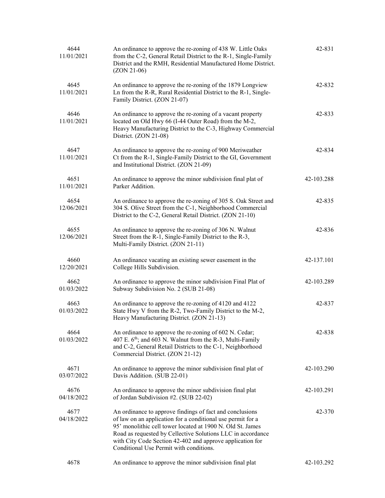| 4644<br>11/01/2021 | An ordinance to approve the re-zoning of 438 W. Little Oaks<br>from the C-2, General Retail District to the R-1, Single-Family<br>District and the RMH, Residential Manufactured Home District.<br>$(ZON 21-06)$                                                                                                                                             | 42-831     |
|--------------------|--------------------------------------------------------------------------------------------------------------------------------------------------------------------------------------------------------------------------------------------------------------------------------------------------------------------------------------------------------------|------------|
| 4645<br>11/01/2021 | An ordinance to approve the re-zoning of the 1879 Longview<br>Ln from the R-R, Rural Residential District to the R-1, Single-<br>Family District. (ZON 21-07)                                                                                                                                                                                                | 42-832     |
| 4646<br>11/01/2021 | An ordinance to approve the re-zoning of a vacant property<br>located on Old Hwy 66 (I-44 Outer Road) from the M-2,<br>Heavy Manufacturing District to the C-3, Highway Commercial<br>District. (ZON 21-08)                                                                                                                                                  | 42-833     |
| 4647<br>11/01/2021 | An ordinance to approve the re-zoning of 900 Meriweather<br>Ct from the R-1, Single-Family District to the GI, Government<br>and Institutional District. (ZON 21-09)                                                                                                                                                                                         | 42-834     |
| 4651<br>11/01/2021 | An ordinance to approve the minor subdivision final plat of<br>Parker Addition.                                                                                                                                                                                                                                                                              | 42-103.288 |
| 4654<br>12/06/2021 | An ordinance to approve the re-zoning of 305 S. Oak Street and<br>304 S. Olive Street from the C-1, Neighborhood Commercial<br>District to the C-2, General Retail District. (ZON 21-10)                                                                                                                                                                     | 42-835     |
| 4655<br>12/06/2021 | An ordinance to approve the re-zoning of 306 N. Walnut<br>Street from the R-1, Single-Family District to the R-3,<br>Multi-Family District. (ZON 21-11)                                                                                                                                                                                                      | 42-836     |
| 4660<br>12/20/2021 | An ordinance vacating an existing sewer easement in the<br>College Hills Subdivision.                                                                                                                                                                                                                                                                        | 42-137.101 |
| 4662<br>01/03/2022 | An ordinance to approve the minor subdivision Final Plat of<br>Subway Subdivision No. 2 (SUB 21-08)                                                                                                                                                                                                                                                          | 42-103.289 |
| 4663<br>01/03/2022 | An ordinance to approve the re-zoning of 4120 and 4122<br>State Hwy V from the R-2, Two-Family District to the M-2,<br>Heavy Manufacturing District. (ZON 21-13)                                                                                                                                                                                             | 42-837     |
| 4664<br>01/03/2022 | An ordinance to approve the re-zoning of 602 N. Cedar;<br>407 E. 6 <sup>th</sup> ; and 603 N. Walnut from the R-3, Multi-Family<br>and C-2, General Retail Districts to the C-1, Neighborhood<br>Commercial District. (ZON 21-12)                                                                                                                            | 42-838     |
| 4671<br>03/07/2022 | An ordinance to approve the minor subdivision final plat of<br>Davis Addition. (SUB 22-01)                                                                                                                                                                                                                                                                   | 42-103.290 |
| 4676<br>04/18/2022 | An ordinance to approve the minor subdivision final plat<br>of Jordan Subdivision #2. (SUB 22-02)                                                                                                                                                                                                                                                            | 42-103.291 |
| 4677<br>04/18/2022 | An ordinance to approve findings of fact and conclusions<br>of law on an application for a conditional use permit for a<br>95' monolithic cell tower located at 1900 N. Old St. James<br>Road as requested by Cellective Solutions LLC in accordance<br>with City Code Section 42-402 and approve application for<br>Conditional Use Permit with conditions. | 42-370     |
| 4678               | An ordinance to approve the minor subdivision final plat                                                                                                                                                                                                                                                                                                     | 42-103.292 |